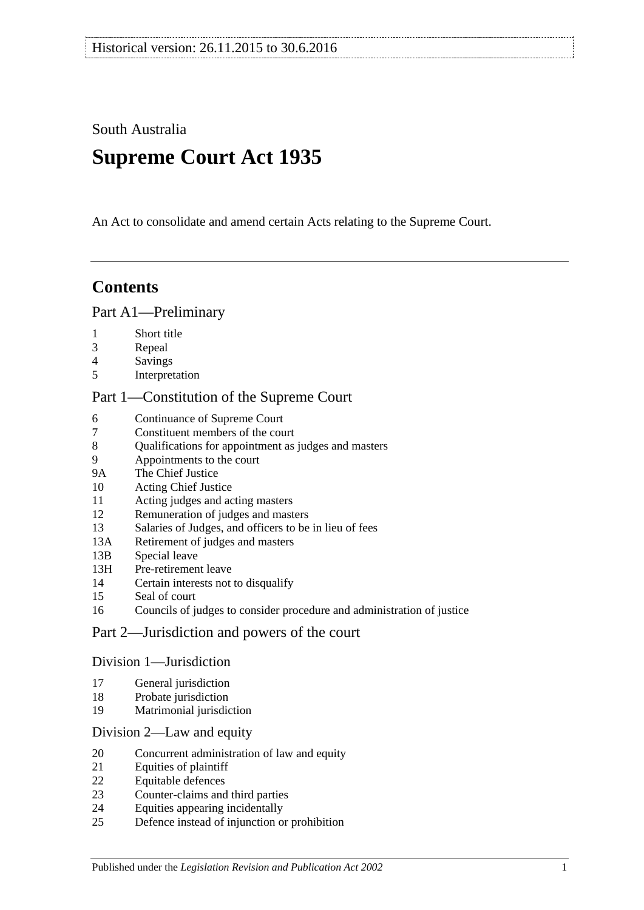South Australia

# **Supreme Court Act 1935**

An Act to consolidate and amend certain Acts relating to the Supreme Court.

# **Contents**

### [Part A1—Preliminary](#page-3-0)

- [Short title](#page-3-1)
- [Repeal](#page-3-2)
- [Savings](#page-3-3)
- [Interpretation](#page-3-4)

### [Part 1—Constitution of the Supreme Court](#page-5-0)

- [Continuance of](#page-5-1) Supreme Court<br>7 Constituent members of the cou
- [Constituent members of the court](#page-5-2)
- [Qualifications for appointment as judges and masters](#page-5-3)
- [Appointments to the court](#page-6-0)
- 9A [The Chief Justice](#page-6-1)
- [Acting Chief Justice](#page-6-2)
- [Acting judges and acting masters](#page-6-3)
- [Remuneration of judges and masters](#page-7-0)
- [Salaries of Judges, and officers to be in lieu of fees](#page-7-1)
- 13A [Retirement of judges and masters](#page-7-2)
- 13B [Special leave](#page-7-3)
- 13H [Pre-retirement leave](#page-8-0)
- [Certain interests not to disqualify](#page-9-0)
- [Seal of court](#page-9-1)
- [Councils of judges to consider procedure and administration of justice](#page-9-2)

### [Part 2—Jurisdiction and powers of the court](#page-9-3)

### [Division 1—Jurisdiction](#page-9-4)

- [General jurisdiction](#page-9-5)
- [Probate jurisdiction](#page-10-0)
- [Matrimonial jurisdiction](#page-10-1)

### [Division 2—Law and equity](#page-10-2)

- [Concurrent administration of law and equity](#page-10-3)
- [Equities of plaintiff](#page-11-0)
- [Equitable defences](#page-11-1)
- [Counter-claims and third parties](#page-11-2)
- [Equities appearing incidentally](#page-11-3)
- [Defence instead of injunction or prohibition](#page-12-0)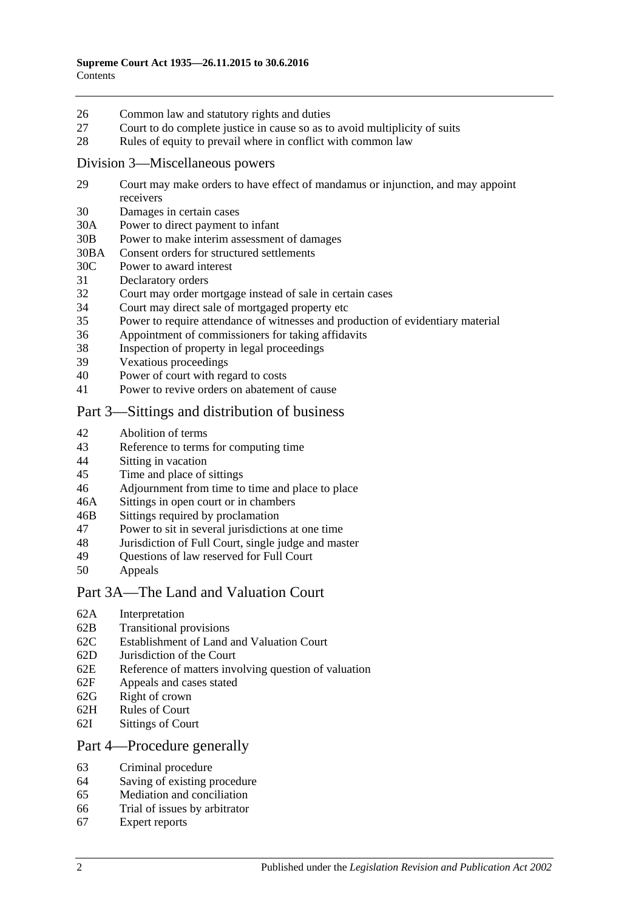- 26 [Common law and statutory rights and duties](#page-12-1)
- 27 [Court to do complete justice in cause so as to avoid multiplicity of suits](#page-12-2)
- 28 [Rules of equity to prevail where in conflict with common law](#page-12-3)

### [Division 3—Miscellaneous powers](#page-13-0)

- 29 [Court may make orders to have effect of mandamus or injunction, and may appoint](#page-13-1)  [receivers](#page-13-1)
- 30 [Damages in certain cases](#page-13-2)
- 30A [Power to direct payment to infant](#page-13-3)
- 30B [Power to make interim assessment of damages](#page-13-4)
- 30BA [Consent orders for structured settlements](#page-16-0)
- 30C [Power to award interest](#page-16-1)
- 31 [Declaratory orders](#page-17-0)
- 32 [Court may order mortgage instead of sale in certain cases](#page-17-1)
- 34 [Court may direct sale of mortgaged property etc](#page-17-2)
- 35 [Power to require attendance of witnesses and production of evidentiary material](#page-17-3)
- 36 [Appointment of commissioners for taking affidavits](#page-18-0)
- 38 [Inspection of property in legal proceedings](#page-18-1)
- 39 [Vexatious proceedings](#page-18-2)
- 40 [Power of court with regard to costs](#page-19-0)
- 41 [Power to revive orders on abatement of cause](#page-19-1)

### [Part 3—Sittings and distribution of business](#page-19-2)

- 42 [Abolition of terms](#page-19-3)
- 43 [Reference to terms for computing time](#page-19-4)
- 44 Sitting [in vacation](#page-19-5)
- 45 [Time and place of sittings](#page-20-0)
- 46 [Adjournment from time to time and place to place](#page-20-1)
- 46A [Sittings in open court or in chambers](#page-20-2)
- 46B [Sittings required by proclamation](#page-20-3)
- 47 [Power to sit in several jurisdictions at one time](#page-20-4)
- 48 [Jurisdiction of Full Court, single judge and master](#page-20-5)
- 49 [Questions of law reserved for Full Court](#page-21-0)<br>50 Anneals
- **[Appeals](#page-21-1)**

### [Part 3A—The Land and Valuation Court](#page-22-0)

- 62A [Interpretation](#page-22-1)
- 62B [Transitional provisions](#page-23-0)
- 62C [Establishment of Land and Valuation Court](#page-23-1)
- 62D [Jurisdiction of the Court](#page-23-2)
- 62E [Reference of matters involving question of valuation](#page-24-0)
- 62F [Appeals and cases stated](#page-25-0)
- 62G [Right of crown](#page-25-1)
- 62H [Rules of Court](#page-25-2)
- 62I [Sittings of Court](#page-25-3)

### [Part 4—Procedure generally](#page-25-4)

- 63 [Criminal procedure](#page-25-5)
- 64 [Saving of existing procedure](#page-26-0)
- 65 [Mediation and conciliation](#page-26-1)
- 66 [Trial of issues by arbitrator](#page-26-2)
- 67 [Expert reports](#page-27-0)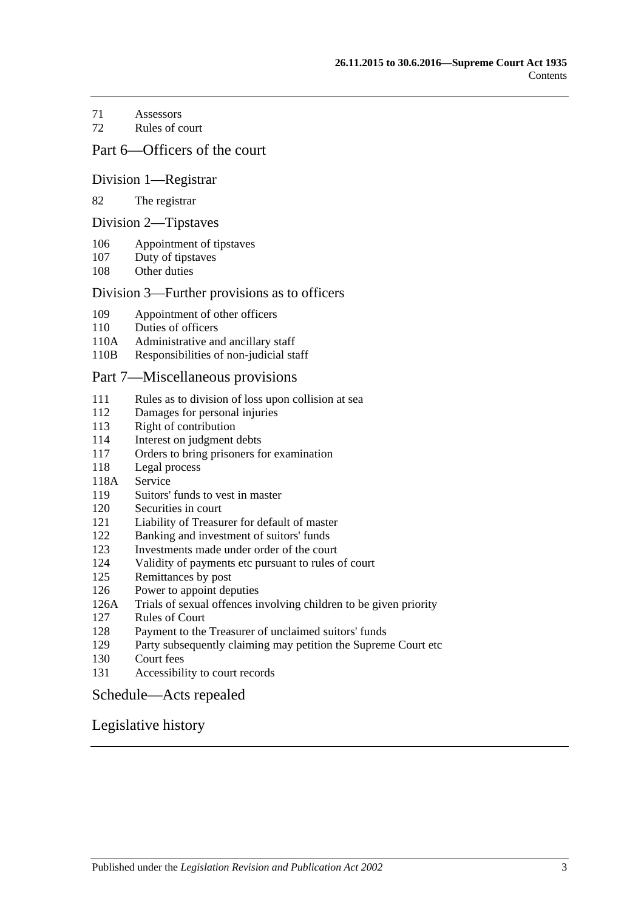- [Assessors](#page-27-1)
- [Rules of court](#page-27-2)

### [Part 6—Officers of the court](#page-29-0)

### [Division 1—Registrar](#page-29-1)

#### [The registrar](#page-29-2)

#### [Division 2—Tipstaves](#page-29-3)

- [Appointment of tipstaves](#page-29-4)
- [Duty of tipstaves](#page-29-5)
- [Other duties](#page-29-6)

### [Division 3—Further provisions as to officers](#page-29-7)

- [Appointment of other officers](#page-29-8)
- [Duties of officers](#page-30-0)
- 110A [Administrative and ancillary staff](#page-30-1)
- 110B [Responsibilities of non-judicial staff](#page-30-2)

### [Part 7—Miscellaneous provisions](#page-30-3)

- [Rules as to division of loss upon collision at sea](#page-30-4)
- [Damages for personal injuries](#page-31-0)<br>113 Right of contribution
- [Right of contribution](#page-31-1)
- [Interest on judgment debts](#page-31-2)
- [Orders to bring prisoners for examination](#page-31-3)
- [Legal process](#page-32-0)
- 118A [Service](#page-32-1)
- [Suitors' funds to vest in master](#page-32-2)
- [Securities in court](#page-32-3)
- [Liability of Treasurer for default of master](#page-32-4)
- [Banking and investment of suitors' funds](#page-32-5)
- [Investments made under order of the court](#page-33-0)
- [Validity of payments etc pursuant to rules of court](#page-33-1)
- [Remittances by post](#page-33-2)
- [Power to appoint deputies](#page-33-3)
- 126A [Trials of sexual offences involving children to be given priority](#page-33-4)
- [Rules of Court](#page-34-0)
- [Payment to the Treasurer of unclaimed suitors' funds](#page-34-1)
- [Party subsequently claiming may petition the Supreme Court etc](#page-34-2)
- [Court fees](#page-34-3)
- [Accessibility to court records](#page-35-0)

### [Schedule—Acts repealed](#page-36-0)

### [Legislative history](#page-39-0)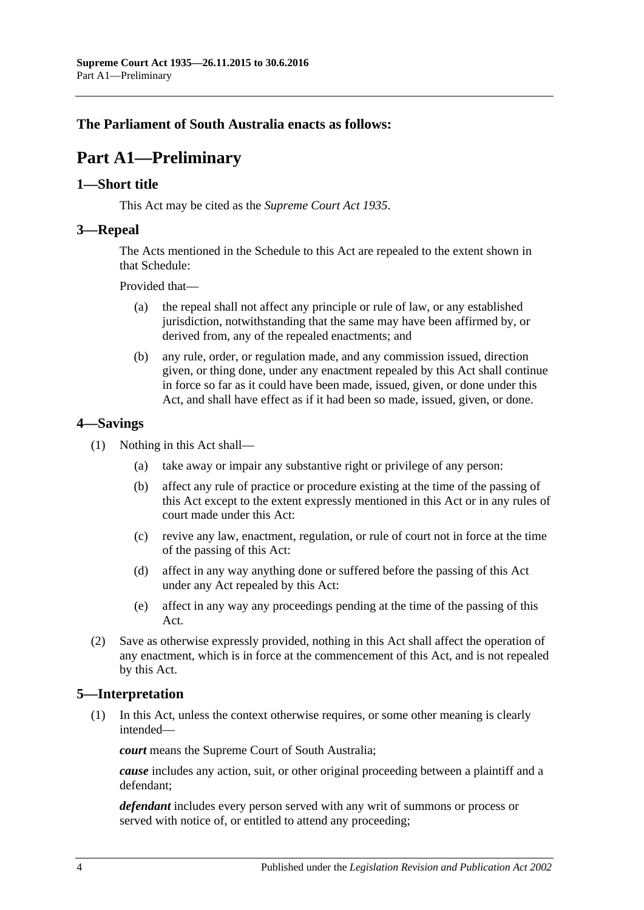# <span id="page-3-0"></span>**The Parliament of South Australia enacts as follows:**

# **Part A1—Preliminary**

### <span id="page-3-1"></span>**1—Short title**

This Act may be cited as the *Supreme Court Act 1935*.

### <span id="page-3-2"></span>**3—Repeal**

The Acts mentioned in the [Schedule](#page-36-0) to this Act are repealed to the extent shown in that [Schedule:](#page-36-0)

Provided that—

- (a) the repeal shall not affect any principle or rule of law, or any established jurisdiction, notwithstanding that the same may have been affirmed by, or derived from, any of the repealed enactments; and
- (b) any rule, order, or regulation made, and any commission issued, direction given, or thing done, under any enactment repealed by this Act shall continue in force so far as it could have been made, issued, given, or done under this Act, and shall have effect as if it had been so made, issued, given, or done.

### <span id="page-3-3"></span>**4—Savings**

- (1) Nothing in this Act shall—
	- (a) take away or impair any substantive right or privilege of any person:
	- (b) affect any rule of practice or procedure existing at the time of the passing of this Act except to the extent expressly mentioned in this Act or in any rules of court made under this Act:
	- (c) revive any law, enactment, regulation, or rule of court not in force at the time of the passing of this Act:
	- (d) affect in any way anything done or suffered before the passing of this Act under any Act repealed by this Act:
	- (e) affect in any way any proceedings pending at the time of the passing of this Act.
- (2) Save as otherwise expressly provided, nothing in this Act shall affect the operation of any enactment, which is in force at the commencement of this Act, and is not repealed by this Act.

### <span id="page-3-4"></span>**5—Interpretation**

(1) In this Act, unless the context otherwise requires, or some other meaning is clearly intended—

*court* means the Supreme Court of South Australia;

*cause* includes any action, suit, or other original proceeding between a plaintiff and a defendant;

*defendant* includes every person served with any writ of summons or process or served with notice of, or entitled to attend any proceeding;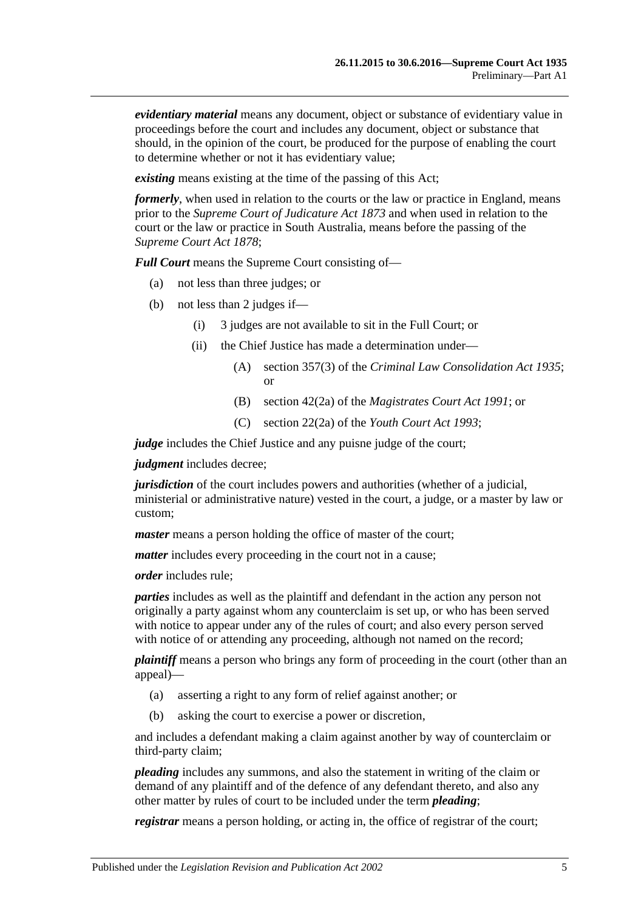*evidentiary material* means any document, object or substance of evidentiary value in proceedings before the court and includes any document, object or substance that should, in the opinion of the court, be produced for the purpose of enabling the court to determine whether or not it has evidentiary value;

*existing* means existing at the time of the passing of this Act;

*formerly*, when used in relation to the courts or the law or practice in England, means prior to the *[Supreme Court of Judicature Act](http://www.legislation.sa.gov.au/index.aspx?action=legref&type=act&legtitle=Supreme%20Court%20of%20Judicature%20Act%201873) 1873* and when used in relation to the court or the law or practice in South Australia, means before the passing of the *[Supreme Court Act](http://www.legislation.sa.gov.au/index.aspx?action=legref&type=act&legtitle=Supreme%20Court%20Act%201878) 1878*;

*Full Court* means the Supreme Court consisting of—

- (a) not less than three judges; or
- (b) not less than 2 judges if—
	- (i) 3 judges are not available to sit in the Full Court; or
	- (ii) the Chief Justice has made a determination under—
		- (A) section 357(3) of the *[Criminal Law Consolidation Act](http://www.legislation.sa.gov.au/index.aspx?action=legref&type=act&legtitle=Criminal%20Law%20Consolidation%20Act%201935) 1935*; or
		- (B) section 42(2a) of the *[Magistrates Court Act](http://www.legislation.sa.gov.au/index.aspx?action=legref&type=act&legtitle=Magistrates%20Court%20Act%201991) 1991*; or
		- (C) section 22(2a) of the *[Youth Court Act](http://www.legislation.sa.gov.au/index.aspx?action=legref&type=act&legtitle=Youth%20Court%20Act%201993) 1993*;

*judge* includes the Chief Justice and any puisne judge of the court;

*judgment* includes decree;

*jurisdiction* of the court includes powers and authorities (whether of a judicial, ministerial or administrative nature) vested in the court, a judge, or a master by law or custom;

*master* means a person holding the office of master of the court;

*matter* includes every proceeding in the court not in a cause;

*order* includes rule;

*parties* includes as well as the plaintiff and defendant in the action any person not originally a party against whom any counterclaim is set up, or who has been served with notice to appear under any of the rules of court; and also every person served with notice of or attending any proceeding, although not named on the record;

*plaintiff* means a person who brings any form of proceeding in the court (other than an appeal)—

- (a) asserting a right to any form of relief against another; or
- (b) asking the court to exercise a power or discretion,

and includes a defendant making a claim against another by way of counterclaim or third-party claim;

*pleading* includes any summons, and also the statement in writing of the claim or demand of any plaintiff and of the defence of any defendant thereto, and also any other matter by rules of court to be included under the term *pleading*;

*registrar* means a person holding, or acting in, the office of registrar of the court;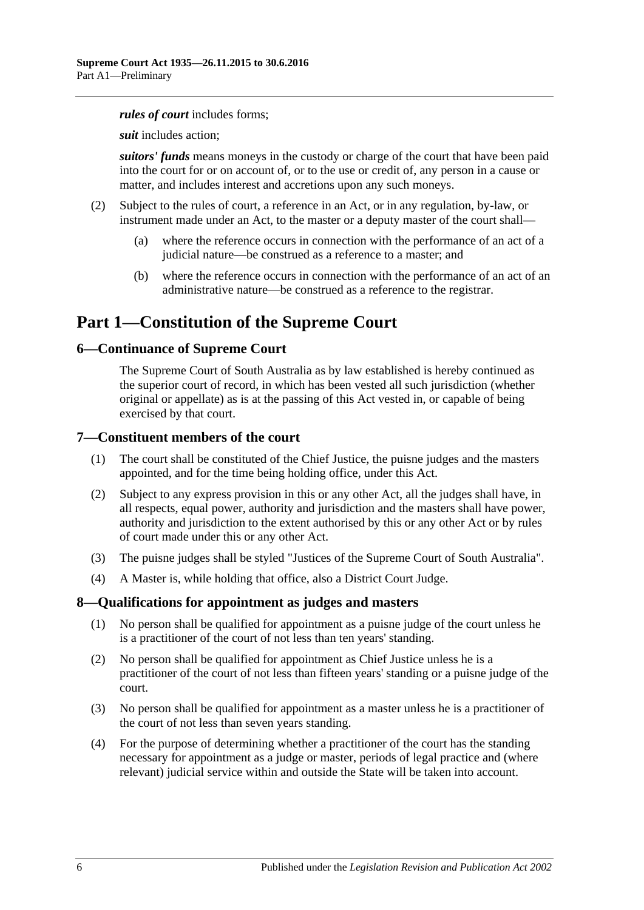#### *rules of court* includes forms;

*suit* includes action;

*suitors' funds* means moneys in the custody or charge of the court that have been paid into the court for or on account of, or to the use or credit of, any person in a cause or matter, and includes interest and accretions upon any such moneys.

- (2) Subject to the rules of court, a reference in an Act, or in any regulation, by-law, or instrument made under an Act, to the master or a deputy master of the court shall—
	- (a) where the reference occurs in connection with the performance of an act of a judicial nature—be construed as a reference to a master; and
	- (b) where the reference occurs in connection with the performance of an act of an administrative nature—be construed as a reference to the registrar.

# <span id="page-5-0"></span>**Part 1—Constitution of the Supreme Court**

### <span id="page-5-1"></span>**6—Continuance of Supreme Court**

The Supreme Court of South Australia as by law established is hereby continued as the superior court of record, in which has been vested all such jurisdiction (whether original or appellate) as is at the passing of this Act vested in, or capable of being exercised by that court.

### <span id="page-5-2"></span>**7—Constituent members of the court**

- (1) The court shall be constituted of the Chief Justice, the puisne judges and the masters appointed, and for the time being holding office, under this Act.
- (2) Subject to any express provision in this or any other Act, all the judges shall have, in all respects, equal power, authority and jurisdiction and the masters shall have power, authority and jurisdiction to the extent authorised by this or any other Act or by rules of court made under this or any other Act.
- (3) The puisne judges shall be styled "Justices of the Supreme Court of South Australia".
- (4) A Master is, while holding that office, also a District Court Judge.

### <span id="page-5-3"></span>**8—Qualifications for appointment as judges and masters**

- (1) No person shall be qualified for appointment as a puisne judge of the court unless he is a practitioner of the court of not less than ten years' standing.
- (2) No person shall be qualified for appointment as Chief Justice unless he is a practitioner of the court of not less than fifteen years' standing or a puisne judge of the court.
- (3) No person shall be qualified for appointment as a master unless he is a practitioner of the court of not less than seven years standing.
- (4) For the purpose of determining whether a practitioner of the court has the standing necessary for appointment as a judge or master, periods of legal practice and (where relevant) judicial service within and outside the State will be taken into account.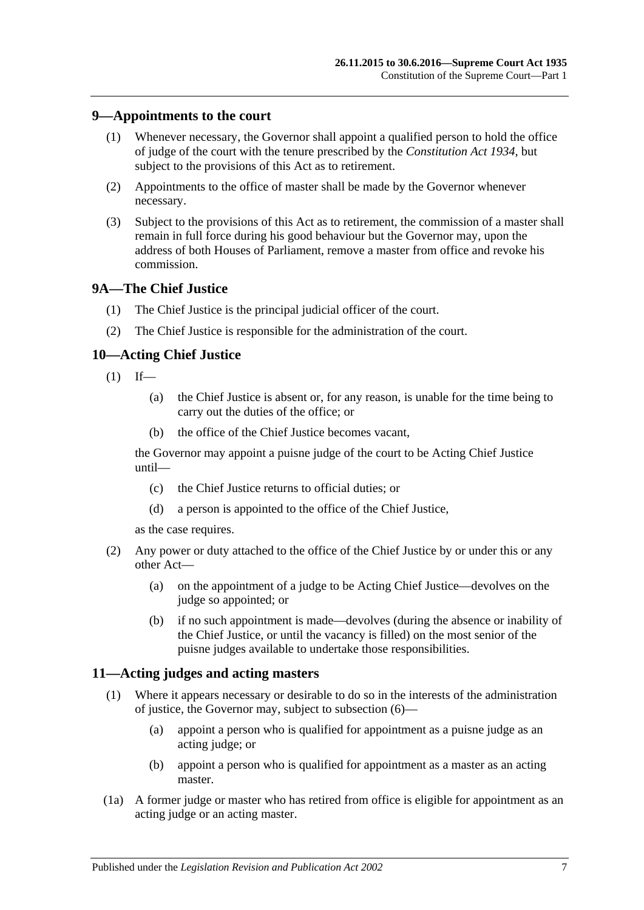### <span id="page-6-0"></span>**9—Appointments to the court**

- (1) Whenever necessary, the Governor shall appoint a qualified person to hold the office of judge of the court with the tenure prescribed by the *[Constitution Act](http://www.legislation.sa.gov.au/index.aspx?action=legref&type=act&legtitle=Constitution%20Act%201934) 1934*, but subject to the provisions of this Act as to retirement.
- (2) Appointments to the office of master shall be made by the Governor whenever necessary.
- (3) Subject to the provisions of this Act as to retirement, the commission of a master shall remain in full force during his good behaviour but the Governor may, upon the address of both Houses of Parliament, remove a master from office and revoke his commission.

### <span id="page-6-1"></span>**9A—The Chief Justice**

- (1) The Chief Justice is the principal judicial officer of the court.
- (2) The Chief Justice is responsible for the administration of the court.

### <span id="page-6-2"></span>**10—Acting Chief Justice**

- $(1)$  If—
	- (a) the Chief Justice is absent or, for any reason, is unable for the time being to carry out the duties of the office; or
	- (b) the office of the Chief Justice becomes vacant,

the Governor may appoint a puisne judge of the court to be Acting Chief Justice until—

- (c) the Chief Justice returns to official duties; or
- (d) a person is appointed to the office of the Chief Justice,

as the case requires.

- (2) Any power or duty attached to the office of the Chief Justice by or under this or any other Act—
	- (a) on the appointment of a judge to be Acting Chief Justice—devolves on the judge so appointed; or
	- (b) if no such appointment is made—devolves (during the absence or inability of the Chief Justice, or until the vacancy is filled) on the most senior of the puisne judges available to undertake those responsibilities.

### <span id="page-6-4"></span><span id="page-6-3"></span>**11—Acting judges and acting masters**

- (1) Where it appears necessary or desirable to do so in the interests of the administration of justice, the Governor may, subject to [subsection](#page-7-4) (6)—
	- (a) appoint a person who is qualified for appointment as a puisne judge as an acting judge; or
	- (b) appoint a person who is qualified for appointment as a master as an acting master.
- (1a) A former judge or master who has retired from office is eligible for appointment as an acting judge or an acting master.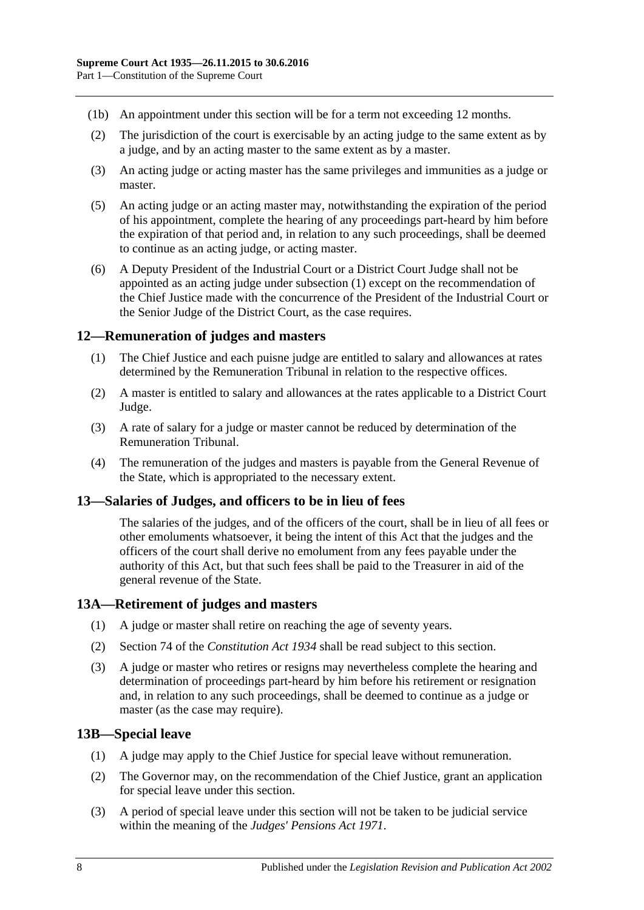- (1b) An appointment under this section will be for a term not exceeding 12 months.
- (2) The jurisdiction of the court is exercisable by an acting judge to the same extent as by a judge, and by an acting master to the same extent as by a master.
- (3) An acting judge or acting master has the same privileges and immunities as a judge or master.
- (5) An acting judge or an acting master may, notwithstanding the expiration of the period of his appointment, complete the hearing of any proceedings part-heard by him before the expiration of that period and, in relation to any such proceedings, shall be deemed to continue as an acting judge, or acting master.
- <span id="page-7-4"></span>(6) A Deputy President of the Industrial Court or a District Court Judge shall not be appointed as an acting judge under [subsection](#page-6-4) (1) except on the recommendation of the Chief Justice made with the concurrence of the President of the Industrial Court or the Senior Judge of the District Court, as the case requires.

### <span id="page-7-0"></span>**12—Remuneration of judges and masters**

- (1) The Chief Justice and each puisne judge are entitled to salary and allowances at rates determined by the Remuneration Tribunal in relation to the respective offices.
- (2) A master is entitled to salary and allowances at the rates applicable to a District Court Judge.
- (3) A rate of salary for a judge or master cannot be reduced by determination of the Remuneration Tribunal.
- (4) The remuneration of the judges and masters is payable from the General Revenue of the State, which is appropriated to the necessary extent.

### <span id="page-7-1"></span>**13—Salaries of Judges, and officers to be in lieu of fees**

The salaries of the judges, and of the officers of the court, shall be in lieu of all fees or other emoluments whatsoever, it being the intent of this Act that the judges and the officers of the court shall derive no emolument from any fees payable under the authority of this Act, but that such fees shall be paid to the Treasurer in aid of the general revenue of the State.

### <span id="page-7-2"></span>**13A—Retirement of judges and masters**

- (1) A judge or master shall retire on reaching the age of seventy years.
- (2) Section 74 of the *[Constitution Act](http://www.legislation.sa.gov.au/index.aspx?action=legref&type=act&legtitle=Constitution%20Act%201934) 1934* shall be read subject to this section.
- (3) A judge or master who retires or resigns may nevertheless complete the hearing and determination of proceedings part-heard by him before his retirement or resignation and, in relation to any such proceedings, shall be deemed to continue as a judge or master (as the case may require).

### <span id="page-7-3"></span>**13B—Special leave**

- (1) A judge may apply to the Chief Justice for special leave without remuneration.
- (2) The Governor may, on the recommendation of the Chief Justice, grant an application for special leave under this section.
- (3) A period of special leave under this section will not be taken to be judicial service within the meaning of the *[Judges' Pensions Act](http://www.legislation.sa.gov.au/index.aspx?action=legref&type=act&legtitle=Judges%20Pensions%20Act%201971) 1971*.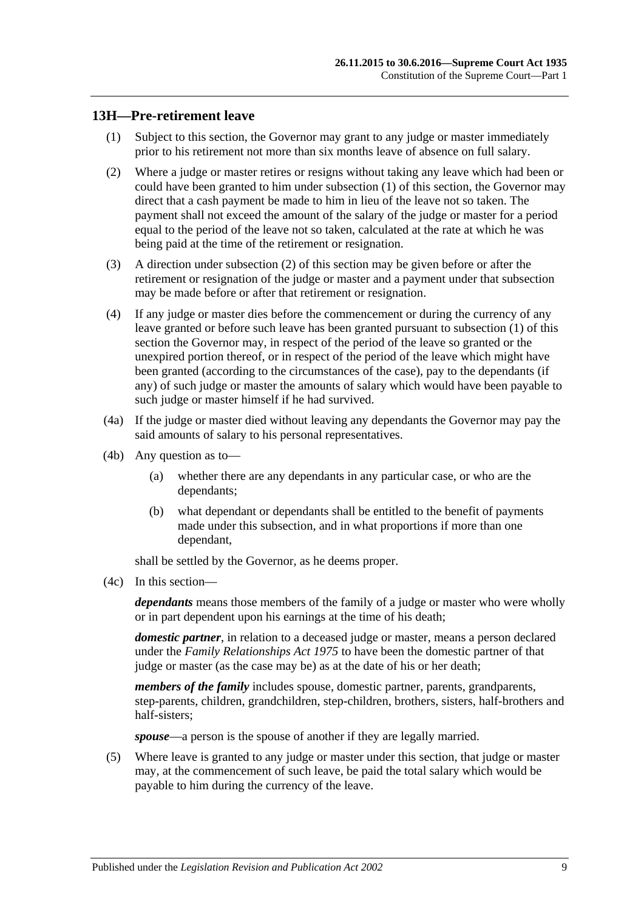### <span id="page-8-1"></span><span id="page-8-0"></span>**13H—Pre-retirement leave**

- (1) Subject to this section, the Governor may grant to any judge or master immediately prior to his retirement not more than six months leave of absence on full salary.
- <span id="page-8-2"></span>(2) Where a judge or master retires or resigns without taking any leave which had been or could have been granted to him under [subsection](#page-8-1) (1) of this section, the Governor may direct that a cash payment be made to him in lieu of the leave not so taken. The payment shall not exceed the amount of the salary of the judge or master for a period equal to the period of the leave not so taken, calculated at the rate at which he was being paid at the time of the retirement or resignation.
- (3) A direction under [subsection](#page-8-2) (2) of this section may be given before or after the retirement or resignation of the judge or master and a payment under that subsection may be made before or after that retirement or resignation.
- (4) If any judge or master dies before the commencement or during the currency of any leave granted or before such leave has been granted pursuant to [subsection](#page-8-1) (1) of this section the Governor may, in respect of the period of the leave so granted or the unexpired portion thereof, or in respect of the period of the leave which might have been granted (according to the circumstances of the case), pay to the dependants (if any) of such judge or master the amounts of salary which would have been payable to such judge or master himself if he had survived.
- (4a) If the judge or master died without leaving any dependants the Governor may pay the said amounts of salary to his personal representatives.
- (4b) Any question as to—
	- (a) whether there are any dependants in any particular case, or who are the dependants;
	- (b) what dependant or dependants shall be entitled to the benefit of payments made under this subsection, and in what proportions if more than one dependant,

shall be settled by the Governor, as he deems proper.

(4c) In this section—

*dependants* means those members of the family of a judge or master who were wholly or in part dependent upon his earnings at the time of his death;

*domestic partner*, in relation to a deceased judge or master, means a person declared under the *[Family Relationships Act](http://www.legislation.sa.gov.au/index.aspx?action=legref&type=act&legtitle=Family%20Relationships%20Act%201975) 1975* to have been the domestic partner of that judge or master (as the case may be) as at the date of his or her death;

*members of the family* includes spouse, domestic partner, parents, grandparents, step-parents, children, grandchildren, step-children, brothers, sisters, half-brothers and half-sisters;

*spouse*—a person is the spouse of another if they are legally married.

(5) Where leave is granted to any judge or master under this section, that judge or master may, at the commencement of such leave, be paid the total salary which would be payable to him during the currency of the leave.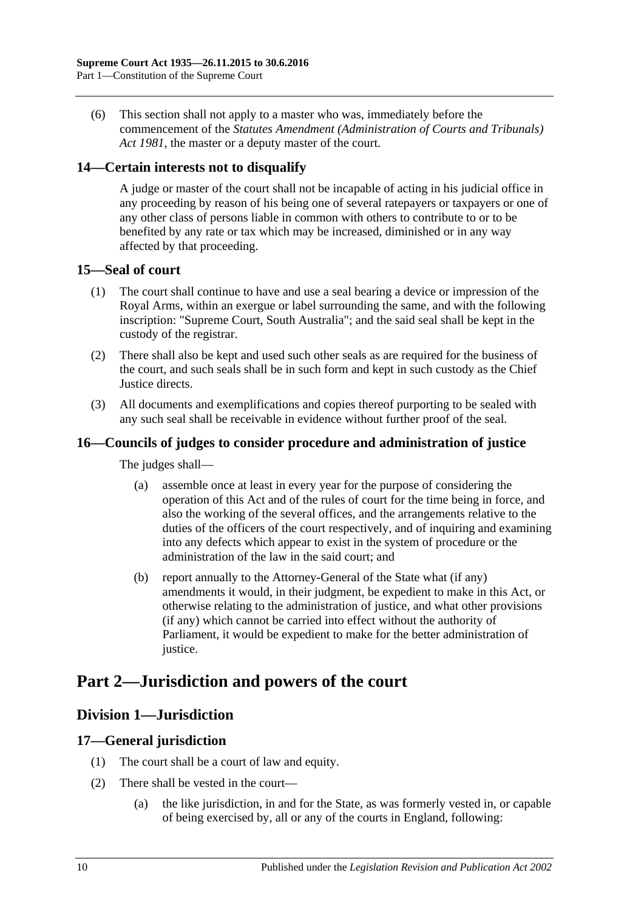(6) This section shall not apply to a master who was, immediately before the commencement of the *[Statutes Amendment \(Administration of Courts and Tribunals\)](http://www.legislation.sa.gov.au/index.aspx?action=legref&type=act&legtitle=Statutes%20Amendment%20(Administration%20of%20Courts%20and%20Tribunals)%20Act%201981)  Act [1981](http://www.legislation.sa.gov.au/index.aspx?action=legref&type=act&legtitle=Statutes%20Amendment%20(Administration%20of%20Courts%20and%20Tribunals)%20Act%201981)*, the master or a deputy master of the court.

### <span id="page-9-0"></span>**14—Certain interests not to disqualify**

A judge or master of the court shall not be incapable of acting in his judicial office in any proceeding by reason of his being one of several ratepayers or taxpayers or one of any other class of persons liable in common with others to contribute to or to be benefited by any rate or tax which may be increased, diminished or in any way affected by that proceeding.

### <span id="page-9-1"></span>**15—Seal of court**

- (1) The court shall continue to have and use a seal bearing a device or impression of the Royal Arms, within an exergue or label surrounding the same, and with the following inscription: "Supreme Court, South Australia"; and the said seal shall be kept in the custody of the registrar.
- (2) There shall also be kept and used such other seals as are required for the business of the court, and such seals shall be in such form and kept in such custody as the Chief Justice directs.
- (3) All documents and exemplifications and copies thereof purporting to be sealed with any such seal shall be receivable in evidence without further proof of the seal.

### <span id="page-9-2"></span>**16—Councils of judges to consider procedure and administration of justice**

The judges shall—

- (a) assemble once at least in every year for the purpose of considering the operation of this Act and of the rules of court for the time being in force, and also the working of the several offices, and the arrangements relative to the duties of the officers of the court respectively, and of inquiring and examining into any defects which appear to exist in the system of procedure or the administration of the law in the said court; and
- (b) report annually to the Attorney-General of the State what (if any) amendments it would, in their judgment, be expedient to make in this Act, or otherwise relating to the administration of justice, and what other provisions (if any) which cannot be carried into effect without the authority of Parliament, it would be expedient to make for the better administration of justice.

# <span id="page-9-4"></span><span id="page-9-3"></span>**Part 2—Jurisdiction and powers of the court**

# **Division 1—Jurisdiction**

### <span id="page-9-5"></span>**17—General jurisdiction**

- (1) The court shall be a court of law and equity.
- (2) There shall be vested in the court—
	- (a) the like jurisdiction, in and for the State, as was formerly vested in, or capable of being exercised by, all or any of the courts in England, following: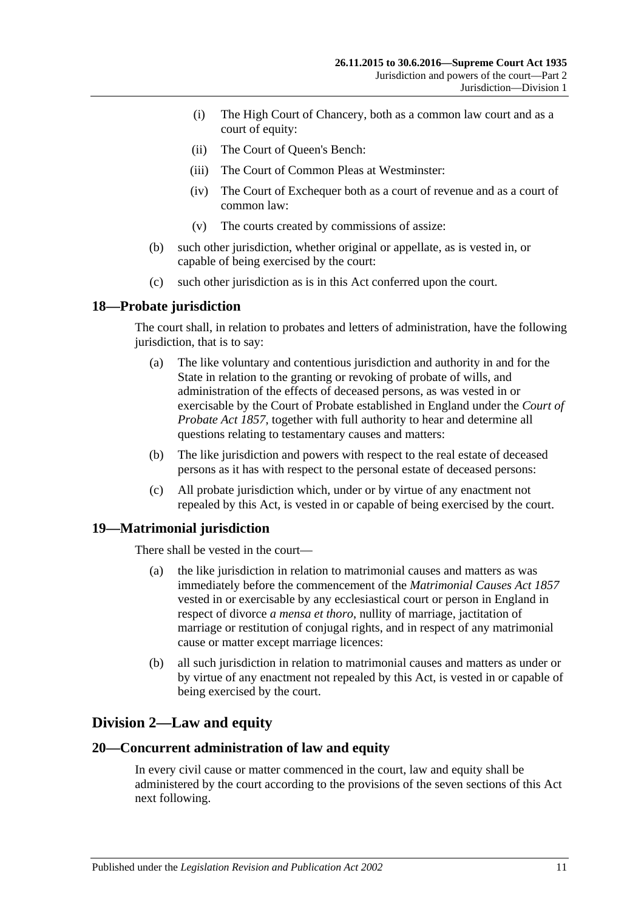- (i) The High Court of Chancery, both as a common law court and as a court of equity:
- (ii) The Court of Queen's Bench:
- (iii) The Court of Common Pleas at Westminster:
- (iv) The Court of Exchequer both as a court of revenue and as a court of common law:
- (v) The courts created by commissions of assize:
- (b) such other jurisdiction, whether original or appellate, as is vested in, or capable of being exercised by the court:
- (c) such other jurisdiction as is in this Act conferred upon the court.

### <span id="page-10-0"></span>**18—Probate jurisdiction**

The court shall, in relation to probates and letters of administration, have the following jurisdiction, that is to say:

- (a) The like voluntary and contentious jurisdiction and authority in and for the State in relation to the granting or revoking of probate of wills, and administration of the effects of deceased persons, as was vested in or exercisable by the Court of Probate established in England under the *[Court of](http://www.legislation.sa.gov.au/index.aspx?action=legref&type=act&legtitle=Court%20of%20Probate%20Act%201857)  [Probate Act](http://www.legislation.sa.gov.au/index.aspx?action=legref&type=act&legtitle=Court%20of%20Probate%20Act%201857) 1857*, together with full authority to hear and determine all questions relating to testamentary causes and matters:
- (b) The like jurisdiction and powers with respect to the real estate of deceased persons as it has with respect to the personal estate of deceased persons:
- (c) All probate jurisdiction which, under or by virtue of any enactment not repealed by this Act, is vested in or capable of being exercised by the court.

### <span id="page-10-1"></span>**19—Matrimonial jurisdiction**

There shall be vested in the court—

- (a) the like jurisdiction in relation to matrimonial causes and matters as was immediately before the commencement of the *[Matrimonial Causes Act](http://www.legislation.sa.gov.au/index.aspx?action=legref&type=act&legtitle=Matrimonial%20Causes%20Act%201857) 1857* vested in or exercisable by any ecclesiastical court or person in England in respect of divorce *a mensa et thoro*, nullity of marriage, jactitation of marriage or restitution of conjugal rights, and in respect of any matrimonial cause or matter except marriage licences:
- (b) all such jurisdiction in relation to matrimonial causes and matters as under or by virtue of any enactment not repealed by this Act, is vested in or capable of being exercised by the court.

# <span id="page-10-2"></span>**Division 2—Law and equity**

### <span id="page-10-3"></span>**20—Concurrent administration of law and equity**

In every civil cause or matter commenced in the court, law and equity shall be administered by the court according to the provisions of the seven sections of this Act next following.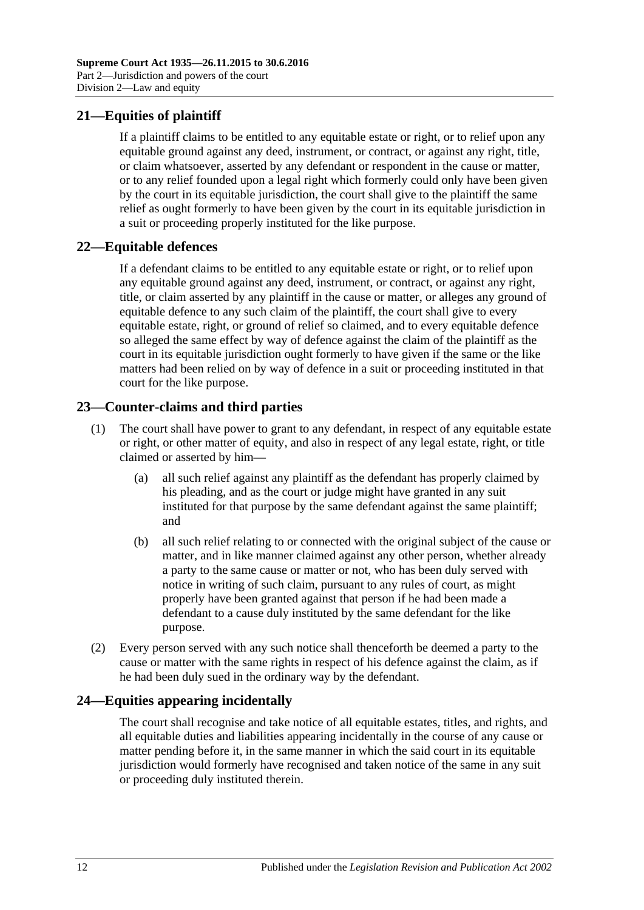# <span id="page-11-0"></span>**21—Equities of plaintiff**

If a plaintiff claims to be entitled to any equitable estate or right, or to relief upon any equitable ground against any deed, instrument, or contract, or against any right, title, or claim whatsoever, asserted by any defendant or respondent in the cause or matter, or to any relief founded upon a legal right which formerly could only have been given by the court in its equitable jurisdiction, the court shall give to the plaintiff the same relief as ought formerly to have been given by the court in its equitable jurisdiction in a suit or proceeding properly instituted for the like purpose.

### <span id="page-11-1"></span>**22—Equitable defences**

If a defendant claims to be entitled to any equitable estate or right, or to relief upon any equitable ground against any deed, instrument, or contract, or against any right, title, or claim asserted by any plaintiff in the cause or matter, or alleges any ground of equitable defence to any such claim of the plaintiff, the court shall give to every equitable estate, right, or ground of relief so claimed, and to every equitable defence so alleged the same effect by way of defence against the claim of the plaintiff as the court in its equitable jurisdiction ought formerly to have given if the same or the like matters had been relied on by way of defence in a suit or proceeding instituted in that court for the like purpose.

# <span id="page-11-2"></span>**23—Counter-claims and third parties**

- (1) The court shall have power to grant to any defendant, in respect of any equitable estate or right, or other matter of equity, and also in respect of any legal estate, right, or title claimed or asserted by him—
	- (a) all such relief against any plaintiff as the defendant has properly claimed by his pleading, and as the court or judge might have granted in any suit instituted for that purpose by the same defendant against the same plaintiff; and
	- (b) all such relief relating to or connected with the original subject of the cause or matter, and in like manner claimed against any other person, whether already a party to the same cause or matter or not, who has been duly served with notice in writing of such claim, pursuant to any rules of court, as might properly have been granted against that person if he had been made a defendant to a cause duly instituted by the same defendant for the like purpose.
- (2) Every person served with any such notice shall thenceforth be deemed a party to the cause or matter with the same rights in respect of his defence against the claim, as if he had been duly sued in the ordinary way by the defendant.

# <span id="page-11-3"></span>**24—Equities appearing incidentally**

The court shall recognise and take notice of all equitable estates, titles, and rights, and all equitable duties and liabilities appearing incidentally in the course of any cause or matter pending before it, in the same manner in which the said court in its equitable jurisdiction would formerly have recognised and taken notice of the same in any suit or proceeding duly instituted therein.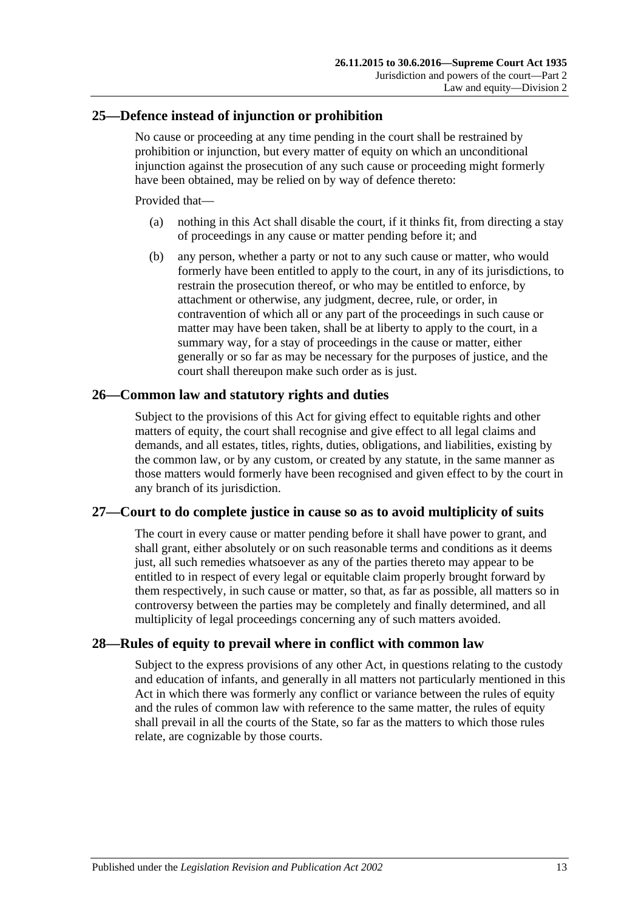### <span id="page-12-0"></span>**25—Defence instead of injunction or prohibition**

No cause or proceeding at any time pending in the court shall be restrained by prohibition or injunction, but every matter of equity on which an unconditional injunction against the prosecution of any such cause or proceeding might formerly have been obtained, may be relied on by way of defence thereto:

Provided that—

- (a) nothing in this Act shall disable the court, if it thinks fit, from directing a stay of proceedings in any cause or matter pending before it; and
- (b) any person, whether a party or not to any such cause or matter, who would formerly have been entitled to apply to the court, in any of its jurisdictions, to restrain the prosecution thereof, or who may be entitled to enforce, by attachment or otherwise, any judgment, decree, rule, or order, in contravention of which all or any part of the proceedings in such cause or matter may have been taken, shall be at liberty to apply to the court, in a summary way, for a stay of proceedings in the cause or matter, either generally or so far as may be necessary for the purposes of justice, and the court shall thereupon make such order as is just.

### <span id="page-12-1"></span>**26—Common law and statutory rights and duties**

Subject to the provisions of this Act for giving effect to equitable rights and other matters of equity, the court shall recognise and give effect to all legal claims and demands, and all estates, titles, rights, duties, obligations, and liabilities, existing by the common law, or by any custom, or created by any statute, in the same manner as those matters would formerly have been recognised and given effect to by the court in any branch of its jurisdiction.

### <span id="page-12-2"></span>**27—Court to do complete justice in cause so as to avoid multiplicity of suits**

The court in every cause or matter pending before it shall have power to grant, and shall grant, either absolutely or on such reasonable terms and conditions as it deems just, all such remedies whatsoever as any of the parties thereto may appear to be entitled to in respect of every legal or equitable claim properly brought forward by them respectively, in such cause or matter, so that, as far as possible, all matters so in controversy between the parties may be completely and finally determined, and all multiplicity of legal proceedings concerning any of such matters avoided.

### <span id="page-12-3"></span>**28—Rules of equity to prevail where in conflict with common law**

Subject to the express provisions of any other Act, in questions relating to the custody and education of infants, and generally in all matters not particularly mentioned in this Act in which there was formerly any conflict or variance between the rules of equity and the rules of common law with reference to the same matter, the rules of equity shall prevail in all the courts of the State, so far as the matters to which those rules relate, are cognizable by those courts.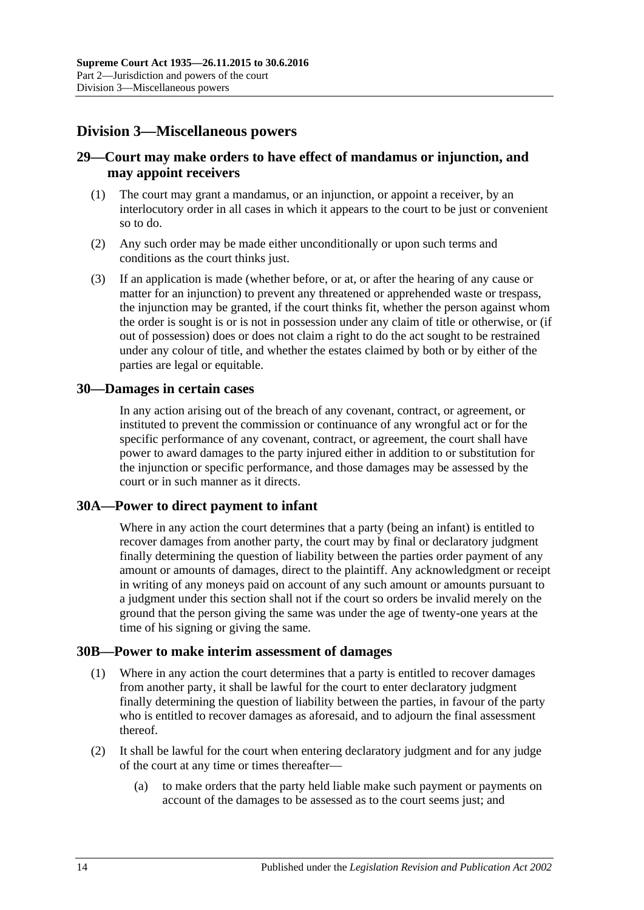# <span id="page-13-0"></span>**Division 3—Miscellaneous powers**

### <span id="page-13-1"></span>**29—Court may make orders to have effect of mandamus or injunction, and may appoint receivers**

- (1) The court may grant a mandamus, or an injunction, or appoint a receiver, by an interlocutory order in all cases in which it appears to the court to be just or convenient so to do.
- (2) Any such order may be made either unconditionally or upon such terms and conditions as the court thinks just.
- (3) If an application is made (whether before, or at, or after the hearing of any cause or matter for an injunction) to prevent any threatened or apprehended waste or trespass, the injunction may be granted, if the court thinks fit, whether the person against whom the order is sought is or is not in possession under any claim of title or otherwise, or (if out of possession) does or does not claim a right to do the act sought to be restrained under any colour of title, and whether the estates claimed by both or by either of the parties are legal or equitable.

### <span id="page-13-2"></span>**30—Damages in certain cases**

In any action arising out of the breach of any covenant, contract, or agreement, or instituted to prevent the commission or continuance of any wrongful act or for the specific performance of any covenant, contract, or agreement, the court shall have power to award damages to the party injured either in addition to or substitution for the injunction or specific performance, and those damages may be assessed by the court or in such manner as it directs.

### <span id="page-13-3"></span>**30A—Power to direct payment to infant**

Where in any action the court determines that a party (being an infant) is entitled to recover damages from another party, the court may by final or declaratory judgment finally determining the question of liability between the parties order payment of any amount or amounts of damages, direct to the plaintiff. Any acknowledgment or receipt in writing of any moneys paid on account of any such amount or amounts pursuant to a judgment under this section shall not if the court so orders be invalid merely on the ground that the person giving the same was under the age of twenty-one years at the time of his signing or giving the same.

### <span id="page-13-4"></span>**30B—Power to make interim assessment of damages**

- (1) Where in any action the court determines that a party is entitled to recover damages from another party, it shall be lawful for the court to enter declaratory judgment finally determining the question of liability between the parties, in favour of the party who is entitled to recover damages as aforesaid, and to adjourn the final assessment thereof.
- <span id="page-13-5"></span>(2) It shall be lawful for the court when entering declaratory judgment and for any judge of the court at any time or times thereafter—
	- (a) to make orders that the party held liable make such payment or payments on account of the damages to be assessed as to the court seems just; and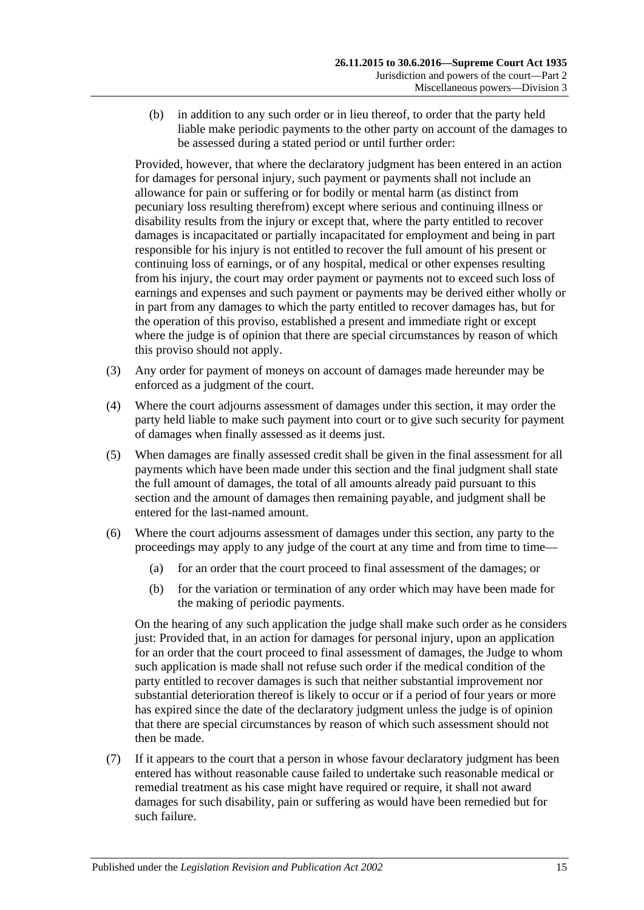(b) in addition to any such order or in lieu thereof, to order that the party held liable make periodic payments to the other party on account of the damages to be assessed during a stated period or until further order:

Provided, however, that where the declaratory judgment has been entered in an action for damages for personal injury, such payment or payments shall not include an allowance for pain or suffering or for bodily or mental harm (as distinct from pecuniary loss resulting therefrom) except where serious and continuing illness or disability results from the injury or except that, where the party entitled to recover damages is incapacitated or partially incapacitated for employment and being in part responsible for his injury is not entitled to recover the full amount of his present or continuing loss of earnings, or of any hospital, medical or other expenses resulting from his injury, the court may order payment or payments not to exceed such loss of earnings and expenses and such payment or payments may be derived either wholly or in part from any damages to which the party entitled to recover damages has, but for the operation of this proviso, established a present and immediate right or except where the judge is of opinion that there are special circumstances by reason of which this proviso should not apply.

- (3) Any order for payment of moneys on account of damages made hereunder may be enforced as a judgment of the court.
- (4) Where the court adjourns assessment of damages under this section, it may order the party held liable to make such payment into court or to give such security for payment of damages when finally assessed as it deems just.
- (5) When damages are finally assessed credit shall be given in the final assessment for all payments which have been made under this section and the final judgment shall state the full amount of damages, the total of all amounts already paid pursuant to this section and the amount of damages then remaining payable, and judgment shall be entered for the last-named amount.
- (6) Where the court adjourns assessment of damages under this section, any party to the proceedings may apply to any judge of the court at any time and from time to time—
	- (a) for an order that the court proceed to final assessment of the damages; or
	- (b) for the variation or termination of any order which may have been made for the making of periodic payments.

On the hearing of any such application the judge shall make such order as he considers just: Provided that, in an action for damages for personal injury, upon an application for an order that the court proceed to final assessment of damages, the Judge to whom such application is made shall not refuse such order if the medical condition of the party entitled to recover damages is such that neither substantial improvement nor substantial deterioration thereof is likely to occur or if a period of four years or more has expired since the date of the declaratory judgment unless the judge is of opinion that there are special circumstances by reason of which such assessment should not then be made.

(7) If it appears to the court that a person in whose favour declaratory judgment has been entered has without reasonable cause failed to undertake such reasonable medical or remedial treatment as his case might have required or require, it shall not award damages for such disability, pain or suffering as would have been remedied but for such failure.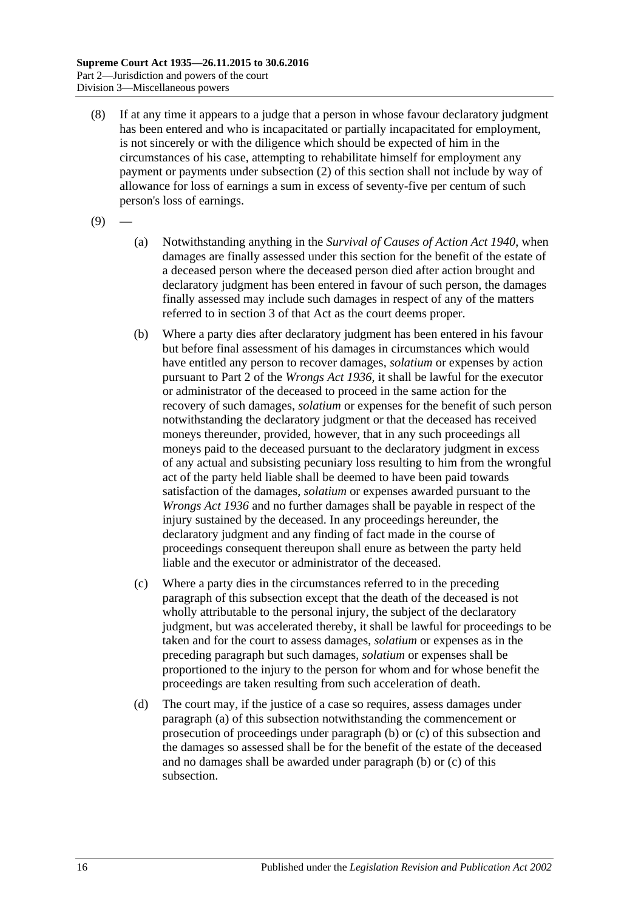- (8) If at any time it appears to a judge that a person in whose favour declaratory judgment has been entered and who is incapacitated or partially incapacitated for employment, is not sincerely or with the diligence which should be expected of him in the circumstances of his case, attempting to rehabilitate himself for employment any payment or payments under [subsection](#page-13-5) (2) of this section shall not include by way of allowance for loss of earnings a sum in excess of seventy-five per centum of such person's loss of earnings.
- <span id="page-15-0"></span> $(9)$
- (a) Notwithstanding anything in the *[Survival of Causes of Action Act](http://www.legislation.sa.gov.au/index.aspx?action=legref&type=act&legtitle=Survival%20of%20Causes%20of%20Action%20Act%201940) 1940*, when damages are finally assessed under this section for the benefit of the estate of a deceased person where the deceased person died after action brought and declaratory judgment has been entered in favour of such person, the damages finally assessed may include such damages in respect of any of the matters referred to in section 3 of that Act as the court deems proper.
- <span id="page-15-1"></span>(b) Where a party dies after declaratory judgment has been entered in his favour but before final assessment of his damages in circumstances which would have entitled any person to recover damages, *solatium* or expenses by action pursuant to Part 2 of the *[Wrongs Act](http://www.legislation.sa.gov.au/index.aspx?action=legref&type=act&legtitle=Wrongs%20Act%201936) 1936*, it shall be lawful for the executor or administrator of the deceased to proceed in the same action for the recovery of such damages, *solatium* or expenses for the benefit of such person notwithstanding the declaratory judgment or that the deceased has received moneys thereunder, provided, however, that in any such proceedings all moneys paid to the deceased pursuant to the declaratory judgment in excess of any actual and subsisting pecuniary loss resulting to him from the wrongful act of the party held liable shall be deemed to have been paid towards satisfaction of the damages, *solatium* or expenses awarded pursuant to the *[Wrongs Act](http://www.legislation.sa.gov.au/index.aspx?action=legref&type=act&legtitle=Wrongs%20Act%201936) 1936* and no further damages shall be payable in respect of the injury sustained by the deceased. In any proceedings hereunder, the declaratory judgment and any finding of fact made in the course of proceedings consequent thereupon shall enure as between the party held liable and the executor or administrator of the deceased.
- <span id="page-15-2"></span>(c) Where a party dies in the circumstances referred to in the preceding paragraph of this subsection except that the death of the deceased is not wholly attributable to the personal injury, the subject of the declaratory judgment, but was accelerated thereby, it shall be lawful for proceedings to be taken and for the court to assess damages, *solatium* or expenses as in the preceding paragraph but such damages, *solatium* or expenses shall be proportioned to the injury to the person for whom and for whose benefit the proceedings are taken resulting from such acceleration of death.
- (d) The court may, if the justice of a case so requires, assess damages under [paragraph](#page-15-0) (a) of this subsection notwithstanding the commencement or prosecution of proceedings under [paragraph](#page-15-1) (b) or [\(c\)](#page-15-2) of this subsection and the damages so assessed shall be for the benefit of the estate of the deceased and no damages shall be awarded under [paragraph](#page-15-1) (b) or [\(c\)](#page-15-2) of this subsection.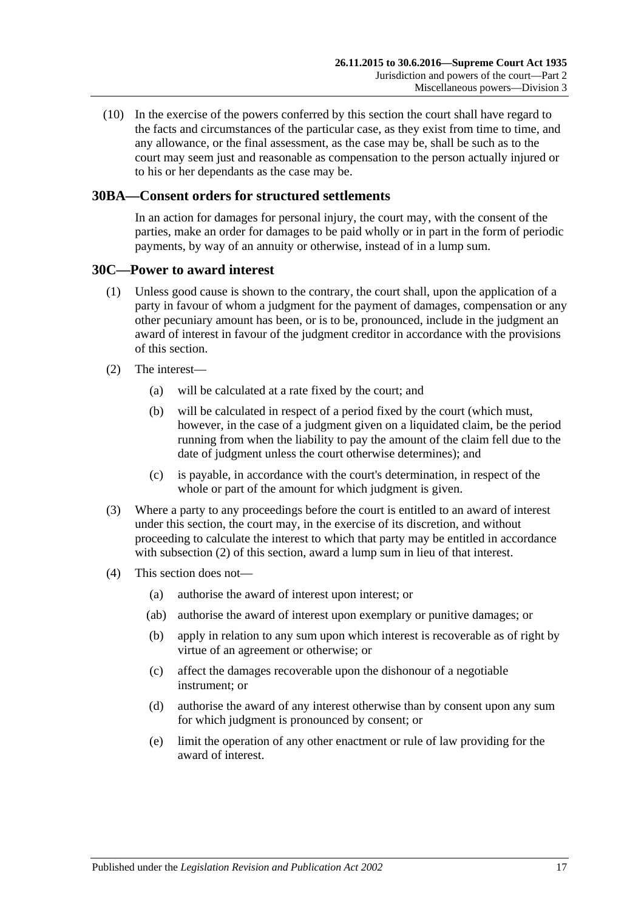(10) In the exercise of the powers conferred by this section the court shall have regard to the facts and circumstances of the particular case, as they exist from time to time, and any allowance, or the final assessment, as the case may be, shall be such as to the court may seem just and reasonable as compensation to the person actually injured or to his or her dependants as the case may be.

### <span id="page-16-0"></span>**30BA—Consent orders for structured settlements**

In an action for damages for personal injury, the court may, with the consent of the parties, make an order for damages to be paid wholly or in part in the form of periodic payments, by way of an annuity or otherwise, instead of in a lump sum.

### <span id="page-16-1"></span>**30C—Power to award interest**

- (1) Unless good cause is shown to the contrary, the court shall, upon the application of a party in favour of whom a judgment for the payment of damages, compensation or any other pecuniary amount has been, or is to be, pronounced, include in the judgment an award of interest in favour of the judgment creditor in accordance with the provisions of this section.
- <span id="page-16-2"></span>(2) The interest—
	- (a) will be calculated at a rate fixed by the court; and
	- (b) will be calculated in respect of a period fixed by the court (which must, however, in the case of a judgment given on a liquidated claim, be the period running from when the liability to pay the amount of the claim fell due to the date of judgment unless the court otherwise determines); and
	- (c) is payable, in accordance with the court's determination, in respect of the whole or part of the amount for which judgment is given.
- (3) Where a party to any proceedings before the court is entitled to an award of interest under this section, the court may, in the exercise of its discretion, and without proceeding to calculate the interest to which that party may be entitled in accordance with [subsection](#page-16-2) (2) of this section, award a lump sum in lieu of that interest.
- (4) This section does not—
	- (a) authorise the award of interest upon interest; or
	- (ab) authorise the award of interest upon exemplary or punitive damages; or
	- (b) apply in relation to any sum upon which interest is recoverable as of right by virtue of an agreement or otherwise; or
	- (c) affect the damages recoverable upon the dishonour of a negotiable instrument; or
	- (d) authorise the award of any interest otherwise than by consent upon any sum for which judgment is pronounced by consent; or
	- (e) limit the operation of any other enactment or rule of law providing for the award of interest.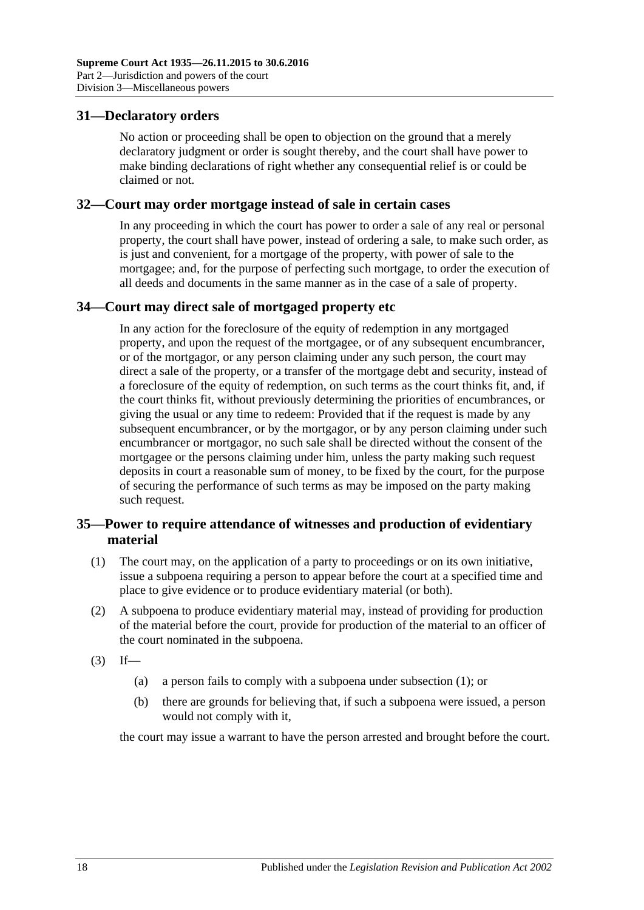### <span id="page-17-0"></span>**31—Declaratory orders**

No action or proceeding shall be open to objection on the ground that a merely declaratory judgment or order is sought thereby, and the court shall have power to make binding declarations of right whether any consequential relief is or could be claimed or not.

### <span id="page-17-1"></span>**32—Court may order mortgage instead of sale in certain cases**

In any proceeding in which the court has power to order a sale of any real or personal property, the court shall have power, instead of ordering a sale, to make such order, as is just and convenient, for a mortgage of the property, with power of sale to the mortgagee; and, for the purpose of perfecting such mortgage, to order the execution of all deeds and documents in the same manner as in the case of a sale of property.

### <span id="page-17-2"></span>**34—Court may direct sale of mortgaged property etc**

In any action for the foreclosure of the equity of redemption in any mortgaged property, and upon the request of the mortgagee, or of any subsequent encumbrancer, or of the mortgagor, or any person claiming under any such person, the court may direct a sale of the property, or a transfer of the mortgage debt and security, instead of a foreclosure of the equity of redemption, on such terms as the court thinks fit, and, if the court thinks fit, without previously determining the priorities of encumbrances, or giving the usual or any time to redeem: Provided that if the request is made by any subsequent encumbrancer, or by the mortgagor, or by any person claiming under such encumbrancer or mortgagor, no such sale shall be directed without the consent of the mortgagee or the persons claiming under him, unless the party making such request deposits in court a reasonable sum of money, to be fixed by the court, for the purpose of securing the performance of such terms as may be imposed on the party making such request.

### <span id="page-17-3"></span>**35—Power to require attendance of witnesses and production of evidentiary material**

- <span id="page-17-4"></span>(1) The court may, on the application of a party to proceedings or on its own initiative, issue a subpoena requiring a person to appear before the court at a specified time and place to give evidence or to produce evidentiary material (or both).
- (2) A subpoena to produce evidentiary material may, instead of providing for production of the material before the court, provide for production of the material to an officer of the court nominated in the subpoena.
- $(3)$  If—
	- (a) a person fails to comply with a subpoena under [subsection](#page-17-4) (1); or
	- (b) there are grounds for believing that, if such a subpoena were issued, a person would not comply with it,

the court may issue a warrant to have the person arrested and brought before the court.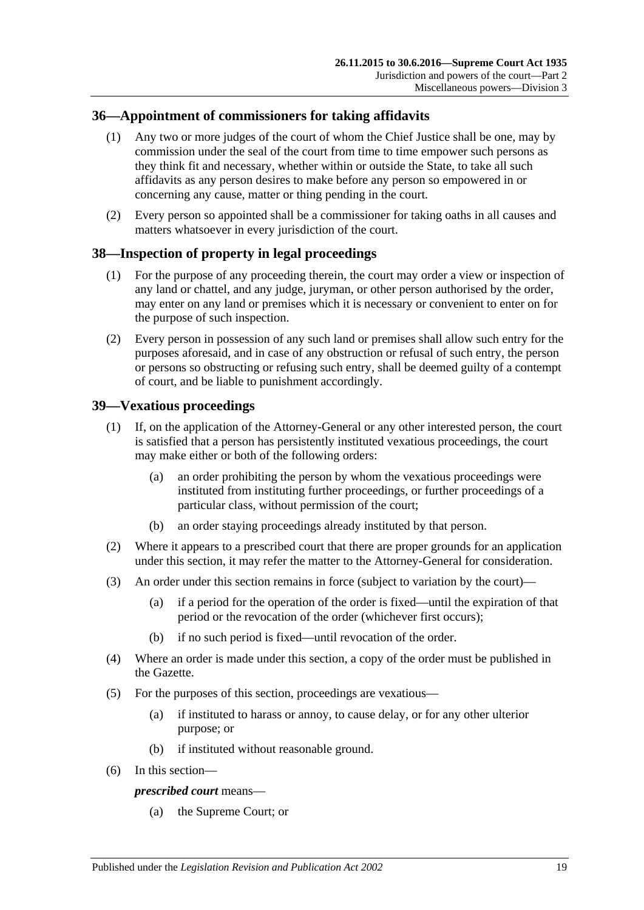### <span id="page-18-0"></span>**36—Appointment of commissioners for taking affidavits**

- (1) Any two or more judges of the court of whom the Chief Justice shall be one, may by commission under the seal of the court from time to time empower such persons as they think fit and necessary, whether within or outside the State, to take all such affidavits as any person desires to make before any person so empowered in or concerning any cause, matter or thing pending in the court.
- (2) Every person so appointed shall be a commissioner for taking oaths in all causes and matters whatsoever in every jurisdiction of the court.

### <span id="page-18-1"></span>**38—Inspection of property in legal proceedings**

- (1) For the purpose of any proceeding therein, the court may order a view or inspection of any land or chattel, and any judge, juryman, or other person authorised by the order, may enter on any land or premises which it is necessary or convenient to enter on for the purpose of such inspection.
- (2) Every person in possession of any such land or premises shall allow such entry for the purposes aforesaid, and in case of any obstruction or refusal of such entry, the person or persons so obstructing or refusing such entry, shall be deemed guilty of a contempt of court, and be liable to punishment accordingly.

### <span id="page-18-2"></span>**39—Vexatious proceedings**

- (1) If, on the application of the Attorney-General or any other interested person, the court is satisfied that a person has persistently instituted vexatious proceedings, the court may make either or both of the following orders:
	- (a) an order prohibiting the person by whom the vexatious proceedings were instituted from instituting further proceedings, or further proceedings of a particular class, without permission of the court;
	- (b) an order staying proceedings already instituted by that person.
- (2) Where it appears to a prescribed court that there are proper grounds for an application under this section, it may refer the matter to the Attorney-General for consideration.
- (3) An order under this section remains in force (subject to variation by the court)—
	- (a) if a period for the operation of the order is fixed—until the expiration of that period or the revocation of the order (whichever first occurs);
	- (b) if no such period is fixed—until revocation of the order.
- (4) Where an order is made under this section, a copy of the order must be published in the Gazette.
- (5) For the purposes of this section, proceedings are vexatious—
	- (a) if instituted to harass or annoy, to cause delay, or for any other ulterior purpose; or
	- (b) if instituted without reasonable ground.
- (6) In this section—

### *prescribed court* means—

(a) the Supreme Court; or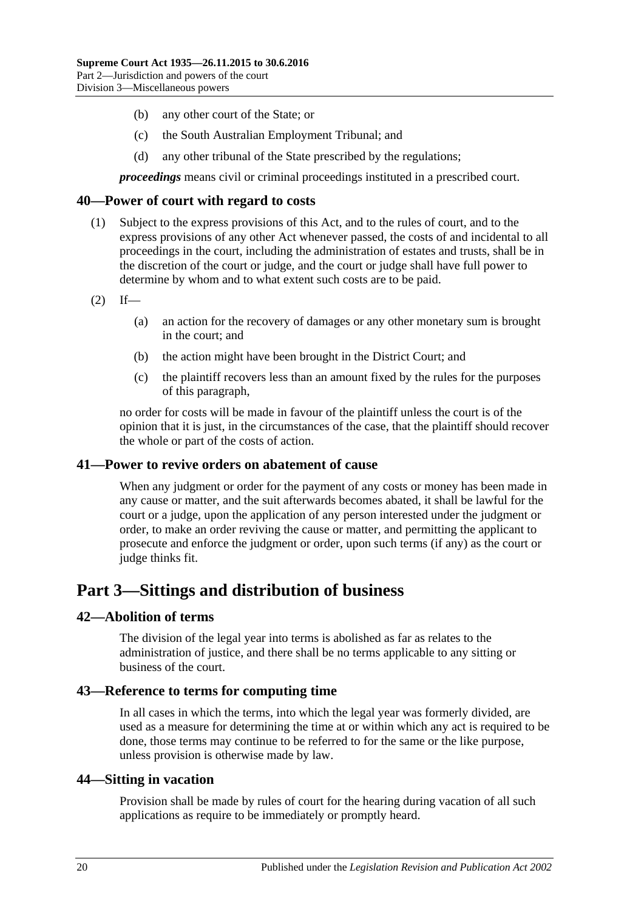- (b) any other court of the State; or
- (c) the South Australian Employment Tribunal; and
- (d) any other tribunal of the State prescribed by the regulations;

*proceedings* means civil or criminal proceedings instituted in a prescribed court.

### <span id="page-19-0"></span>**40—Power of court with regard to costs**

- (1) Subject to the express provisions of this Act, and to the rules of court, and to the express provisions of any other Act whenever passed, the costs of and incidental to all proceedings in the court, including the administration of estates and trusts, shall be in the discretion of the court or judge, and the court or judge shall have full power to determine by whom and to what extent such costs are to be paid.
- $(2)$  If—
	- (a) an action for the recovery of damages or any other monetary sum is brought in the court; and
	- (b) the action might have been brought in the District Court; and
	- (c) the plaintiff recovers less than an amount fixed by the rules for the purposes of this paragraph,

no order for costs will be made in favour of the plaintiff unless the court is of the opinion that it is just, in the circumstances of the case, that the plaintiff should recover the whole or part of the costs of action.

### <span id="page-19-1"></span>**41—Power to revive orders on abatement of cause**

When any judgment or order for the payment of any costs or money has been made in any cause or matter, and the suit afterwards becomes abated, it shall be lawful for the court or a judge, upon the application of any person interested under the judgment or order, to make an order reviving the cause or matter, and permitting the applicant to prosecute and enforce the judgment or order, upon such terms (if any) as the court or judge thinks fit.

# <span id="page-19-2"></span>**Part 3—Sittings and distribution of business**

### <span id="page-19-3"></span>**42—Abolition of terms**

The division of the legal year into terms is abolished as far as relates to the administration of justice, and there shall be no terms applicable to any sitting or business of the court.

### <span id="page-19-4"></span>**43—Reference to terms for computing time**

In all cases in which the terms, into which the legal year was formerly divided, are used as a measure for determining the time at or within which any act is required to be done, those terms may continue to be referred to for the same or the like purpose, unless provision is otherwise made by law.

### <span id="page-19-5"></span>**44—Sitting in vacation**

Provision shall be made by rules of court for the hearing during vacation of all such applications as require to be immediately or promptly heard.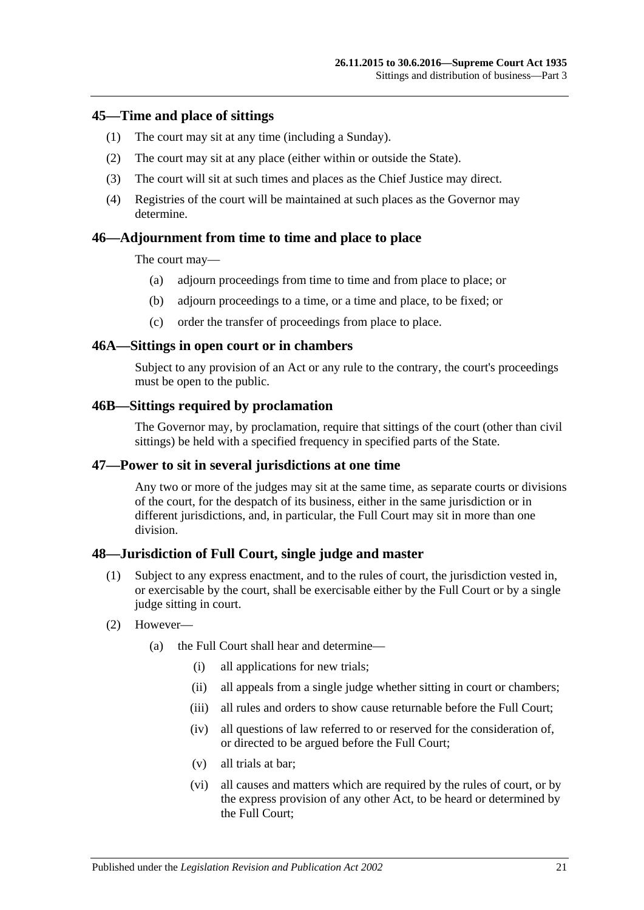### <span id="page-20-0"></span>**45—Time and place of sittings**

- (1) The court may sit at any time (including a Sunday).
- (2) The court may sit at any place (either within or outside the State).
- (3) The court will sit at such times and places as the Chief Justice may direct.
- (4) Registries of the court will be maintained at such places as the Governor may determine.

### <span id="page-20-1"></span>**46—Adjournment from time to time and place to place**

The court may—

- (a) adjourn proceedings from time to time and from place to place; or
- (b) adjourn proceedings to a time, or a time and place, to be fixed; or
- (c) order the transfer of proceedings from place to place.

#### <span id="page-20-2"></span>**46A—Sittings in open court or in chambers**

Subject to any provision of an Act or any rule to the contrary, the court's proceedings must be open to the public.

#### <span id="page-20-3"></span>**46B—Sittings required by proclamation**

The Governor may, by proclamation, require that sittings of the court (other than civil sittings) be held with a specified frequency in specified parts of the State.

### <span id="page-20-4"></span>**47—Power to sit in several jurisdictions at one time**

Any two or more of the judges may sit at the same time, as separate courts or divisions of the court, for the despatch of its business, either in the same jurisdiction or in different jurisdictions, and, in particular, the Full Court may sit in more than one division.

### <span id="page-20-5"></span>**48—Jurisdiction of Full Court, single judge and master**

- (1) Subject to any express enactment, and to the rules of court, the jurisdiction vested in, or exercisable by the court, shall be exercisable either by the Full Court or by a single judge sitting in court.
- (2) However—
	- (a) the Full Court shall hear and determine—
		- (i) all applications for new trials;
		- (ii) all appeals from a single judge whether sitting in court or chambers;
		- (iii) all rules and orders to show cause returnable before the Full Court:
		- (iv) all questions of law referred to or reserved for the consideration of, or directed to be argued before the Full Court;
		- (v) all trials at bar;
		- (vi) all causes and matters which are required by the rules of court, or by the express provision of any other Act, to be heard or determined by the Full Court;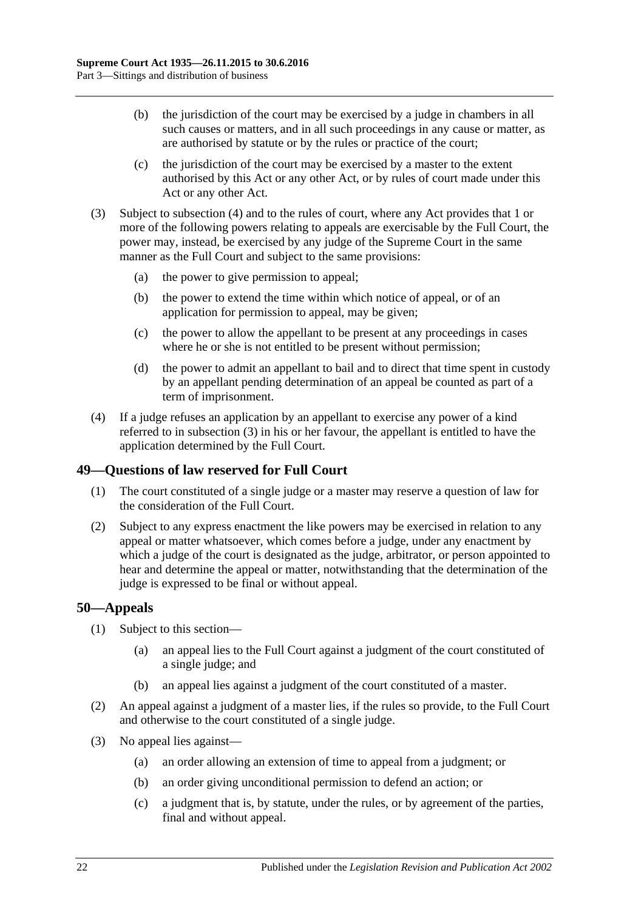- (b) the jurisdiction of the court may be exercised by a judge in chambers in all such causes or matters, and in all such proceedings in any cause or matter, as are authorised by statute or by the rules or practice of the court;
- (c) the jurisdiction of the court may be exercised by a master to the extent authorised by this Act or any other Act, or by rules of court made under this Act or any other Act.
- <span id="page-21-3"></span>(3) Subject to [subsection](#page-21-2) (4) and to the rules of court, where any Act provides that 1 or more of the following powers relating to appeals are exercisable by the Full Court, the power may, instead, be exercised by any judge of the Supreme Court in the same manner as the Full Court and subject to the same provisions:
	- (a) the power to give permission to appeal;
	- (b) the power to extend the time within which notice of appeal, or of an application for permission to appeal, may be given;
	- (c) the power to allow the appellant to be present at any proceedings in cases where he or she is not entitled to be present without permission;
	- (d) the power to admit an appellant to bail and to direct that time spent in custody by an appellant pending determination of an appeal be counted as part of a term of imprisonment.
- <span id="page-21-2"></span>(4) If a judge refuses an application by an appellant to exercise any power of a kind referred to in [subsection](#page-21-3) (3) in his or her favour, the appellant is entitled to have the application determined by the Full Court.

# <span id="page-21-0"></span>**49—Questions of law reserved for Full Court**

- (1) The court constituted of a single judge or a master may reserve a question of law for the consideration of the Full Court.
- (2) Subject to any express enactment the like powers may be exercised in relation to any appeal or matter whatsoever, which comes before a judge, under any enactment by which a judge of the court is designated as the judge, arbitrator, or person appointed to hear and determine the appeal or matter, notwithstanding that the determination of the judge is expressed to be final or without appeal.

### <span id="page-21-1"></span>**50—Appeals**

- (1) Subject to this section—
	- (a) an appeal lies to the Full Court against a judgment of the court constituted of a single judge; and
	- (b) an appeal lies against a judgment of the court constituted of a master.
- (2) An appeal against a judgment of a master lies, if the rules so provide, to the Full Court and otherwise to the court constituted of a single judge.
- (3) No appeal lies against—
	- (a) an order allowing an extension of time to appeal from a judgment; or
	- (b) an order giving unconditional permission to defend an action; or
	- (c) a judgment that is, by statute, under the rules, or by agreement of the parties, final and without appeal.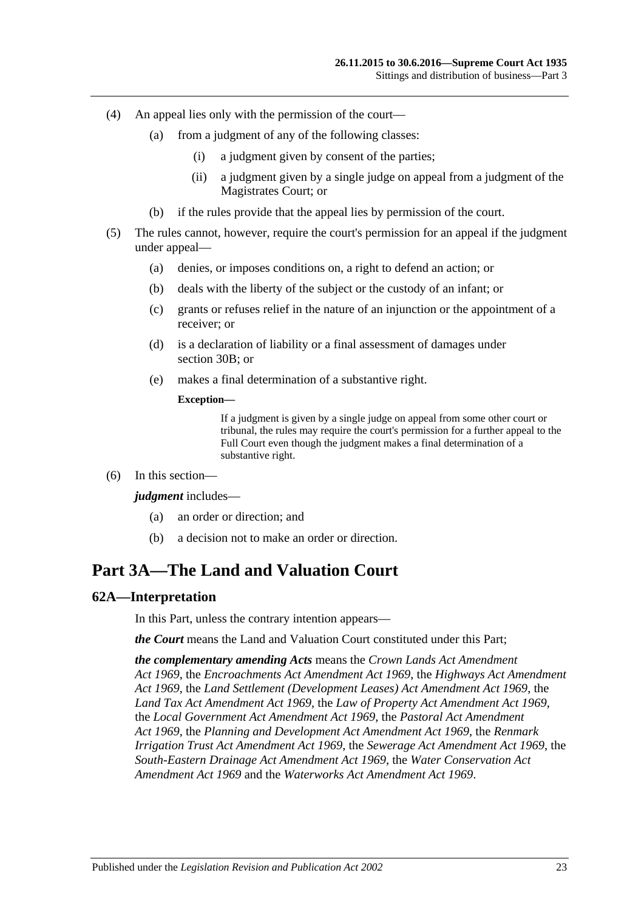- (4) An appeal lies only with the permission of the court—
	- (a) from a judgment of any of the following classes:
		- (i) a judgment given by consent of the parties;
		- (ii) a judgment given by a single judge on appeal from a judgment of the Magistrates Court; or
	- (b) if the rules provide that the appeal lies by permission of the court.
- (5) The rules cannot, however, require the court's permission for an appeal if the judgment under appeal—
	- (a) denies, or imposes conditions on, a right to defend an action; or
	- (b) deals with the liberty of the subject or the custody of an infant; or
	- (c) grants or refuses relief in the nature of an injunction or the appointment of a receiver; or
	- (d) is a declaration of liability or a final assessment of damages under [section](#page-13-4) 30B; or
	- (e) makes a final determination of a substantive right.

#### **Exception—**

If a judgment is given by a single judge on appeal from some other court or tribunal, the rules may require the court's permission for a further appeal to the Full Court even though the judgment makes a final determination of a substantive right.

(6) In this section—

#### *judgment* includes—

- (a) an order or direction; and
- (b) a decision not to make an order or direction.

# <span id="page-22-0"></span>**Part 3A—The Land and Valuation Court**

### <span id="page-22-1"></span>**62A—Interpretation**

In this Part, unless the contrary intention appears—

*the Court* means the Land and Valuation Court constituted under this Part;

*the complementary amending Acts* means the *[Crown Lands Act Amendment](http://www.legislation.sa.gov.au/index.aspx?action=legref&type=act&legtitle=Crown%20Lands%20Act%20Amendment%20Act%201969)  Act [1969](http://www.legislation.sa.gov.au/index.aspx?action=legref&type=act&legtitle=Crown%20Lands%20Act%20Amendment%20Act%201969)*, the *[Encroachments Act Amendment Act](http://www.legislation.sa.gov.au/index.aspx?action=legref&type=act&legtitle=Encroachments%20Act%20Amendment%20Act%201969) 1969*, the *[Highways Act Amendment](http://www.legislation.sa.gov.au/index.aspx?action=legref&type=act&legtitle=Highways%20Act%20Amendment%20Act%201969)  Act [1969](http://www.legislation.sa.gov.au/index.aspx?action=legref&type=act&legtitle=Highways%20Act%20Amendment%20Act%201969)*, the *[Land Settlement \(Development Leases\) Act Amendment Act](http://www.legislation.sa.gov.au/index.aspx?action=legref&type=act&legtitle=Land%20Settlement%20(Development%20Leases)%20Act%20Amendment%20Act%201969) 1969*, the *[Land Tax Act Amendment Act](http://www.legislation.sa.gov.au/index.aspx?action=legref&type=act&legtitle=Land%20Tax%20Act%20Amendment%20Act%201969) 1969*, the *[Law of Property Act Amendment Act](http://www.legislation.sa.gov.au/index.aspx?action=legref&type=act&legtitle=Law%20of%20Property%20Act%20Amendment%20Act%201969) 1969*, the *[Local Government Act Amendment Act](http://www.legislation.sa.gov.au/index.aspx?action=legref&type=act&legtitle=Local%20Government%20Act%20Amendment%20Act%201969) 1969*, the *Pastoral [Act Amendment](http://www.legislation.sa.gov.au/index.aspx?action=legref&type=act&legtitle=Pastoral%20Act%20Amendment%20Act%201969)  Act [1969](http://www.legislation.sa.gov.au/index.aspx?action=legref&type=act&legtitle=Pastoral%20Act%20Amendment%20Act%201969)*, the *[Planning and Development Act Amendment Act](http://www.legislation.sa.gov.au/index.aspx?action=legref&type=act&legtitle=Planning%20and%20Development%20Act%20Amendment%20Act%201969) 1969*, the *[Renmark](http://www.legislation.sa.gov.au/index.aspx?action=legref&type=act&legtitle=Renmark%20Irrigation%20Trust%20Act%20Amendment%20Act%201969)  [Irrigation Trust Act Amendment Act](http://www.legislation.sa.gov.au/index.aspx?action=legref&type=act&legtitle=Renmark%20Irrigation%20Trust%20Act%20Amendment%20Act%201969) 1969*, the *[Sewerage Act Amendment Act](http://www.legislation.sa.gov.au/index.aspx?action=legref&type=act&legtitle=Sewerage%20Act%20Amendment%20Act%201969) 1969*, the *[South-Eastern Drainage Act Amendment Act](http://www.legislation.sa.gov.au/index.aspx?action=legref&type=act&legtitle=South-Eastern%20Drainage%20Act%20Amendment%20Act%201969) 1969*, the *[Water Conservation Act](http://www.legislation.sa.gov.au/index.aspx?action=legref&type=act&legtitle=Water%20Conservation%20Act%20Amendment%20Act%201969)  [Amendment Act](http://www.legislation.sa.gov.au/index.aspx?action=legref&type=act&legtitle=Water%20Conservation%20Act%20Amendment%20Act%201969) 1969* and the *[Waterworks Act Amendment Act](http://www.legislation.sa.gov.au/index.aspx?action=legref&type=act&legtitle=Waterworks%20Act%20Amendment%20Act%201969) 1969*.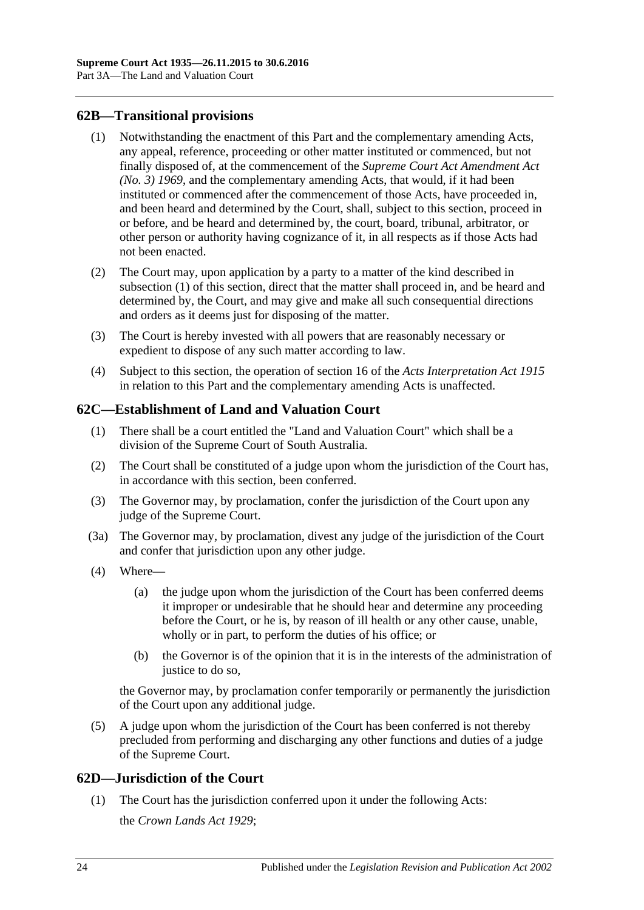### <span id="page-23-3"></span><span id="page-23-0"></span>**62B—Transitional provisions**

- (1) Notwithstanding the enactment of this Part and the complementary amending Acts, any appeal, reference, proceeding or other matter instituted or commenced, but not finally disposed of, at the commencement of the *[Supreme Court Act Amendment Act](http://www.legislation.sa.gov.au/index.aspx?action=legref&type=act&legtitle=Supreme%20Court%20Act%20Amendment%20Act%20(No.%203)%201969)  [\(No. 3\)](http://www.legislation.sa.gov.au/index.aspx?action=legref&type=act&legtitle=Supreme%20Court%20Act%20Amendment%20Act%20(No.%203)%201969) 1969*, and the complementary amending Acts, that would, if it had been instituted or commenced after the commencement of those Acts, have proceeded in, and been heard and determined by the Court, shall, subject to this section, proceed in or before, and be heard and determined by, the court, board, tribunal, arbitrator, or other person or authority having cognizance of it, in all respects as if those Acts had not been enacted.
- (2) The Court may, upon application by a party to a matter of the kind described in [subsection](#page-23-3) (1) of this section, direct that the matter shall proceed in, and be heard and determined by, the Court, and may give and make all such consequential directions and orders as it deems just for disposing of the matter.
- (3) The Court is hereby invested with all powers that are reasonably necessary or expedient to dispose of any such matter according to law.
- (4) Subject to this section, the operation of section 16 of the *[Acts Interpretation Act](http://www.legislation.sa.gov.au/index.aspx?action=legref&type=act&legtitle=Acts%20Interpretation%20Act%201915) 1915* in relation to this Part and the complementary amending Acts is unaffected.

### <span id="page-23-1"></span>**62C—Establishment of Land and Valuation Court**

- (1) There shall be a court entitled the "Land and Valuation Court" which shall be a division of the Supreme Court of South Australia.
- (2) The Court shall be constituted of a judge upon whom the jurisdiction of the Court has, in accordance with this section, been conferred.
- (3) The Governor may, by proclamation, confer the jurisdiction of the Court upon any judge of the Supreme Court.
- (3a) The Governor may, by proclamation, divest any judge of the jurisdiction of the Court and confer that jurisdiction upon any other judge.
- (4) Where—
	- (a) the judge upon whom the jurisdiction of the Court has been conferred deems it improper or undesirable that he should hear and determine any proceeding before the Court, or he is, by reason of ill health or any other cause, unable, wholly or in part, to perform the duties of his office; or
	- (b) the Governor is of the opinion that it is in the interests of the administration of justice to do so.

the Governor may, by proclamation confer temporarily or permanently the jurisdiction of the Court upon any additional judge.

(5) A judge upon whom the jurisdiction of the Court has been conferred is not thereby precluded from performing and discharging any other functions and duties of a judge of the Supreme Court.

### <span id="page-23-2"></span>**62D—Jurisdiction of the Court**

(1) The Court has the jurisdiction conferred upon it under the following Acts: the *[Crown Lands Act](http://www.legislation.sa.gov.au/index.aspx?action=legref&type=act&legtitle=Crown%20Lands%20Act%201929) 1929*;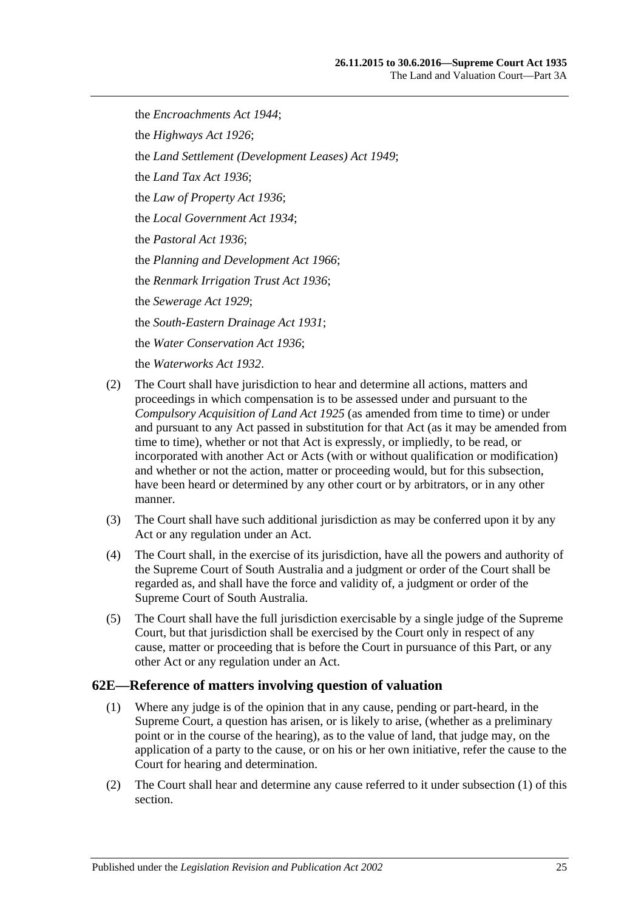the *[Encroachments Act](http://www.legislation.sa.gov.au/index.aspx?action=legref&type=act&legtitle=Encroachments%20Act%201944) 1944*; the *[Highways Act](http://www.legislation.sa.gov.au/index.aspx?action=legref&type=act&legtitle=Highways%20Act%201926) 1926*; the *[Land Settlement \(Development Leases\) Act](http://www.legislation.sa.gov.au/index.aspx?action=legref&type=act&legtitle=Land%20Settlement%20(Development%20Leases)%20Act%201949) 1949*; the *[Land Tax Act](http://www.legislation.sa.gov.au/index.aspx?action=legref&type=act&legtitle=Land%20Tax%20Act%201936) 1936*; the *[Law of Property Act](http://www.legislation.sa.gov.au/index.aspx?action=legref&type=act&legtitle=Law%20of%20Property%20Act%201936) 1936*; the *[Local Government Act](http://www.legislation.sa.gov.au/index.aspx?action=legref&type=act&legtitle=Local%20Government%20Act%201934) 1934*; the *[Pastoral Act](http://www.legislation.sa.gov.au/index.aspx?action=legref&type=act&legtitle=Pastoral%20Act%201936) 1936*; the *[Planning and Development Act](http://www.legislation.sa.gov.au/index.aspx?action=legref&type=act&legtitle=Planning%20and%20Development%20Act%201966) 1966*; the *[Renmark Irrigation Trust Act](http://www.legislation.sa.gov.au/index.aspx?action=legref&type=act&legtitle=Renmark%20Irrigation%20Trust%20Act%201936) 1936*; the *[Sewerage Act](http://www.legislation.sa.gov.au/index.aspx?action=legref&type=act&legtitle=Sewerage%20Act%201929) 1929*; the *[South-Eastern Drainage Act](http://www.legislation.sa.gov.au/index.aspx?action=legref&type=act&legtitle=South-Eastern%20Drainage%20Act%201931) 1931*; the *[Water Conservation Act](http://www.legislation.sa.gov.au/index.aspx?action=legref&type=act&legtitle=Water%20Conservation%20Act%201936) 1936*; the *[Waterworks Act](http://www.legislation.sa.gov.au/index.aspx?action=legref&type=act&legtitle=Waterworks%20Act%201932) 1932*.

- (2) The Court shall have jurisdiction to hear and determine all actions, matters and proceedings in which compensation is to be assessed under and pursuant to the *[Compulsory Acquisition of Land Act](http://www.legislation.sa.gov.au/index.aspx?action=legref&type=act&legtitle=Compulsory%20Acquisition%20of%20Land%20Act%201925) 1925* (as amended from time to time) or under and pursuant to any Act passed in substitution for that Act (as it may be amended from time to time), whether or not that Act is expressly, or impliedly, to be read, or incorporated with another Act or Acts (with or without qualification or modification) and whether or not the action, matter or proceeding would, but for this subsection, have been heard or determined by any other court or by arbitrators, or in any other manner.
- (3) The Court shall have such additional jurisdiction as may be conferred upon it by any Act or any regulation under an Act.
- (4) The Court shall, in the exercise of its jurisdiction, have all the powers and authority of the Supreme Court of South Australia and a judgment or order of the Court shall be regarded as, and shall have the force and validity of, a judgment or order of the Supreme Court of South Australia.
- (5) The Court shall have the full jurisdiction exercisable by a single judge of the Supreme Court, but that jurisdiction shall be exercised by the Court only in respect of any cause, matter or proceeding that is before the Court in pursuance of this Part, or any other Act or any regulation under an Act.

### <span id="page-24-1"></span><span id="page-24-0"></span>**62E—Reference of matters involving question of valuation**

- (1) Where any judge is of the opinion that in any cause, pending or part-heard, in the Supreme Court, a question has arisen, or is likely to arise, (whether as a preliminary point or in the course of the hearing), as to the value of land, that judge may, on the application of a party to the cause, or on his or her own initiative, refer the cause to the Court for hearing and determination.
- (2) The Court shall hear and determine any cause referred to it under [subsection](#page-24-1) (1) of this section.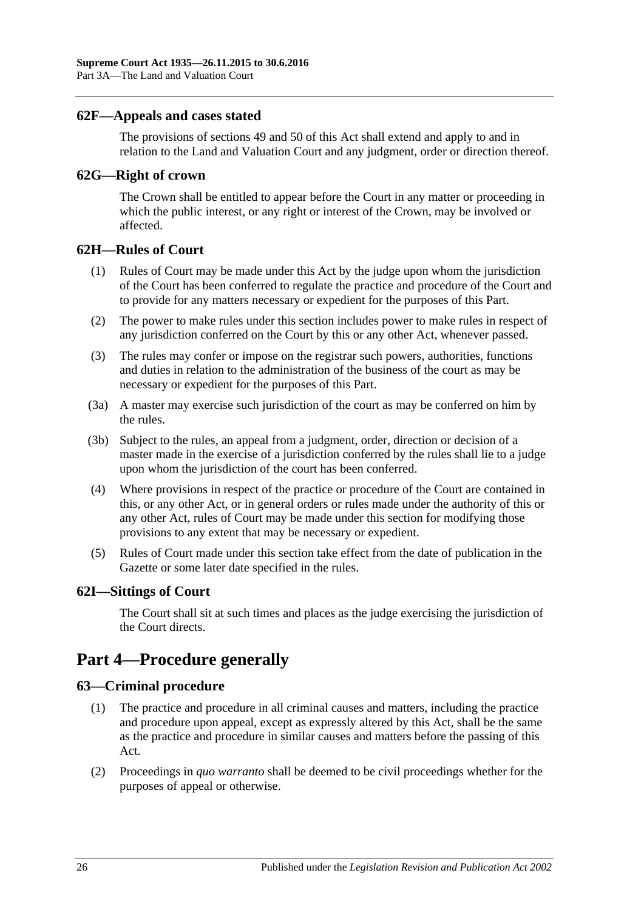### <span id="page-25-0"></span>**62F—Appeals and cases stated**

The provisions of [sections](#page-21-0) 49 and [50](#page-21-1) of this Act shall extend and apply to and in relation to the Land and Valuation Court and any judgment, order or direction thereof.

### <span id="page-25-1"></span>**62G—Right of crown**

The Crown shall be entitled to appear before the Court in any matter or proceeding in which the public interest, or any right or interest of the Crown, may be involved or affected.

### <span id="page-25-2"></span>**62H—Rules of Court**

- (1) Rules of Court may be made under this Act by the judge upon whom the jurisdiction of the Court has been conferred to regulate the practice and procedure of the Court and to provide for any matters necessary or expedient for the purposes of this Part.
- (2) The power to make rules under this section includes power to make rules in respect of any jurisdiction conferred on the Court by this or any other Act, whenever passed.
- (3) The rules may confer or impose on the registrar such powers, authorities, functions and duties in relation to the administration of the business of the court as may be necessary or expedient for the purposes of this Part.
- (3a) A master may exercise such jurisdiction of the court as may be conferred on him by the rules.
- (3b) Subject to the rules, an appeal from a judgment, order, direction or decision of a master made in the exercise of a jurisdiction conferred by the rules shall lie to a judge upon whom the jurisdiction of the court has been conferred.
- (4) Where provisions in respect of the practice or procedure of the Court are contained in this, or any other Act, or in general orders or rules made under the authority of this or any other Act, rules of Court may be made under this section for modifying those provisions to any extent that may be necessary or expedient.
- (5) Rules of Court made under this section take effect from the date of publication in the Gazette or some later date specified in the rules.

### <span id="page-25-3"></span>**62I—Sittings of Court**

The Court shall sit at such times and places as the judge exercising the jurisdiction of the Court directs.

# <span id="page-25-4"></span>**Part 4—Procedure generally**

### <span id="page-25-5"></span>**63—Criminal procedure**

- (1) The practice and procedure in all criminal causes and matters, including the practice and procedure upon appeal, except as expressly altered by this Act, shall be the same as the practice and procedure in similar causes and matters before the passing of this Act.
- (2) Proceedings in *quo warranto* shall be deemed to be civil proceedings whether for the purposes of appeal or otherwise.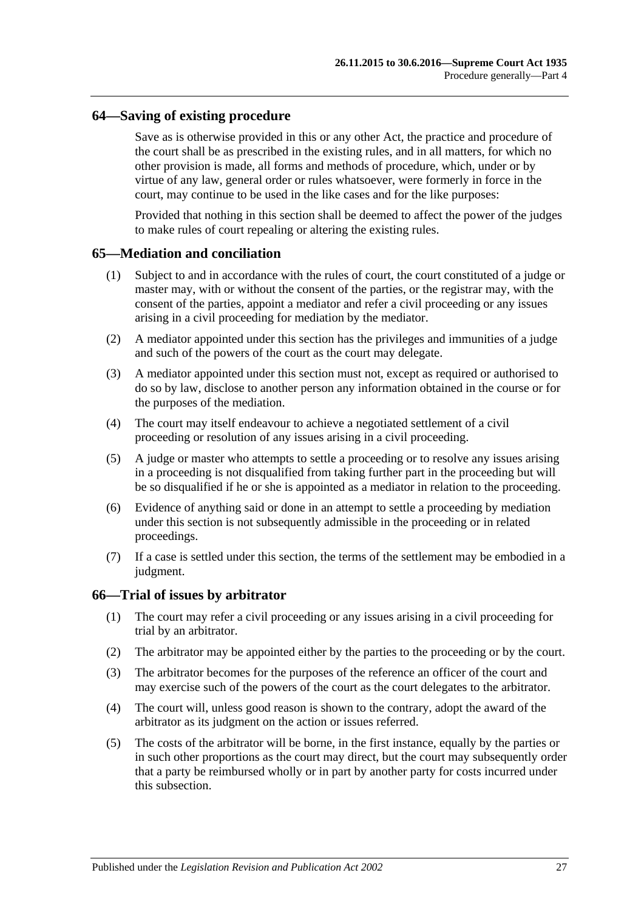### <span id="page-26-0"></span>**64—Saving of existing procedure**

Save as is otherwise provided in this or any other Act, the practice and procedure of the court shall be as prescribed in the existing rules, and in all matters, for which no other provision is made, all forms and methods of procedure, which, under or by virtue of any law, general order or rules whatsoever, were formerly in force in the court, may continue to be used in the like cases and for the like purposes:

Provided that nothing in this section shall be deemed to affect the power of the judges to make rules of court repealing or altering the existing rules.

### <span id="page-26-1"></span>**65—Mediation and conciliation**

- (1) Subject to and in accordance with the rules of court, the court constituted of a judge or master may, with or without the consent of the parties, or the registrar may, with the consent of the parties, appoint a mediator and refer a civil proceeding or any issues arising in a civil proceeding for mediation by the mediator.
- (2) A mediator appointed under this section has the privileges and immunities of a judge and such of the powers of the court as the court may delegate.
- (3) A mediator appointed under this section must not, except as required or authorised to do so by law, disclose to another person any information obtained in the course or for the purposes of the mediation.
- (4) The court may itself endeavour to achieve a negotiated settlement of a civil proceeding or resolution of any issues arising in a civil proceeding.
- (5) A judge or master who attempts to settle a proceeding or to resolve any issues arising in a proceeding is not disqualified from taking further part in the proceeding but will be so disqualified if he or she is appointed as a mediator in relation to the proceeding.
- (6) Evidence of anything said or done in an attempt to settle a proceeding by mediation under this section is not subsequently admissible in the proceeding or in related proceedings.
- (7) If a case is settled under this section, the terms of the settlement may be embodied in a judgment.

#### <span id="page-26-2"></span>**66—Trial of issues by arbitrator**

- (1) The court may refer a civil proceeding or any issues arising in a civil proceeding for trial by an arbitrator.
- (2) The arbitrator may be appointed either by the parties to the proceeding or by the court.
- (3) The arbitrator becomes for the purposes of the reference an officer of the court and may exercise such of the powers of the court as the court delegates to the arbitrator.
- (4) The court will, unless good reason is shown to the contrary, adopt the award of the arbitrator as its judgment on the action or issues referred.
- (5) The costs of the arbitrator will be borne, in the first instance, equally by the parties or in such other proportions as the court may direct, but the court may subsequently order that a party be reimbursed wholly or in part by another party for costs incurred under this subsection.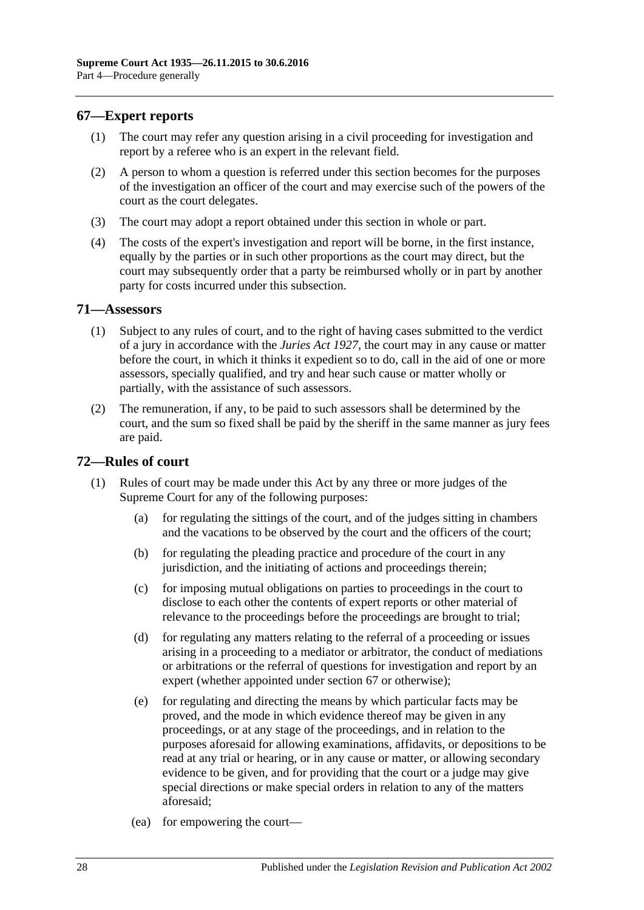### <span id="page-27-0"></span>**67—Expert reports**

- (1) The court may refer any question arising in a civil proceeding for investigation and report by a referee who is an expert in the relevant field.
- (2) A person to whom a question is referred under this section becomes for the purposes of the investigation an officer of the court and may exercise such of the powers of the court as the court delegates.
- (3) The court may adopt a report obtained under this section in whole or part.
- (4) The costs of the expert's investigation and report will be borne, in the first instance, equally by the parties or in such other proportions as the court may direct, but the court may subsequently order that a party be reimbursed wholly or in part by another party for costs incurred under this subsection.

### <span id="page-27-1"></span>**71—Assessors**

- (1) Subject to any rules of court, and to the right of having cases submitted to the verdict of a jury in accordance with the *[Juries Act](http://www.legislation.sa.gov.au/index.aspx?action=legref&type=act&legtitle=Juries%20Act%201927) 1927*, the court may in any cause or matter before the court, in which it thinks it expedient so to do, call in the aid of one or more assessors, specially qualified, and try and hear such cause or matter wholly or partially, with the assistance of such assessors.
- (2) The remuneration, if any, to be paid to such assessors shall be determined by the court, and the sum so fixed shall be paid by the sheriff in the same manner as jury fees are paid.

### <span id="page-27-2"></span>**72—Rules of court**

- (1) Rules of court may be made under this Act by any three or more judges of the Supreme Court for any of the following purposes:
	- (a) for regulating the sittings of the court, and of the judges sitting in chambers and the vacations to be observed by the court and the officers of the court;
	- (b) for regulating the pleading practice and procedure of the court in any jurisdiction, and the initiating of actions and proceedings therein;
	- (c) for imposing mutual obligations on parties to proceedings in the court to disclose to each other the contents of expert reports or other material of relevance to the proceedings before the proceedings are brought to trial;
	- (d) for regulating any matters relating to the referral of a proceeding or issues arising in a proceeding to a mediator or arbitrator, the conduct of mediations or arbitrations or the referral of questions for investigation and report by an expert (whether appointed under [section](#page-27-0) 67 or otherwise);
	- (e) for regulating and directing the means by which particular facts may be proved, and the mode in which evidence thereof may be given in any proceedings, or at any stage of the proceedings, and in relation to the purposes aforesaid for allowing examinations, affidavits, or depositions to be read at any trial or hearing, or in any cause or matter, or allowing secondary evidence to be given, and for providing that the court or a judge may give special directions or make special orders in relation to any of the matters aforesaid;
	- (ea) for empowering the court—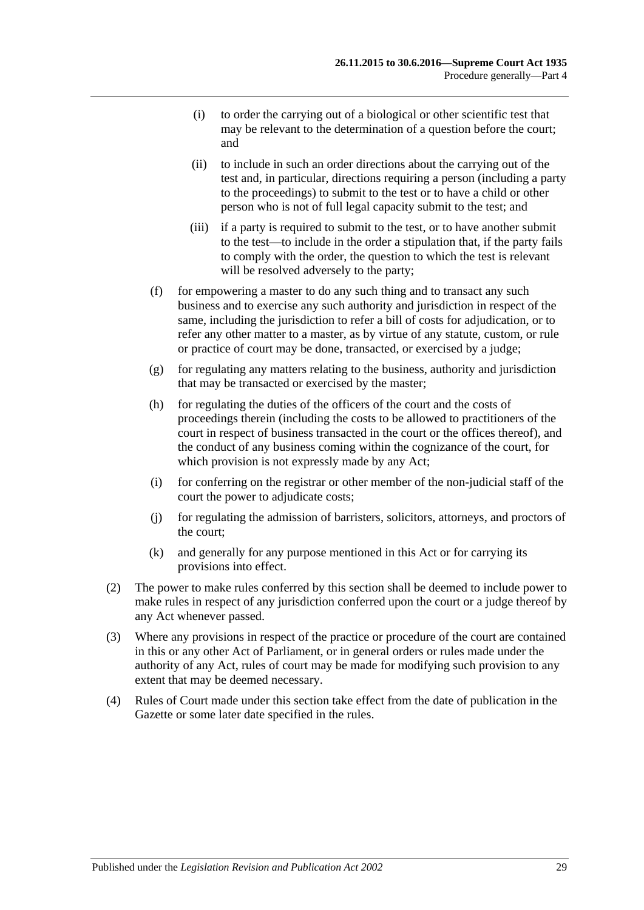- (i) to order the carrying out of a biological or other scientific test that may be relevant to the determination of a question before the court; and
- (ii) to include in such an order directions about the carrying out of the test and, in particular, directions requiring a person (including a party to the proceedings) to submit to the test or to have a child or other person who is not of full legal capacity submit to the test; and
- (iii) if a party is required to submit to the test, or to have another submit to the test—to include in the order a stipulation that, if the party fails to comply with the order, the question to which the test is relevant will be resolved adversely to the party;
- (f) for empowering a master to do any such thing and to transact any such business and to exercise any such authority and jurisdiction in respect of the same, including the jurisdiction to refer a bill of costs for adjudication, or to refer any other matter to a master, as by virtue of any statute, custom, or rule or practice of court may be done, transacted, or exercised by a judge;
- (g) for regulating any matters relating to the business, authority and jurisdiction that may be transacted or exercised by the master;
- (h) for regulating the duties of the officers of the court and the costs of proceedings therein (including the costs to be allowed to practitioners of the court in respect of business transacted in the court or the offices thereof), and the conduct of any business coming within the cognizance of the court, for which provision is not expressly made by any Act;
- (i) for conferring on the registrar or other member of the non-judicial staff of the court the power to adjudicate costs;
- (j) for regulating the admission of barristers, solicitors, attorneys, and proctors of the court;
- (k) and generally for any purpose mentioned in this Act or for carrying its provisions into effect.
- (2) The power to make rules conferred by this section shall be deemed to include power to make rules in respect of any jurisdiction conferred upon the court or a judge thereof by any Act whenever passed.
- (3) Where any provisions in respect of the practice or procedure of the court are contained in this or any other Act of Parliament, or in general orders or rules made under the authority of any Act, rules of court may be made for modifying such provision to any extent that may be deemed necessary.
- (4) Rules of Court made under this section take effect from the date of publication in the Gazette or some later date specified in the rules.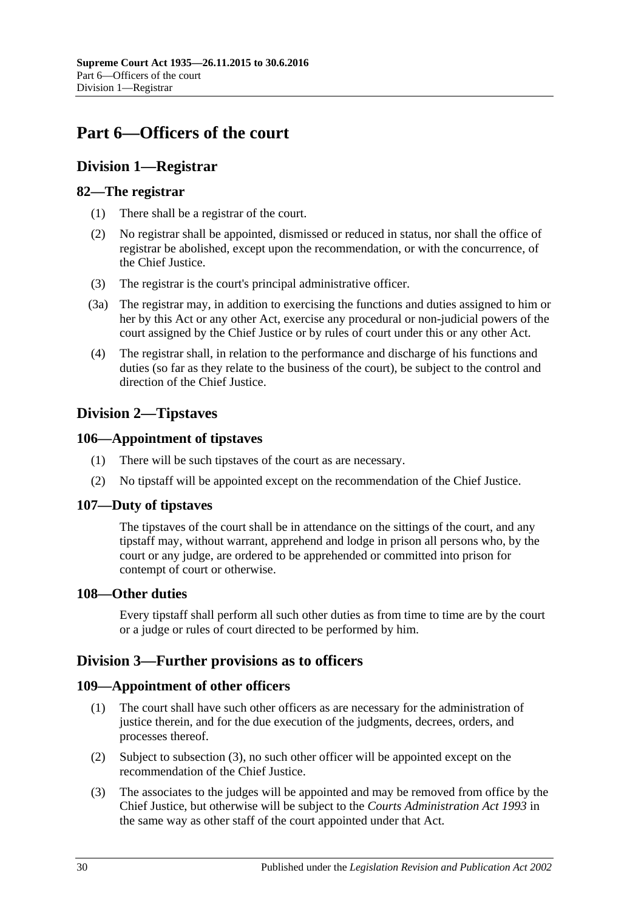# <span id="page-29-0"></span>**Part 6—Officers of the court**

# <span id="page-29-1"></span>**Division 1—Registrar**

### <span id="page-29-2"></span>**82—The registrar**

- (1) There shall be a registrar of the court.
- (2) No registrar shall be appointed, dismissed or reduced in status, nor shall the office of registrar be abolished, except upon the recommendation, or with the concurrence, of the Chief Justice.
- (3) The registrar is the court's principal administrative officer.
- (3a) The registrar may, in addition to exercising the functions and duties assigned to him or her by this Act or any other Act, exercise any procedural or non-judicial powers of the court assigned by the Chief Justice or by rules of court under this or any other Act.
- (4) The registrar shall, in relation to the performance and discharge of his functions and duties (so far as they relate to the business of the court), be subject to the control and direction of the Chief Justice.

# <span id="page-29-3"></span>**Division 2—Tipstaves**

### <span id="page-29-4"></span>**106—Appointment of tipstaves**

- (1) There will be such tipstaves of the court as are necessary.
- (2) No tipstaff will be appointed except on the recommendation of the Chief Justice.

### <span id="page-29-5"></span>**107—Duty of tipstaves**

The tipstaves of the court shall be in attendance on the sittings of the court, and any tipstaff may, without warrant, apprehend and lodge in prison all persons who, by the court or any judge, are ordered to be apprehended or committed into prison for contempt of court or otherwise.

### <span id="page-29-6"></span>**108—Other duties**

Every tipstaff shall perform all such other duties as from time to time are by the court or a judge or rules of court directed to be performed by him.

# <span id="page-29-7"></span>**Division 3—Further provisions as to officers**

# <span id="page-29-8"></span>**109—Appointment of other officers**

- (1) The court shall have such other officers as are necessary for the administration of justice therein, and for the due execution of the judgments, decrees, orders, and processes thereof.
- (2) Subject to [subsection](#page-29-9) (3), no such other officer will be appointed except on the recommendation of the Chief Justice.
- <span id="page-29-9"></span>(3) The associates to the judges will be appointed and may be removed from office by the Chief Justice, but otherwise will be subject to the *[Courts Administration Act](http://www.legislation.sa.gov.au/index.aspx?action=legref&type=act&legtitle=Courts%20Administration%20Act%201993) 1993* in the same way as other staff of the court appointed under that Act.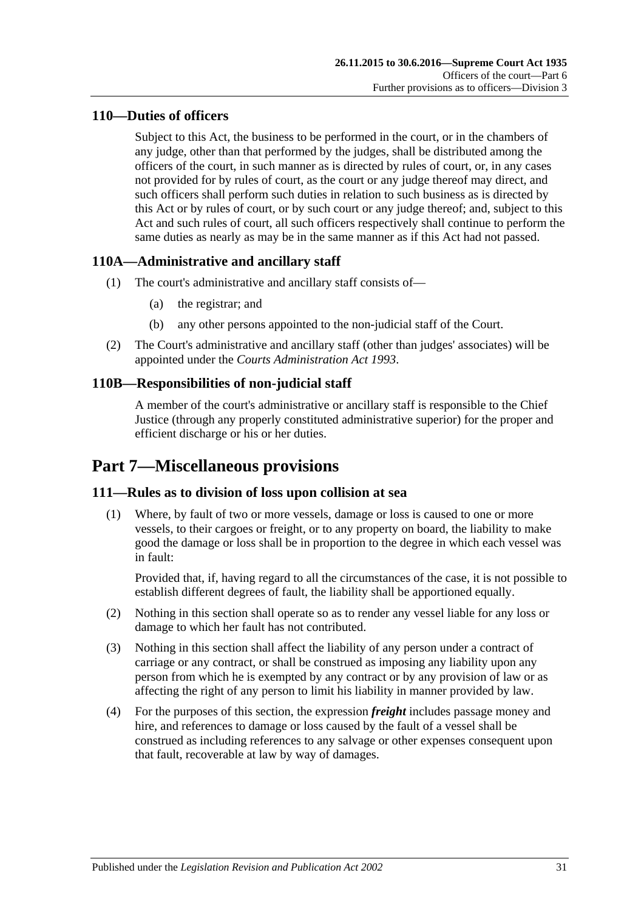## <span id="page-30-0"></span>**110—Duties of officers**

Subject to this Act, the business to be performed in the court, or in the chambers of any judge, other than that performed by the judges, shall be distributed among the officers of the court, in such manner as is directed by rules of court, or, in any cases not provided for by rules of court, as the court or any judge thereof may direct, and such officers shall perform such duties in relation to such business as is directed by this Act or by rules of court, or by such court or any judge thereof; and, subject to this Act and such rules of court, all such officers respectively shall continue to perform the same duties as nearly as may be in the same manner as if this Act had not passed.

### <span id="page-30-1"></span>**110A—Administrative and ancillary staff**

- (1) The court's administrative and ancillary staff consists of—
	- (a) the registrar; and
	- (b) any other persons appointed to the non-judicial staff of the Court.
- (2) The Court's administrative and ancillary staff (other than judges' associates) will be appointed under the *[Courts Administration Act](http://www.legislation.sa.gov.au/index.aspx?action=legref&type=act&legtitle=Courts%20Administration%20Act%201993) 1993*.

# <span id="page-30-2"></span>**110B—Responsibilities of non-judicial staff**

A member of the court's administrative or ancillary staff is responsible to the Chief Justice (through any properly constituted administrative superior) for the proper and efficient discharge or his or her duties.

# <span id="page-30-3"></span>**Part 7—Miscellaneous provisions**

### <span id="page-30-4"></span>**111—Rules as to division of loss upon collision at sea**

(1) Where, by fault of two or more vessels, damage or loss is caused to one or more vessels, to their cargoes or freight, or to any property on board, the liability to make good the damage or loss shall be in proportion to the degree in which each vessel was in fault:

Provided that, if, having regard to all the circumstances of the case, it is not possible to establish different degrees of fault, the liability shall be apportioned equally.

- (2) Nothing in this section shall operate so as to render any vessel liable for any loss or damage to which her fault has not contributed.
- (3) Nothing in this section shall affect the liability of any person under a contract of carriage or any contract, or shall be construed as imposing any liability upon any person from which he is exempted by any contract or by any provision of law or as affecting the right of any person to limit his liability in manner provided by law.
- (4) For the purposes of this section, the expression *freight* includes passage money and hire, and references to damage or loss caused by the fault of a vessel shall be construed as including references to any salvage or other expenses consequent upon that fault, recoverable at law by way of damages.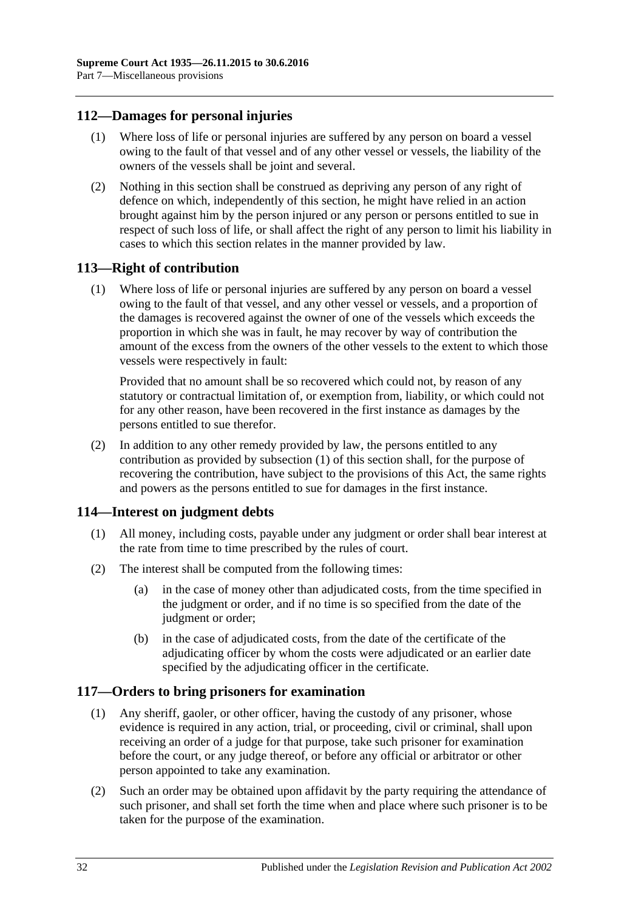### <span id="page-31-0"></span>**112—Damages for personal injuries**

- (1) Where loss of life or personal injuries are suffered by any person on board a vessel owing to the fault of that vessel and of any other vessel or vessels, the liability of the owners of the vessels shall be joint and several.
- (2) Nothing in this section shall be construed as depriving any person of any right of defence on which, independently of this section, he might have relied in an action brought against him by the person injured or any person or persons entitled to sue in respect of such loss of life, or shall affect the right of any person to limit his liability in cases to which this section relates in the manner provided by law.

### <span id="page-31-4"></span><span id="page-31-1"></span>**113—Right of contribution**

(1) Where loss of life or personal injuries are suffered by any person on board a vessel owing to the fault of that vessel, and any other vessel or vessels, and a proportion of the damages is recovered against the owner of one of the vessels which exceeds the proportion in which she was in fault, he may recover by way of contribution the amount of the excess from the owners of the other vessels to the extent to which those vessels were respectively in fault:

Provided that no amount shall be so recovered which could not, by reason of any statutory or contractual limitation of, or exemption from, liability, or which could not for any other reason, have been recovered in the first instance as damages by the persons entitled to sue therefor.

(2) In addition to any other remedy provided by law, the persons entitled to any contribution as provided by [subsection](#page-31-4) (1) of this section shall, for the purpose of recovering the contribution, have subject to the provisions of this Act, the same rights and powers as the persons entitled to sue for damages in the first instance.

### <span id="page-31-2"></span>**114—Interest on judgment debts**

- (1) All money, including costs, payable under any judgment or order shall bear interest at the rate from time to time prescribed by the rules of court.
- (2) The interest shall be computed from the following times:
	- (a) in the case of money other than adjudicated costs, from the time specified in the judgment or order, and if no time is so specified from the date of the judgment or order;
	- (b) in the case of adjudicated costs, from the date of the certificate of the adjudicating officer by whom the costs were adjudicated or an earlier date specified by the adjudicating officer in the certificate.

# <span id="page-31-3"></span>**117—Orders to bring prisoners for examination**

- (1) Any sheriff, gaoler, or other officer, having the custody of any prisoner, whose evidence is required in any action, trial, or proceeding, civil or criminal, shall upon receiving an order of a judge for that purpose, take such prisoner for examination before the court, or any judge thereof, or before any official or arbitrator or other person appointed to take any examination.
- (2) Such an order may be obtained upon affidavit by the party requiring the attendance of such prisoner, and shall set forth the time when and place where such prisoner is to be taken for the purpose of the examination.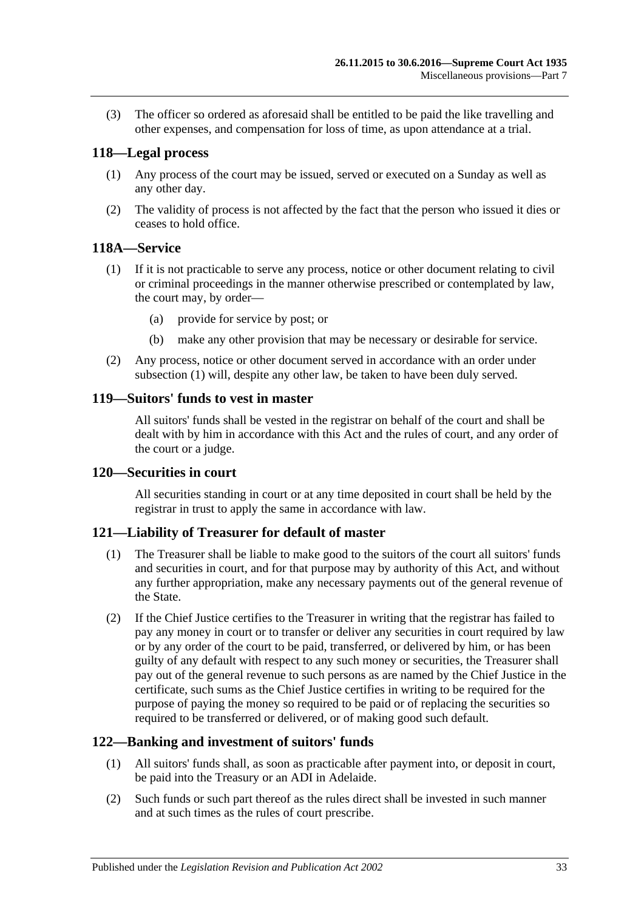(3) The officer so ordered as aforesaid shall be entitled to be paid the like travelling and other expenses, and compensation for loss of time, as upon attendance at a trial.

### <span id="page-32-0"></span>**118—Legal process**

- (1) Any process of the court may be issued, served or executed on a Sunday as well as any other day.
- (2) The validity of process is not affected by the fact that the person who issued it dies or ceases to hold office.

### <span id="page-32-6"></span><span id="page-32-1"></span>**118A—Service**

- (1) If it is not practicable to serve any process, notice or other document relating to civil or criminal proceedings in the manner otherwise prescribed or contemplated by law, the court may, by order—
	- (a) provide for service by post; or
	- (b) make any other provision that may be necessary or desirable for service.
- (2) Any process, notice or other document served in accordance with an order under [subsection](#page-32-6) (1) will, despite any other law, be taken to have been duly served.

### <span id="page-32-2"></span>**119—Suitors' funds to vest in master**

All suitors' funds shall be vested in the registrar on behalf of the court and shall be dealt with by him in accordance with this Act and the rules of court, and any order of the court or a judge.

### <span id="page-32-3"></span>**120—Securities in court**

All securities standing in court or at any time deposited in court shall be held by the registrar in trust to apply the same in accordance with law.

### <span id="page-32-4"></span>**121—Liability of Treasurer for default of master**

- (1) The Treasurer shall be liable to make good to the suitors of the court all suitors' funds and securities in court, and for that purpose may by authority of this Act, and without any further appropriation, make any necessary payments out of the general revenue of the State.
- (2) If the Chief Justice certifies to the Treasurer in writing that the registrar has failed to pay any money in court or to transfer or deliver any securities in court required by law or by any order of the court to be paid, transferred, or delivered by him, or has been guilty of any default with respect to any such money or securities, the Treasurer shall pay out of the general revenue to such persons as are named by the Chief Justice in the certificate, such sums as the Chief Justice certifies in writing to be required for the purpose of paying the money so required to be paid or of replacing the securities so required to be transferred or delivered, or of making good such default.

### <span id="page-32-5"></span>**122—Banking and investment of suitors' funds**

- (1) All suitors' funds shall, as soon as practicable after payment into, or deposit in court, be paid into the Treasury or an ADI in Adelaide.
- (2) Such funds or such part thereof as the rules direct shall be invested in such manner and at such times as the rules of court prescribe.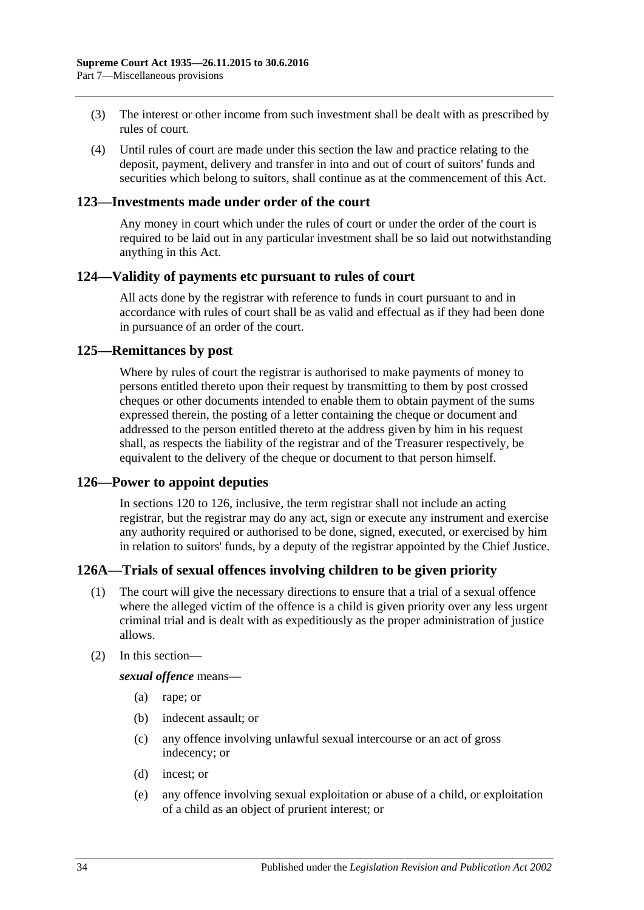- (3) The interest or other income from such investment shall be dealt with as prescribed by rules of court.
- (4) Until rules of court are made under this section the law and practice relating to the deposit, payment, delivery and transfer in into and out of court of suitors' funds and securities which belong to suitors, shall continue as at the commencement of this Act.

### <span id="page-33-0"></span>**123—Investments made under order of the court**

Any money in court which under the rules of court or under the order of the court is required to be laid out in any particular investment shall be so laid out notwithstanding anything in this Act.

### <span id="page-33-1"></span>**124—Validity of payments etc pursuant to rules of court**

All acts done by the registrar with reference to funds in court pursuant to and in accordance with rules of court shall be as valid and effectual as if they had been done in pursuance of an order of the court.

### <span id="page-33-2"></span>**125—Remittances by post**

Where by rules of court the registrar is authorised to make payments of money to persons entitled thereto upon their request by transmitting to them by post crossed cheques or other documents intended to enable them to obtain payment of the sums expressed therein, the posting of a letter containing the cheque or document and addressed to the person entitled thereto at the address given by him in his request shall, as respects the liability of the registrar and of the Treasurer respectively, be equivalent to the delivery of the cheque or document to that person himself.

### <span id="page-33-3"></span>**126—Power to appoint deputies**

In [sections](#page-32-3) 120 to 126, inclusive, the term registrar shall not include an acting registrar, but the registrar may do any act, sign or execute any instrument and exercise any authority required or authorised to be done, signed, executed, or exercised by him in relation to suitors' funds, by a deputy of the registrar appointed by the Chief Justice.

### <span id="page-33-4"></span>**126A—Trials of sexual offences involving children to be given priority**

- (1) The court will give the necessary directions to ensure that a trial of a sexual offence where the alleged victim of the offence is a child is given priority over any less urgent criminal trial and is dealt with as expeditiously as the proper administration of justice allows.
- (2) In this section—

*sexual offence* means—

- (a) rape; or
- (b) indecent assault; or
- (c) any offence involving unlawful sexual intercourse or an act of gross indecency; or
- (d) incest; or
- (e) any offence involving sexual exploitation or abuse of a child, or exploitation of a child as an object of prurient interest; or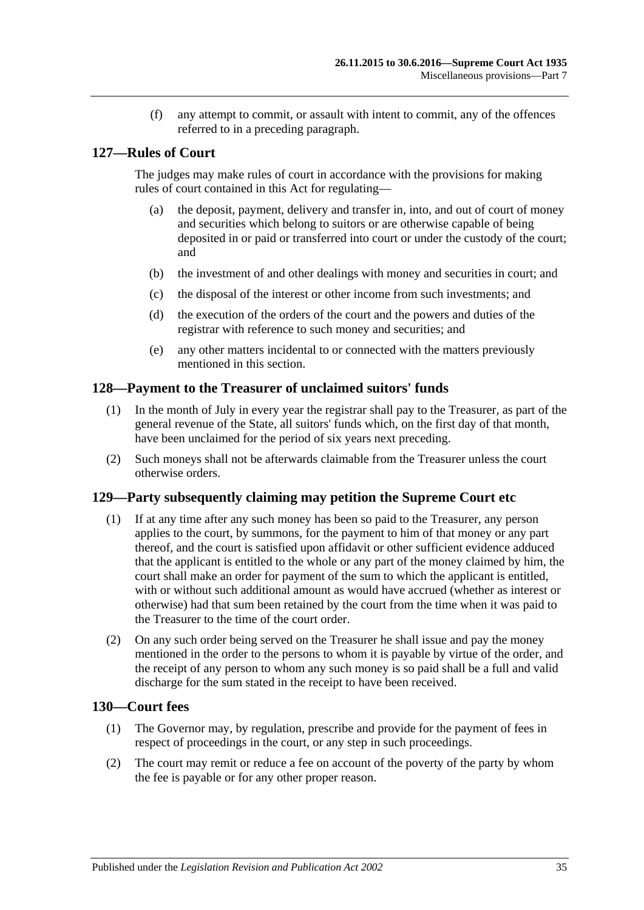(f) any attempt to commit, or assault with intent to commit, any of the offences referred to in a preceding paragraph.

### <span id="page-34-0"></span>**127—Rules of Court**

The judges may make rules of court in accordance with the provisions for making rules of court contained in this Act for regulating—

- (a) the deposit, payment, delivery and transfer in, into, and out of court of money and securities which belong to suitors or are otherwise capable of being deposited in or paid or transferred into court or under the custody of the court; and
- (b) the investment of and other dealings with money and securities in court; and
- (c) the disposal of the interest or other income from such investments; and
- (d) the execution of the orders of the court and the powers and duties of the registrar with reference to such money and securities; and
- (e) any other matters incidental to or connected with the matters previously mentioned in this section.

### <span id="page-34-1"></span>**128—Payment to the Treasurer of unclaimed suitors' funds**

- (1) In the month of July in every year the registrar shall pay to the Treasurer, as part of the general revenue of the State, all suitors' funds which, on the first day of that month, have been unclaimed for the period of six years next preceding.
- (2) Such moneys shall not be afterwards claimable from the Treasurer unless the court otherwise orders.

### <span id="page-34-2"></span>**129—Party subsequently claiming may petition the Supreme Court etc**

- (1) If at any time after any such money has been so paid to the Treasurer, any person applies to the court, by summons, for the payment to him of that money or any part thereof, and the court is satisfied upon affidavit or other sufficient evidence adduced that the applicant is entitled to the whole or any part of the money claimed by him, the court shall make an order for payment of the sum to which the applicant is entitled, with or without such additional amount as would have accrued (whether as interest or otherwise) had that sum been retained by the court from the time when it was paid to the Treasurer to the time of the court order.
- (2) On any such order being served on the Treasurer he shall issue and pay the money mentioned in the order to the persons to whom it is payable by virtue of the order, and the receipt of any person to whom any such money is so paid shall be a full and valid discharge for the sum stated in the receipt to have been received.

### <span id="page-34-3"></span>**130—Court fees**

- (1) The Governor may, by regulation, prescribe and provide for the payment of fees in respect of proceedings in the court, or any step in such proceedings.
- (2) The court may remit or reduce a fee on account of the poverty of the party by whom the fee is payable or for any other proper reason.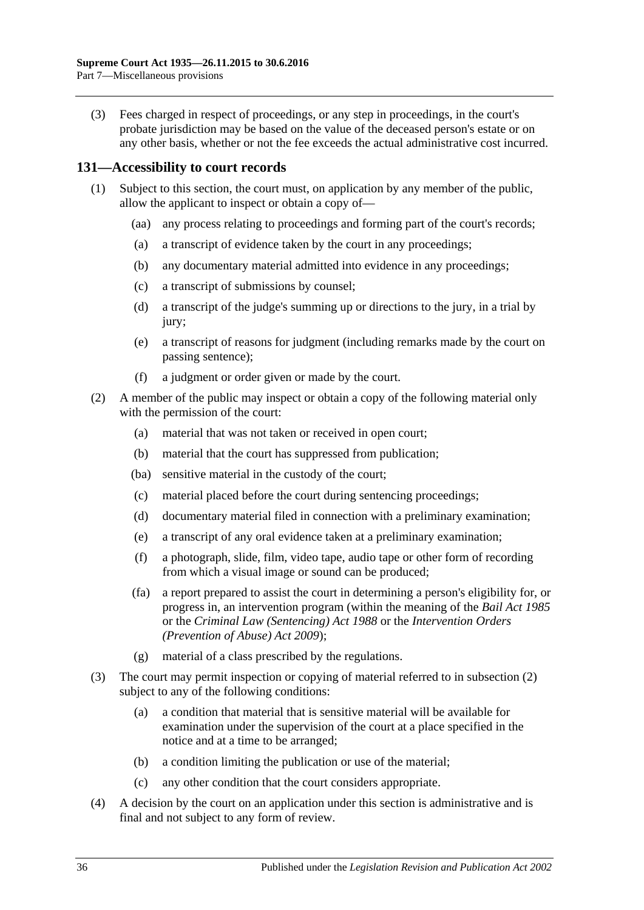(3) Fees charged in respect of proceedings, or any step in proceedings, in the court's probate jurisdiction may be based on the value of the deceased person's estate or on any other basis, whether or not the fee exceeds the actual administrative cost incurred.

### <span id="page-35-0"></span>**131—Accessibility to court records**

- (1) Subject to this section, the court must, on application by any member of the public, allow the applicant to inspect or obtain a copy of—
	- (aa) any process relating to proceedings and forming part of the court's records;
	- (a) a transcript of evidence taken by the court in any proceedings;
	- (b) any documentary material admitted into evidence in any proceedings;
	- (c) a transcript of submissions by counsel;
	- (d) a transcript of the judge's summing up or directions to the jury, in a trial by jury;
	- (e) a transcript of reasons for judgment (including remarks made by the court on passing sentence);
	- (f) a judgment or order given or made by the court.
- <span id="page-35-1"></span>(2) A member of the public may inspect or obtain a copy of the following material only with the permission of the court:
	- (a) material that was not taken or received in open court;
	- (b) material that the court has suppressed from publication;
	- (ba) sensitive material in the custody of the court;
	- (c) material placed before the court during sentencing proceedings;
	- (d) documentary material filed in connection with a preliminary examination;
	- (e) a transcript of any oral evidence taken at a preliminary examination;
	- (f) a photograph, slide, film, video tape, audio tape or other form of recording from which a visual image or sound can be produced;
	- (fa) a report prepared to assist the court in determining a person's eligibility for, or progress in, an intervention program (within the meaning of the *[Bail Act](http://www.legislation.sa.gov.au/index.aspx?action=legref&type=act&legtitle=Bail%20Act%201985) 1985* or the *[Criminal Law \(Sentencing\) Act](http://www.legislation.sa.gov.au/index.aspx?action=legref&type=act&legtitle=Criminal%20Law%20(Sentencing)%20Act%201988) 1988* or the *Intervention Orders (Prevention of Abuse) Act 2009*);
	- (g) material of a class prescribed by the regulations.
- (3) The court may permit inspection or copying of material referred to in [subsection](#page-35-1) (2) subject to any of the following conditions:
	- (a) a condition that material that is sensitive material will be available for examination under the supervision of the court at a place specified in the notice and at a time to be arranged;
	- (b) a condition limiting the publication or use of the material;
	- (c) any other condition that the court considers appropriate.
- (4) A decision by the court on an application under this section is administrative and is final and not subject to any form of review.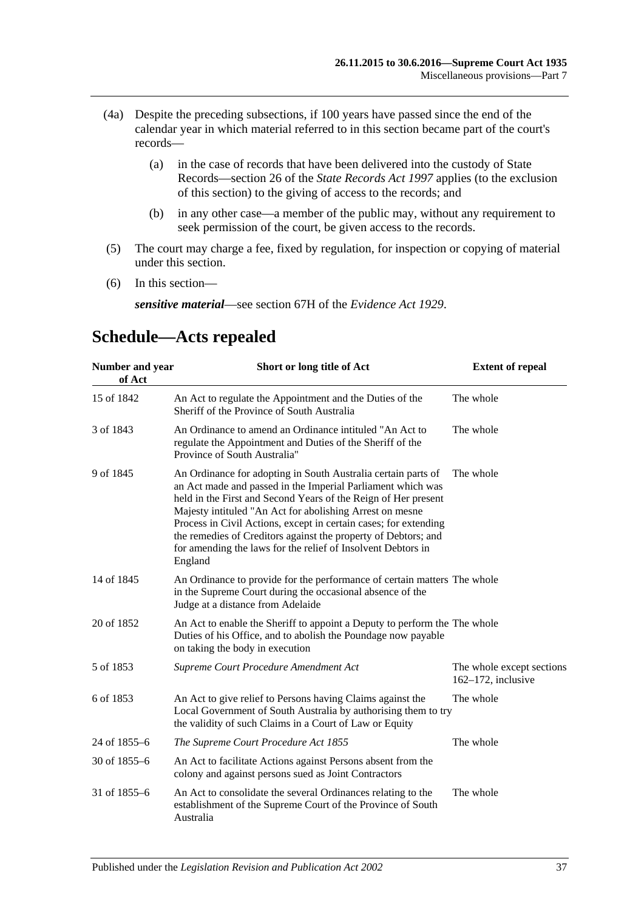- (4a) Despite the preceding subsections, if 100 years have passed since the end of the calendar year in which material referred to in this section became part of the court's records—
	- (a) in the case of records that have been delivered into the custody of State Records—section 26 of the *[State Records Act](http://www.legislation.sa.gov.au/index.aspx?action=legref&type=act&legtitle=State%20Records%20Act%201997) 1997* applies (to the exclusion of this section) to the giving of access to the records; and
	- (b) in any other case—a member of the public may, without any requirement to seek permission of the court, be given access to the records.
- (5) The court may charge a fee, fixed by regulation, for inspection or copying of material under this section.
- (6) In this section—

*sensitive material*—see section 67H of the *[Evidence Act](http://www.legislation.sa.gov.au/index.aspx?action=legref&type=act&legtitle=Evidence%20Act%201929) 1929*.

#### **Number and year of Act Short or long title of Act Extent of repeal** 15 of 1842 An Act to regulate the Appointment and the Duties of the Sheriff of the Province of South Australia The whole 3 of 1843 An Ordinance to amend an Ordinance intituled "An Act to regulate the Appointment and Duties of the Sheriff of the Province of South Australia" The whole 9 of 1845 An Ordinance for adopting in South Australia certain parts of an Act made and passed in the Imperial Parliament which was held in the First and Second Years of the Reign of Her present Majesty intituled "An Act for abolishing Arrest on mesne Process in Civil Actions, except in certain cases; for extending the remedies of Creditors against the property of Debtors; and for amending the laws for the relief of Insolvent Debtors in England The whole 14 of 1845 An Ordinance to provide for the performance of certain matters The whole in the Supreme Court during the occasional absence of the Judge at a distance from Adelaide 20 of 1852 An Act to enable the Sheriff to appoint a Deputy to perform the The whole Duties of his Office, and to abolish the Poundage now payable on taking the body in execution 5 of 1853 *[Supreme Court Procedure Amendment Act](http://www.legislation.sa.gov.au/index.aspx?action=legref&type=act&legtitle=Supreme%20Court%20Procedure%20Amendment%20Act)* The whole except sections 162–172, inclusive 6 of 1853 An Act to give relief to Persons having Claims against the Local Government of South Australia by authorising them to try the validity of such Claims in a Court of Law or Equity The whole 24 of 1855–6 *[The Supreme Court Procedure Act](http://www.legislation.sa.gov.au/index.aspx?action=legref&type=act&legtitle=The%20Supreme%20Court%20Procedure%20Act%201855) 1855* The whole 30 of 1855–6 An Act to facilitate Actions against Persons absent from the colony and against persons sued as Joint Contractors 31 of 1855–6 An Act to consolidate the several Ordinances relating to the establishment of the Supreme Court of the Province of South Australia The whole

# <span id="page-36-0"></span>**Schedule—Acts repealed**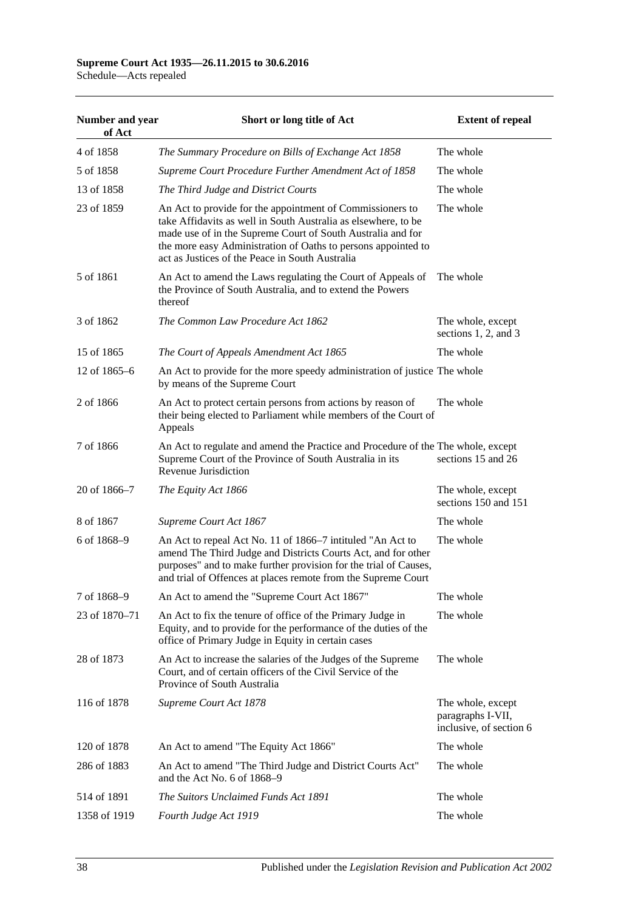#### **Supreme Court Act 1935—26.11.2015 to 30.6.2016** Schedule—Acts repealed

**Number and year of Act Short or long title of Act Extent of repeal** 4 of 1858 *[The Summary Procedure on Bills of Exchange Act](http://www.legislation.sa.gov.au/index.aspx?action=legref&type=act&legtitle=The%20Summary%20Procedure%20on%20Bills%20of%20Exchange%20Act%201858) 1858* The whole 5 of 1858 *[Supreme Court Procedure Further Amendment Act of](http://www.legislation.sa.gov.au/index.aspx?action=legref&type=act&legtitle=Supreme%20Court%20Procedure%20Further%20Amendment%20Act%20of%201858) 1858* The whole 13 of 1858 *[The Third Judge and District Courts](http://www.legislation.sa.gov.au/index.aspx?action=legref&type=act&legtitle=The%20Third%20Judge%20and%20District%20Courts)* The whole 23 of 1859 An Act to provide for the appointment of Commissioners to take Affidavits as well in South Australia as elsewhere, to be made use of in the Supreme Court of South Australia and for the more easy Administration of Oaths to persons appointed to act as Justices of the Peace in South Australia The whole 5 of 1861 An Act to amend the Laws regulating the Court of Appeals of the Province of South Australia, and to extend the Powers thereof The whole 3 of 1862 *[The Common Law Procedure Act](http://www.legislation.sa.gov.au/index.aspx?action=legref&type=act&legtitle=The%20Common%20Law%20Procedure%20Act%201862) 1862* The whole, except sections 1, 2, and 3 15 of 1865 *[The Court of Appeals Amendment Act](http://www.legislation.sa.gov.au/index.aspx?action=legref&type=act&legtitle=The%20Court%20of%20Appeals%20Amendment%20Act%201865) 1865* The whole 12 of 1865–6 An Act to provide for the more speedy administration of justice The whole by means of the Supreme Court 2 of 1866 An Act to protect certain persons from actions by reason of their being elected to Parliament while members of the Court of Appeals The whole 7 of 1866 An Act to regulate and amend the Practice and Procedure of the The whole, except Supreme Court of the Province of South Australia in its Revenue Jurisdiction sections 15 and 26 20 of 1866–7 *[The Equity Act](http://www.legislation.sa.gov.au/index.aspx?action=legref&type=act&legtitle=The%20Equity%20Act%201866) 1866* The whole, except sections 150 and 151 8 of 1867 *[Supreme Court Act](http://www.legislation.sa.gov.au/index.aspx?action=legref&type=act&legtitle=Supreme%20Court%20Act%201867) 1867* The whole 6 of 1868–9 An Act to repeal Act No. 11 of 1866–7 intituled "An Act to amend The Third Judge and Districts Courts Act, and for other purposes" and to make further provision for the trial of Causes, and trial of Offences at places remote from the Supreme Court The whole 7 of 1868–9 An Act to amend the ["Supreme Court Act](http://www.legislation.sa.gov.au/index.aspx?action=legref&type=act&legtitle=Supreme%20Court%20Act%201867) 1867" The whole 23 of 1870–71 An Act to fix the tenure of office of the Primary Judge in Equity, and to provide for the performance of the duties of the office of Primary Judge in Equity in certain cases The whole 28 of 1873 An Act to increase the salaries of the Judges of the Supreme Court, and of certain officers of the Civil Service of the Province of South Australia The whole 116 of 1878 *[Supreme Court Act](http://www.legislation.sa.gov.au/index.aspx?action=legref&type=act&legtitle=Supreme%20Court%20Act%201878) 1878* The whole, except paragraphs I-VII, inclusive, of section 6 120 of 1878 An Act to amend ["The Equity Act](http://www.legislation.sa.gov.au/index.aspx?action=legref&type=act&legtitle=The%20Equity%20Act%201866) 1866" The whole 286 of 1883 An Act to amend ["The Third Judge and District Courts Act"](http://www.legislation.sa.gov.au/index.aspx?action=legref&type=act&legtitle=The%20Third%20Judge%20and%20District%20Courts%20Act) and the Act No. 6 of 1868–9 The whole 514 of 1891 *[The Suitors Unclaimed Funds Act](http://www.legislation.sa.gov.au/index.aspx?action=legref&type=act&legtitle=The%20Suitors%20Unclaimed%20Funds%20Act%201891) 1891* The whole 1358 of 1919 *[Fourth Judge Act](http://www.legislation.sa.gov.au/index.aspx?action=legref&type=act&legtitle=Fourth%20Judge%20Act%201919) 1919* The whole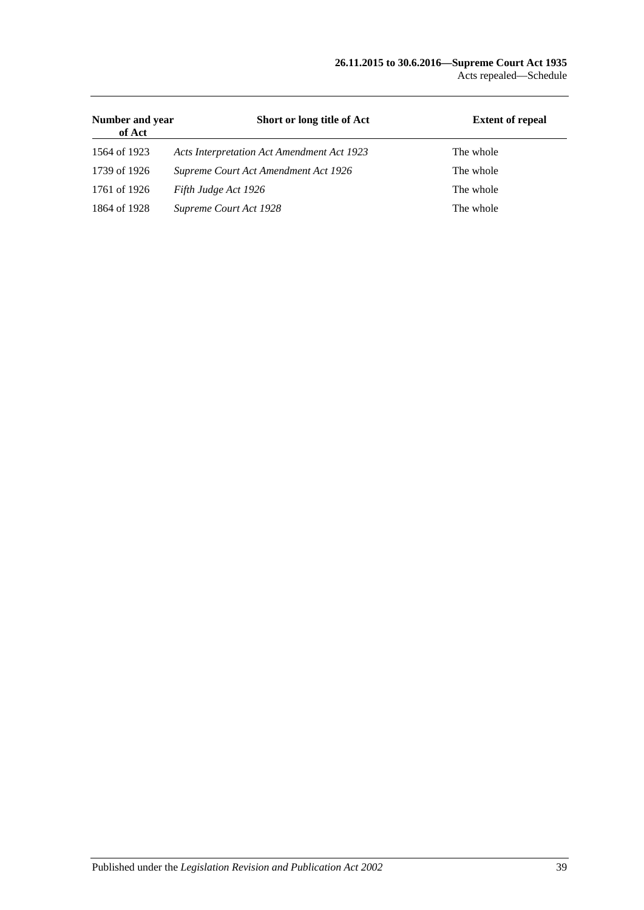#### **26.11.2015 to 30.6.2016—Supreme Court Act 1935** Acts repealed—Schedule

| Number and year<br>of Act | Short or long title of Act                 | <b>Extent of repeal</b> |
|---------------------------|--------------------------------------------|-------------------------|
| 1564 of 1923              | Acts Interpretation Act Amendment Act 1923 | The whole               |
| 1739 of 1926              | Supreme Court Act Amendment Act 1926       | The whole               |
| 1761 of 1926              | Fifth Judge Act 1926                       | The whole               |
| 1864 of 1928              | Supreme Court Act 1928                     | The whole               |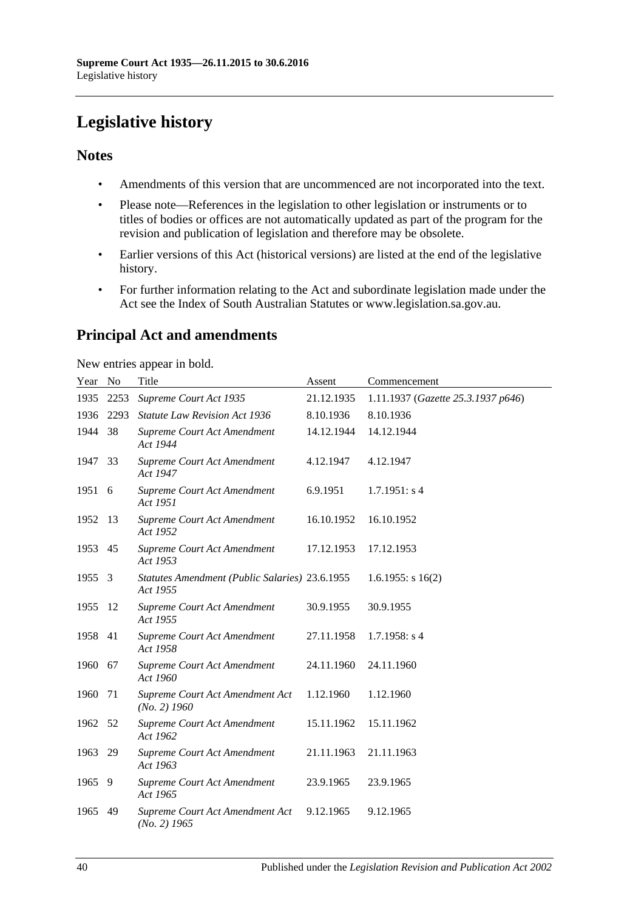# <span id="page-39-0"></span>**Legislative history**

### **Notes**

- Amendments of this version that are uncommenced are not incorporated into the text.
- Please note—References in the legislation to other legislation or instruments or to titles of bodies or offices are not automatically updated as part of the program for the revision and publication of legislation and therefore may be obsolete.
- Earlier versions of this Act (historical versions) are listed at the end of the legislative history.
- For further information relating to the Act and subordinate legislation made under the Act see the Index of South Australian Statutes or www.legislation.sa.gov.au.

# **Principal Act and amendments**

New entries appear in bold.

| Year | $\mathbf{N}\mathbf{o}$ | Title                                                      | Assent     | Commencement                       |
|------|------------------------|------------------------------------------------------------|------------|------------------------------------|
| 1935 | 2253                   | Supreme Court Act 1935                                     | 21.12.1935 | 1.11.1937 (Gazette 25.3.1937 p646) |
| 1936 | 2293                   | Statute Law Revision Act 1936                              | 8.10.1936  | 8.10.1936                          |
| 1944 | 38                     | Supreme Court Act Amendment<br>Act 1944                    | 14.12.1944 | 14.12.1944                         |
| 1947 | 33                     | Supreme Court Act Amendment<br>Act 1947                    | 4.12.1947  | 4.12.1947                          |
| 1951 | 6                      | Supreme Court Act Amendment<br>Act 1951                    | 6.9.1951   | 1.7.1951: s4                       |
| 1952 | 13                     | Supreme Court Act Amendment<br>Act 1952                    | 16.10.1952 | 16.10.1952                         |
| 1953 | 45                     | Supreme Court Act Amendment<br>Act 1953                    | 17.12.1953 | 17.12.1953                         |
| 1955 | 3                      | Statutes Amendment (Public Salaries) 23.6.1955<br>Act 1955 |            | $1.6.1955$ : s $16(2)$             |
| 1955 | 12                     | Supreme Court Act Amendment<br>Act 1955                    | 30.9.1955  | 30.9.1955                          |
| 1958 | 41                     | Supreme Court Act Amendment<br>Act 1958                    | 27.11.1958 | $1.7.1958$ : s 4                   |
| 1960 | 67                     | Supreme Court Act Amendment<br>Act 1960                    | 24.11.1960 | 24.11.1960                         |
| 1960 | 71                     | Supreme Court Act Amendment Act<br>$(No. 2)$ 1960          | 1.12.1960  | 1.12.1960                          |
| 1962 | 52                     | Supreme Court Act Amendment<br>Act 1962                    | 15.11.1962 | 15.11.1962                         |
| 1963 | 29                     | Supreme Court Act Amendment<br>Act 1963                    | 21.11.1963 | 21.11.1963                         |
| 1965 | 9                      | Supreme Court Act Amendment<br>Act 1965                    | 23.9.1965  | 23.9.1965                          |
| 1965 | 49                     | Supreme Court Act Amendment Act<br>$(No. 2)$ 1965          | 9.12.1965  | 9.12.1965                          |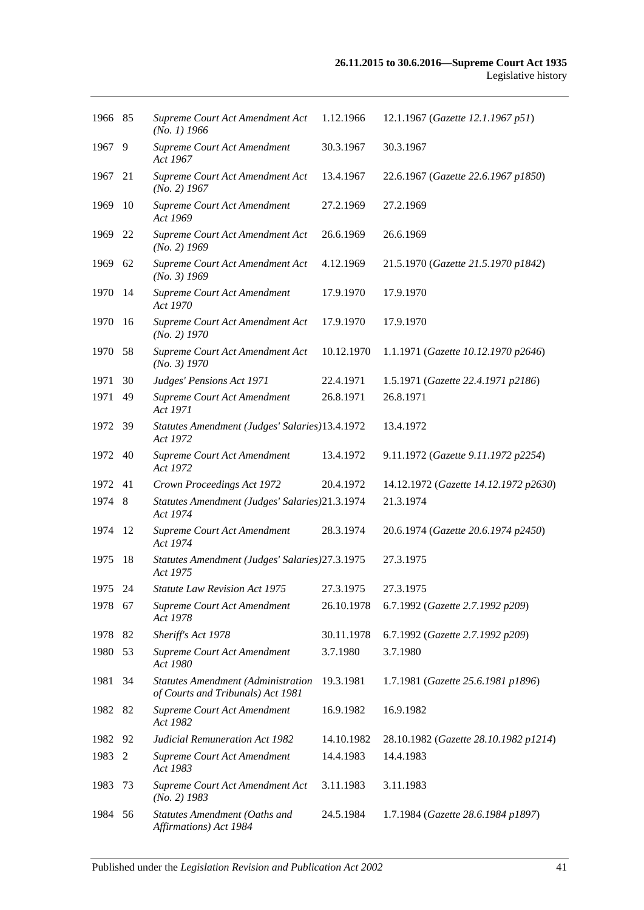| 1966 85 |      | Supreme Court Act Amendment Act<br>$(No. 1)$ 1966                              | 1.12.1966  | 12.1.1967 (Gazette 12.1.1967 p51)     |
|---------|------|--------------------------------------------------------------------------------|------------|---------------------------------------|
| 1967    | 9    | Supreme Court Act Amendment<br>Act 1967                                        | 30.3.1967  | 30.3.1967                             |
| 1967    | 21   | Supreme Court Act Amendment Act<br>$(No. 2)$ 1967                              | 13.4.1967  | 22.6.1967 (Gazette 22.6.1967 p1850)   |
| 1969    | 10   | Supreme Court Act Amendment<br>Act 1969                                        | 27.2.1969  | 27.2.1969                             |
| 1969    | 22   | Supreme Court Act Amendment Act<br>$(No. 2)$ 1969                              | 26.6.1969  | 26.6.1969                             |
| 1969    | 62   | Supreme Court Act Amendment Act<br>$(No. 3)$ 1969                              | 4.12.1969  | 21.5.1970 (Gazette 21.5.1970 p1842)   |
| 1970    | 14   | Supreme Court Act Amendment<br>Act 1970                                        | 17.9.1970  | 17.9.1970                             |
| 1970    | 16   | Supreme Court Act Amendment Act<br>$(No. 2)$ 1970                              | 17.9.1970  | 17.9.1970                             |
| 1970    | 58   | Supreme Court Act Amendment Act<br>(No. 3) 1970                                | 10.12.1970 | 1.1.1971 (Gazette 10.12.1970 p2646)   |
| 1971    | 30   | Judges' Pensions Act 1971                                                      | 22.4.1971  | 1.5.1971 (Gazette 22.4.1971 p2186)    |
| 1971    | 49   | Supreme Court Act Amendment<br>Act 1971                                        | 26.8.1971  | 26.8.1971                             |
| 1972    | - 39 | Statutes Amendment (Judges' Salaries)13.4.1972<br>Act 1972                     |            | 13.4.1972                             |
| 1972    | 40   | Supreme Court Act Amendment<br>Act 1972                                        | 13.4.1972  | 9.11.1972 (Gazette 9.11.1972 p2254)   |
| 1972    | 41   | Crown Proceedings Act 1972                                                     | 20.4.1972  | 14.12.1972 (Gazette 14.12.1972 p2630) |
| 1974    | - 8  | Statutes Amendment (Judges' Salaries)21.3.1974<br>Act 1974                     |            | 21.3.1974                             |
| 1974    | 12   | Supreme Court Act Amendment<br>Act 1974                                        | 28.3.1974  | 20.6.1974 (Gazette 20.6.1974 p2450)   |
| 1975    | 18   | Statutes Amendment (Judges' Salaries) 27.3.1975<br>Act 1975                    |            | 27.3.1975                             |
| 1975 24 |      | <i>Statute Law Revision Act 1975</i>                                           | 27.3.1975  | 27.3.1975                             |
| 1978 67 |      | Supreme Court Act Amendment<br>Act 1978                                        | 26.10.1978 | 6.7.1992 (Gazette 2.7.1992 p209)      |
| 1978    | 82   | Sheriff's Act 1978                                                             | 30.11.1978 | 6.7.1992 (Gazette 2.7.1992 p209)      |
| 1980    | 53   | Supreme Court Act Amendment<br>Act 1980                                        | 3.7.1980   | 3.7.1980                              |
|         |      |                                                                                |            |                                       |
| 1981    | 34   | <b>Statutes Amendment (Administration</b><br>of Courts and Tribunals) Act 1981 | 19.3.1981  | 1.7.1981 (Gazette 25.6.1981 p1896)    |
| 1982    | 82   | Supreme Court Act Amendment<br>Act 1982                                        | 16.9.1982  | 16.9.1982                             |
| 1982    | 92   | <b>Judicial Remuneration Act 1982</b>                                          | 14.10.1982 | 28.10.1982 (Gazette 28.10.1982 p1214) |
| 1983    | 2    | Supreme Court Act Amendment<br>Act 1983                                        | 14.4.1983  | 14.4.1983                             |
| 1983    | 73   | Supreme Court Act Amendment Act<br>$(No. 2)$ 1983                              | 3.11.1983  | 3.11.1983                             |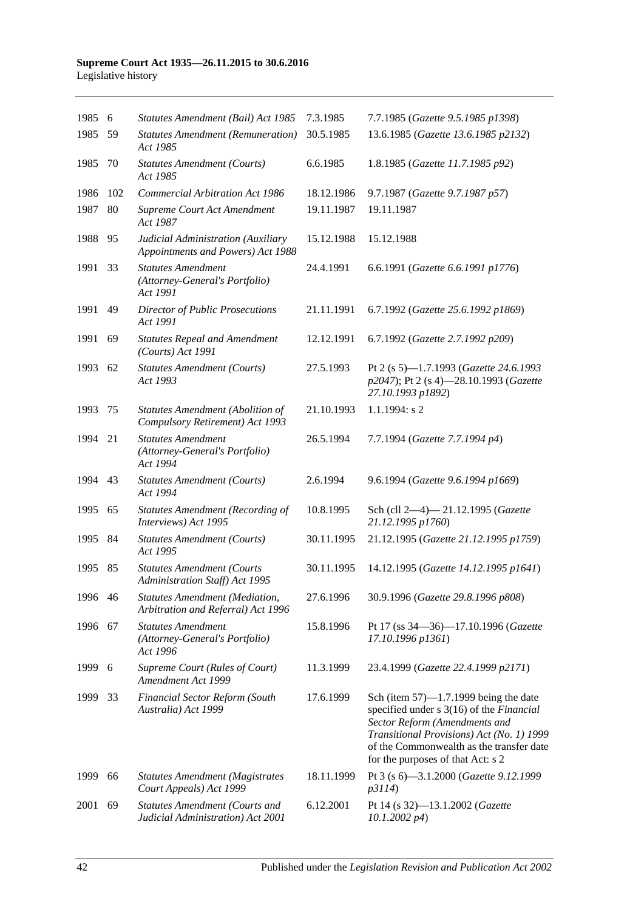#### **Supreme Court Act 1935—26.11.2015 to 30.6.2016** Legislative history

| 1985 6  |     | Statutes Amendment (Bail) Act 1985                                         | 7.3.1985   | 7.7.1985 (Gazette 9.5.1985 p1398)                                                                                                                                                                                                                   |
|---------|-----|----------------------------------------------------------------------------|------------|-----------------------------------------------------------------------------------------------------------------------------------------------------------------------------------------------------------------------------------------------------|
| 1985    | 59  | <b>Statutes Amendment (Remuneration)</b><br>Act 1985                       | 30.5.1985  | 13.6.1985 (Gazette 13.6.1985 p2132)                                                                                                                                                                                                                 |
| 1985    | 70  | <b>Statutes Amendment (Courts)</b><br>Act 1985                             | 6.6.1985   | 1.8.1985 (Gazette 11.7.1985 p92)                                                                                                                                                                                                                    |
| 1986    | 102 | <b>Commercial Arbitration Act 1986</b>                                     | 18.12.1986 | 9.7.1987 (Gazette 9.7.1987 p57)                                                                                                                                                                                                                     |
| 1987    | 80  | Supreme Court Act Amendment<br>Act 1987                                    | 19.11.1987 | 19.11.1987                                                                                                                                                                                                                                          |
| 1988    | 95  | Judicial Administration (Auxiliary<br>Appointments and Powers) Act 1988    | 15.12.1988 | 15.12.1988                                                                                                                                                                                                                                          |
| 1991    | 33  | <b>Statutes Amendment</b><br>(Attorney-General's Portfolio)<br>Act 1991    | 24.4.1991  | 6.6.1991 (Gazette 6.6.1991 p1776)                                                                                                                                                                                                                   |
| 1991    | 49  | <b>Director of Public Prosecutions</b><br>Act 1991                         | 21.11.1991 | 6.7.1992 (Gazette 25.6.1992 p1869)                                                                                                                                                                                                                  |
| 1991    | 69  | <b>Statutes Repeal and Amendment</b><br>(Courts) Act 1991                  | 12.12.1991 | 6.7.1992 (Gazette 2.7.1992 p209)                                                                                                                                                                                                                    |
| 1993    | 62  | <b>Statutes Amendment (Courts)</b><br>Act 1993                             | 27.5.1993  | Pt 2 (s 5)-1.7.1993 (Gazette 24.6.1993<br>p2047); Pt 2 (s 4)-28.10.1993 (Gazette<br>27.10.1993 p1892)                                                                                                                                               |
| 1993    | 75  | Statutes Amendment (Abolition of<br>Compulsory Retirement) Act 1993        | 21.10.1993 | $1.1.1994$ : s 2                                                                                                                                                                                                                                    |
| 1994    | 21  | <b>Statutes Amendment</b><br>(Attorney-General's Portfolio)<br>Act 1994    | 26.5.1994  | 7.7.1994 (Gazette 7.7.1994 p4)                                                                                                                                                                                                                      |
| 1994    | 43  | <b>Statutes Amendment (Courts)</b><br>Act 1994                             | 2.6.1994   | 9.6.1994 (Gazette 9.6.1994 p1669)                                                                                                                                                                                                                   |
| 1995    | 65  | <b>Statutes Amendment (Recording of</b><br>Interviews) Act 1995            | 10.8.1995  | Sch (cll 2-4)-21.12.1995 (Gazette<br>21.12.1995 p1760)                                                                                                                                                                                              |
| 1995    | -84 | <b>Statutes Amendment (Courts)</b><br>Act 1995                             | 30.11.1995 | 21.12.1995 (Gazette 21.12.1995 p1759)                                                                                                                                                                                                               |
| 1995    | 85  | <b>Statutes Amendment (Courts</b><br>Administration Staff) Act 1995        | 30.11.1995 | 14.12.1995 (Gazette 14.12.1995 p1641)                                                                                                                                                                                                               |
| 1996 46 |     | Statutes Amendment (Mediation,<br>Arbitration and Referral) Act 1996       | 27.6.1996  | 30.9.1996 (Gazette 29.8.1996 p808)                                                                                                                                                                                                                  |
| 1996    | 67  | <b>Statutes Amendment</b><br>(Attorney-General's Portfolio)<br>Act 1996    | 15.8.1996  | Pt 17 (ss 34-36)-17.10.1996 (Gazette<br>17.10.1996 p1361)                                                                                                                                                                                           |
| 1999 6  |     | Supreme Court (Rules of Court)<br>Amendment Act 1999                       | 11.3.1999  | 23.4.1999 (Gazette 22.4.1999 p2171)                                                                                                                                                                                                                 |
| 1999    | 33  | <b>Financial Sector Reform (South</b><br>Australia) Act 1999               | 17.6.1999  | Sch (item $57$ )—1.7.1999 being the date<br>specified under s 3(16) of the Financial<br>Sector Reform (Amendments and<br>Transitional Provisions) Act (No. 1) 1999<br>of the Commonwealth as the transfer date<br>for the purposes of that Act: s 2 |
| 1999    | 66  | <b>Statutes Amendment (Magistrates</b><br>Court Appeals) Act 1999          | 18.11.1999 | Pt 3 (s 6)-3.1.2000 (Gazette 9.12.1999<br>p3114)                                                                                                                                                                                                    |
| 2001    | 69  | <b>Statutes Amendment (Courts and</b><br>Judicial Administration) Act 2001 | 6.12.2001  | Pt 14 (s 32)-13.1.2002 (Gazette<br>$10.1.2002\ p4)$                                                                                                                                                                                                 |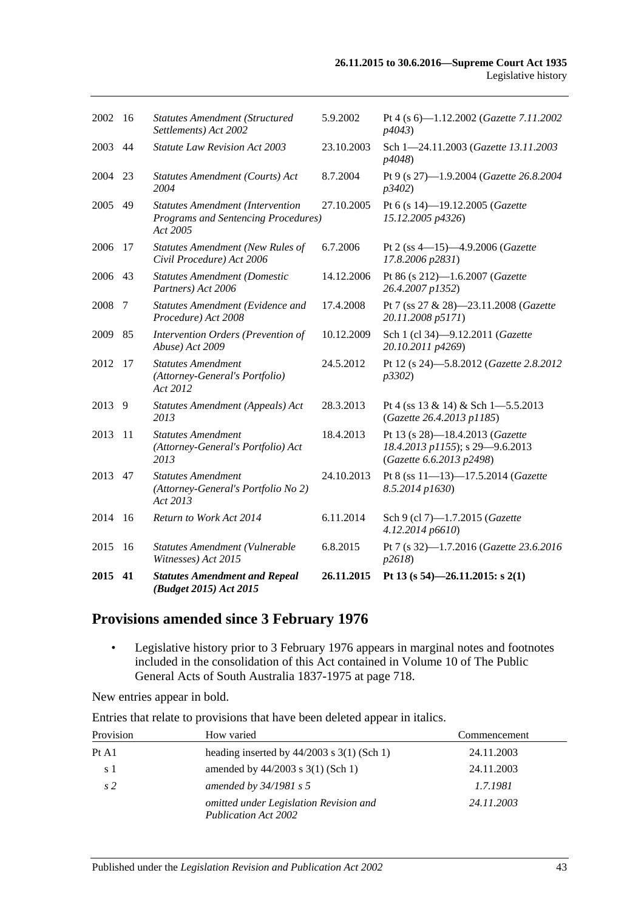| 2015    | 41  | <b>Statutes Amendment and Repeal</b><br>(Budget 2015) Act 2015                                    | 26.11.2015 | Pt 13 (s 54)-26.11.2015: s 2(1)                                                                |
|---------|-----|---------------------------------------------------------------------------------------------------|------------|------------------------------------------------------------------------------------------------|
| 2015    | 16  | Statutes Amendment (Vulnerable<br>Witnesses) Act 2015                                             | 6.8.2015   | Pt 7 (s 32)-1.7.2016 (Gazette 23.6.2016<br>p2618                                               |
| 2014    | 16  | Return to Work Act 2014                                                                           | 6.11.2014  | Sch 9 (cl 7)-1.7.2015 (Gazette<br>4.12.2014 p6610)                                             |
| 2013    | 47  | <b>Statutes Amendment</b><br>(Attorney-General's Portfolio No 2)<br>Act 2013                      | 24.10.2013 | Pt 8 (ss 11-13)-17.5.2014 (Gazette<br>8.5.2014 p1630)                                          |
| 2013    | 11  | <b>Statutes Amendment</b><br>(Attorney-General's Portfolio) Act<br>2013                           | 18.4.2013  | Pt 13 (s 28)-18.4.2013 (Gazette<br>18.4.2013 p1155); s 29-9.6.2013<br>(Gazette 6.6.2013 p2498) |
| 2013 9  |     | Statutes Amendment (Appeals) Act<br>2013                                                          | 28.3.2013  | Pt 4 (ss $13 \& 14$ ) & Sch 1-5.5.2013<br>(Gazette 26.4.2013 p1185)                            |
| 2012    | -17 | <b>Statutes Amendment</b><br>(Attorney-General's Portfolio)<br>Act 2012                           | 24.5.2012  | Pt 12 (s 24)-5.8.2012 (Gazette 2.8.2012<br>p3302)                                              |
| 2009    | 85  | Intervention Orders (Prevention of<br>Abuse) Act 2009                                             | 10.12.2009 | Sch 1 (cl 34)-9.12.2011 (Gazette<br>20.10.2011 p4269)                                          |
| 2008    | 7   | Statutes Amendment (Evidence and<br>Procedure) Act 2008                                           | 17.4.2008  | Pt 7 (ss 27 & 28)-23.11.2008 (Gazette<br>20.11.2008 p5171)                                     |
| 2006    | 43  | <b>Statutes Amendment (Domestic</b><br>Partners) Act 2006                                         | 14.12.2006 | Pt 86 (s 212)-1.6.2007 (Gazette<br>26.4.2007 p1352)                                            |
| 2006    | 17  | <b>Statutes Amendment (New Rules of</b><br>Civil Procedure) Act 2006                              | 6.7.2006   | Pt 2 (ss 4-15)-4.9.2006 (Gazette<br>17.8.2006 p2831)                                           |
| 2005 49 |     | <b>Statutes Amendment (Intervention</b><br><b>Programs and Sentencing Procedures)</b><br>Act 2005 | 27.10.2005 | Pt 6 (s 14)-19.12.2005 (Gazette<br>15.12.2005 p4326)                                           |
| 2004    | 23  | Statutes Amendment (Courts) Act<br>2004                                                           | 8.7.2004   | Pt 9 (s 27)-1.9.2004 (Gazette 26.8.2004<br>p3402)                                              |
| 2003    | 44  | <b>Statute Law Revision Act 2003</b>                                                              | 23.10.2003 | Sch 1-24.11.2003 (Gazette 13.11.2003<br>p4048)                                                 |
| 2002    | -16 | <b>Statutes Amendment (Structured</b><br>Settlements) Act 2002                                    | 5.9.2002   | Pt 4 (s $6$ )-1.12.2002 ( <i>Gazette</i> 7.11.2002<br>p4043                                    |
|         |     |                                                                                                   |            |                                                                                                |

# **Provisions amended since 3 February 1976**

• Legislative history prior to 3 February 1976 appears in marginal notes and footnotes included in the consolidation of this Act contained in Volume 10 of The Public General Acts of South Australia 1837-1975 at page 718.

New entries appear in bold.

Entries that relate to provisions that have been deleted appear in italics.

| Provision      | How varied                                                     | Commencement |
|----------------|----------------------------------------------------------------|--------------|
| Pt A1          | heading inserted by $44/2003$ s 3(1) (Sch 1)                   | 24.11.2003   |
| s 1            | amended by $44/2003$ s $3(1)$ (Sch 1)                          | 24.11.2003   |
| s <sub>2</sub> | amended by $34/1981$ s 5                                       | 1.7.1981     |
|                | omitted under Legislation Revision and<br>Publication Act 2002 | 24.11.2003   |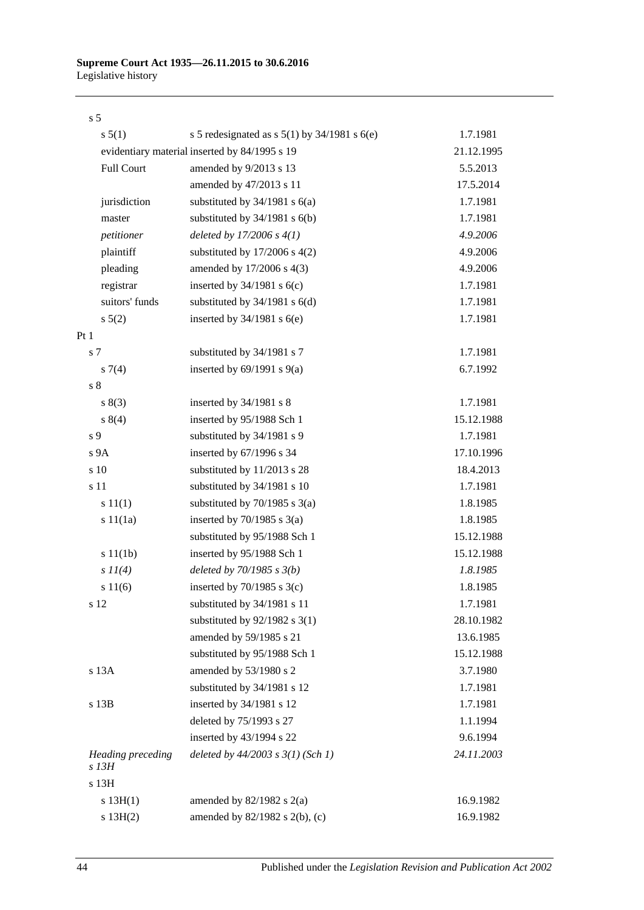### s 5

| s 5(1)                     | s 5 redesignated as s $5(1)$ by $34/1981$ s $6(e)$ | 1.7.1981   |
|----------------------------|----------------------------------------------------|------------|
|                            | evidentiary material inserted by 84/1995 s 19      | 21.12.1995 |
| <b>Full Court</b>          | amended by 9/2013 s 13                             | 5.5.2013   |
|                            | amended by 47/2013 s 11                            | 17.5.2014  |
| jurisdiction               | substituted by $34/1981$ s $6(a)$                  | 1.7.1981   |
| master                     | substituted by $34/1981$ s $6(b)$                  | 1.7.1981   |
| petitioner                 | deleted by $17/2006 s 4(1)$                        | 4.9.2006   |
| plaintiff                  | substituted by $17/2006$ s $4(2)$                  | 4.9.2006   |
| pleading                   | amended by 17/2006 s 4(3)                          | 4.9.2006   |
| registrar                  | inserted by $34/1981$ s $6(c)$                     | 1.7.1981   |
| suitors' funds             | substituted by $34/1981$ s $6(d)$                  | 1.7.1981   |
| $s\ 5(2)$                  | inserted by $34/1981$ s $6(e)$                     | 1.7.1981   |
| Pt <sub>1</sub>            |                                                    |            |
| s 7                        | substituted by 34/1981 s 7                         | 1.7.1981   |
| $s \, 7(4)$                | inserted by $69/1991$ s $9(a)$                     | 6.7.1992   |
| $\sqrt{s}$ 8               |                                                    |            |
| s(3)                       | inserted by 34/1981 s 8                            | 1.7.1981   |
| s 8(4)                     | inserted by 95/1988 Sch 1                          | 15.12.1988 |
| s 9                        | substituted by 34/1981 s 9                         | 1.7.1981   |
| s <sub>9A</sub>            | inserted by 67/1996 s 34                           | 17.10.1996 |
| s 10                       | substituted by 11/2013 s 28                        | 18.4.2013  |
| s 11                       | substituted by 34/1981 s 10                        | 1.7.1981   |
| s 11(1)                    | substituted by $70/1985$ s $3(a)$                  | 1.8.1985   |
| s 11(1a)                   | inserted by $70/1985$ s $3(a)$                     | 1.8.1985   |
|                            | substituted by 95/1988 Sch 1                       | 15.12.1988 |
| s 11(1b)                   | inserted by 95/1988 Sch 1                          | 15.12.1988 |
| $s\ II(4)$                 | deleted by $70/1985 s 3(b)$                        | 1.8.1985   |
| s 11(6)                    | inserted by $70/1985$ s $3(c)$                     | 1.8.1985   |
| s 12                       | substituted by 34/1981 s 11                        | 1.7.1981   |
|                            | substituted by $92/1982$ s 3(1)                    | 28.10.1982 |
|                            | amended by 59/1985 s 21                            | 13.6.1985  |
|                            | substituted by 95/1988 Sch 1                       | 15.12.1988 |
| s 13A                      | amended by 53/1980 s 2                             | 3.7.1980   |
|                            | substituted by 34/1981 s 12                        | 1.7.1981   |
| s 13B                      | inserted by 34/1981 s 12                           | 1.7.1981   |
|                            | deleted by 75/1993 s 27                            | 1.1.1994   |
|                            | inserted by 43/1994 s 22                           | 9.6.1994   |
| Heading preceding<br>s 13H | deleted by $44/2003$ s $3(1)$ (Sch 1)              | 24.11.2003 |
| s 13H                      |                                                    |            |
| s 13H(1)                   | amended by $82/1982$ s $2(a)$                      | 16.9.1982  |
| s 13H(2)                   | amended by 82/1982 s 2(b), (c)                     | 16.9.1982  |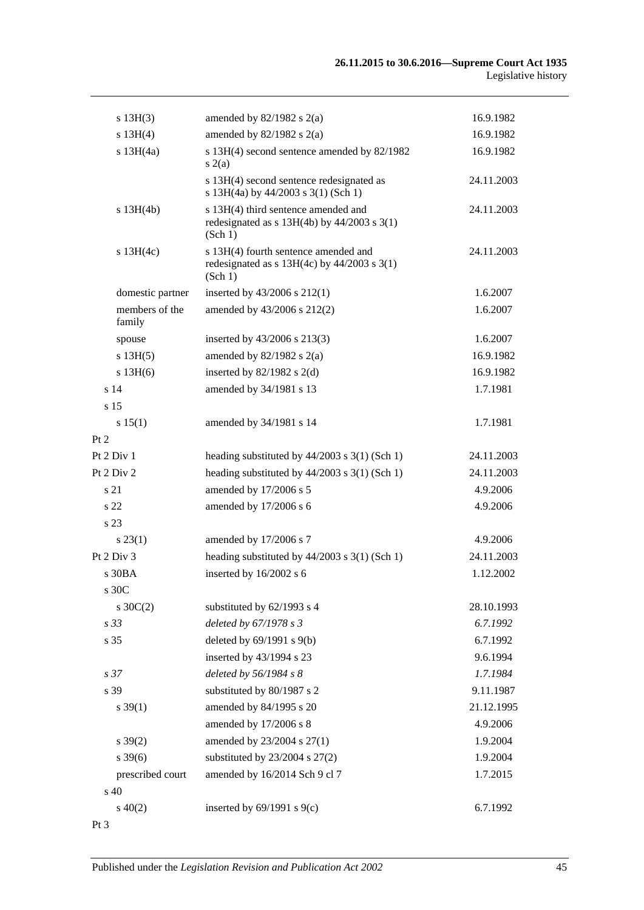| s 13H(3)                 | amended by $82/1982$ s $2(a)$                                                                      | 16.9.1982  |
|--------------------------|----------------------------------------------------------------------------------------------------|------------|
| s 13H(4)                 | amended by $82/1982$ s $2(a)$                                                                      | 16.9.1982  |
| s 13H(4a)                | s 13H(4) second sentence amended by 82/1982<br>s(2(a)                                              | 16.9.1982  |
|                          | s 13H(4) second sentence redesignated as<br>s 13H(4a) by 44/2003 s 3(1) (Sch 1)                    | 24.11.2003 |
| $s$ 13H(4b)              | s 13H(4) third sentence amended and<br>redesignated as $s$ 13H(4b) by 44/2003 $s$ 3(1)<br>(Sch 1)  | 24.11.2003 |
| $s$ 13H(4c)              | s 13H(4) fourth sentence amended and<br>redesignated as $s$ 13H(4c) by 44/2003 $s$ 3(1)<br>(Sch 1) | 24.11.2003 |
| domestic partner         | inserted by $43/2006$ s $212(1)$                                                                   | 1.6.2007   |
| members of the<br>family | amended by 43/2006 s 212(2)                                                                        | 1.6.2007   |
| spouse                   | inserted by 43/2006 s 213(3)                                                                       | 1.6.2007   |
| s 13H(5)                 | amended by $82/1982$ s $2(a)$                                                                      | 16.9.1982  |
| $s$ 13H $(6)$            | inserted by $82/1982$ s $2(d)$                                                                     | 16.9.1982  |
| s <sub>14</sub>          | amended by 34/1981 s 13                                                                            | 1.7.1981   |
| s <sub>15</sub>          |                                                                                                    |            |
| s 15(1)                  | amended by 34/1981 s 14                                                                            | 1.7.1981   |
| Pt 2                     |                                                                                                    |            |
| Pt 2 Div 1               | heading substituted by $44/2003$ s 3(1) (Sch 1)                                                    | 24.11.2003 |
| Pt 2 Div 2               | heading substituted by $44/2003$ s 3(1) (Sch 1)                                                    | 24.11.2003 |
| s 21                     | amended by 17/2006 s 5                                                                             | 4.9.2006   |
| s <sub>22</sub>          | amended by 17/2006 s 6                                                                             | 4.9.2006   |
| s 23                     |                                                                                                    |            |
| $s\,23(1)$               | amended by 17/2006 s 7                                                                             | 4.9.2006   |
| Pt 2 Div 3               | heading substituted by $44/2003$ s $3(1)$ (Sch 1)                                                  | 24.11.2003 |
| $s$ 30BA                 | inserted by 16/2002 s 6                                                                            | 1.12.2002  |
| s 30C                    |                                                                                                    |            |
| $s \, 30C(2)$            | substituted by 62/1993 s 4                                                                         | 28.10.1993 |
| s 33                     | deleted by 67/1978 s 3                                                                             | 6.7.1992   |
| s 35                     | deleted by $69/1991$ s $9(b)$                                                                      | 6.7.1992   |
|                          | inserted by 43/1994 s 23                                                                           | 9.6.1994   |
| s <sub>37</sub>          | deleted by 56/1984 s 8                                                                             | 1.7.1984   |
| s 39                     | substituted by 80/1987 s 2                                                                         | 9.11.1987  |
| $s \, 39(1)$             | amended by 84/1995 s 20                                                                            | 21.12.1995 |
|                          | amended by 17/2006 s 8                                                                             | 4.9.2006   |
| $s \, 39(2)$             | amended by 23/2004 s 27(1)                                                                         | 1.9.2004   |
| $s \, 39(6)$             | substituted by $23/2004$ s $27(2)$                                                                 | 1.9.2004   |
| prescribed court         | amended by 16/2014 Sch 9 cl 7                                                                      | 1.7.2015   |
| $\sin 40$                |                                                                                                    |            |
| $s\ 40(2)$               | inserted by $69/1991$ s $9(c)$                                                                     | 6.7.1992   |
| $Pt\,3$                  |                                                                                                    |            |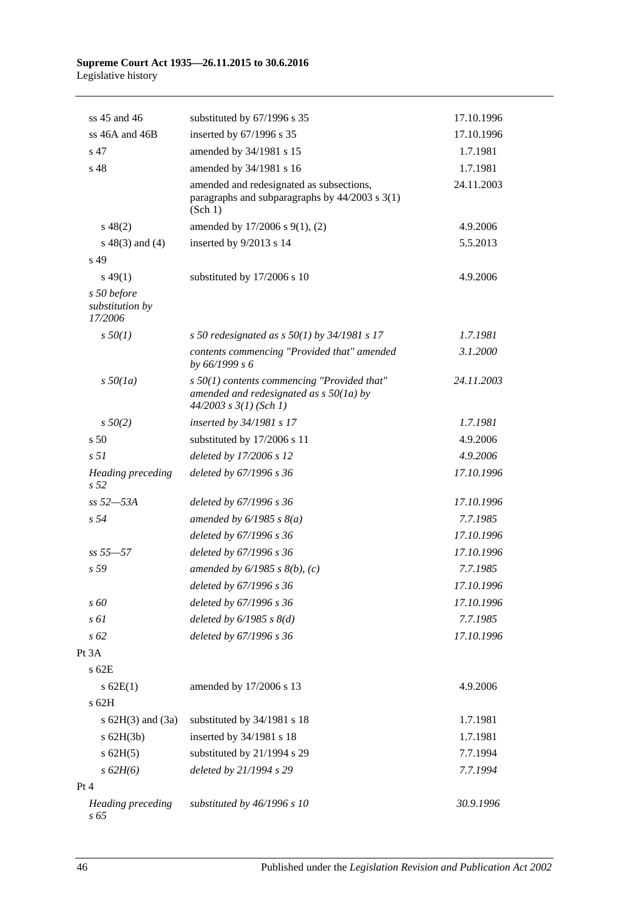#### **Supreme Court Act 1935—26.11.2015 to 30.6.2016** Legislative history

| ss 45 and 46                              | substituted by 67/1996 s 35                                                                                              | 17.10.1996 |
|-------------------------------------------|--------------------------------------------------------------------------------------------------------------------------|------------|
| ss $46A$ and $46B$                        | inserted by 67/1996 s 35                                                                                                 | 17.10.1996 |
| s 47                                      | amended by 34/1981 s 15                                                                                                  | 1.7.1981   |
| s 48                                      | amended by 34/1981 s 16                                                                                                  | 1.7.1981   |
|                                           | amended and redesignated as subsections,<br>paragraphs and subparagraphs by $44/2003$ s $3(1)$<br>(Sch 1)                | 24.11.2003 |
| $s\ 48(2)$                                | amended by 17/2006 s 9(1), (2)                                                                                           | 4.9.2006   |
| $s\ 48(3)$ and (4)                        | inserted by 9/2013 s 14                                                                                                  | 5.5.2013   |
| s 49                                      |                                                                                                                          |            |
| $s\,49(1)$                                | substituted by 17/2006 s 10                                                                                              | 4.9.2006   |
| s 50 before<br>substitution by<br>17/2006 |                                                                                                                          |            |
| $s\,50(1)$                                | s 50 redesignated as $s$ 50(1) by 34/1981 s 17                                                                           | 1.7.1981   |
|                                           | contents commencing "Provided that" amended<br>by 66/1999 s 6                                                            | 3.1.2000   |
| $s\,50(1a)$                               | $s$ 50(1) contents commencing "Provided that"<br>amended and redesignated as $s$ 50(1a) by<br>$44/2003$ s $3(1)$ (Sch 1) | 24.11.2003 |
| $s\,50(2)$                                | inserted by 34/1981 s 17                                                                                                 | 1.7.1981   |
| s <sub>50</sub>                           | substituted by 17/2006 s 11                                                                                              | 4.9.2006   |
| s <sub>51</sub>                           | deleted by 17/2006 s 12                                                                                                  | 4.9.2006   |
| Heading preceding<br>s 52                 | deleted by 67/1996 s 36                                                                                                  | 17.10.1996 |
| ss 52-53A                                 | deleted by 67/1996 s 36                                                                                                  | 17.10.1996 |
| s <sub>54</sub>                           | amended by $6/1985$ s $8(a)$                                                                                             | 7.7.1985   |
|                                           | deleted by 67/1996 s 36                                                                                                  | 17.10.1996 |
| $ss 55 - 57$                              | deleted by 67/1996 s 36                                                                                                  | 17.10.1996 |
| s 59                                      | amended by $6/1985$ s $8(b)$ , (c)                                                                                       | 7.7.1985   |
|                                           | deleted by 67/1996 s 36                                                                                                  | 17.10.1996 |
| s 60                                      | deleted by 67/1996 s 36                                                                                                  | 17.10.1996 |
| s 61                                      | deleted by $6/1985$ s $8(d)$                                                                                             | 7.7.1985   |
| s 62                                      | deleted by 67/1996 s 36                                                                                                  | 17.10.1996 |
| Pt 3A                                     |                                                                                                                          |            |
| $s$ 62 $E$                                |                                                                                                                          |            |
| s 62E(1)<br>s 62H                         | amended by 17/2006 s 13                                                                                                  | 4.9.2006   |
| s $62H(3)$ and $(3a)$                     | substituted by 34/1981 s 18                                                                                              | 1.7.1981   |
| $s$ 62H(3b)                               | inserted by 34/1981 s 18                                                                                                 | 1.7.1981   |
| $s$ 62H(5)                                | substituted by 21/1994 s 29                                                                                              | 7.7.1994   |
| s 62H(6)                                  | deleted by 21/1994 s 29                                                                                                  | 7.7.1994   |
| Pt 4                                      |                                                                                                                          |            |
| <b>Heading</b> preceding<br>$s\,65$       | substituted by 46/1996 s 10                                                                                              | 30.9.1996  |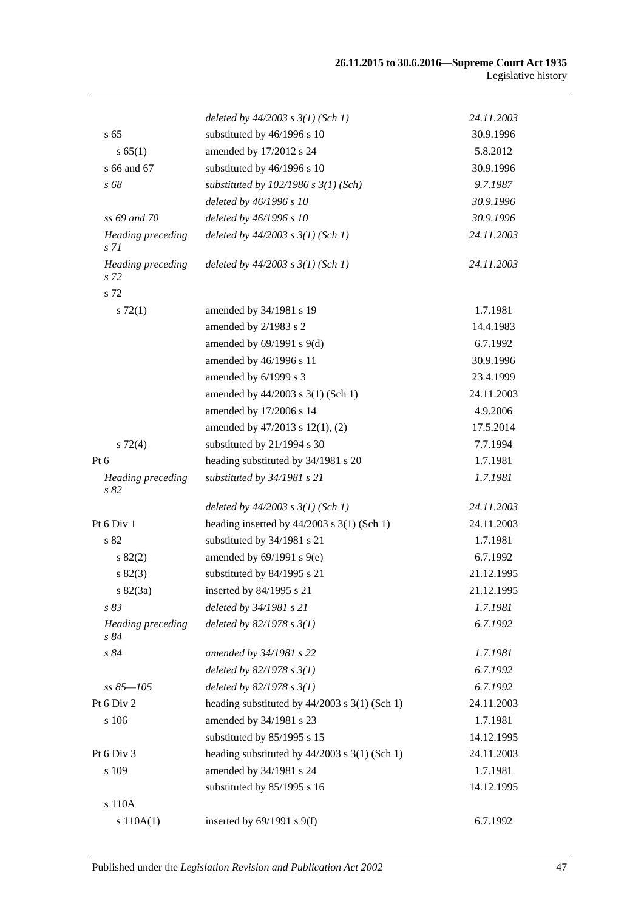|                                  | deleted by $44/2003$ s $3(1)$ (Sch 1)           | 24.11.2003 |
|----------------------------------|-------------------------------------------------|------------|
| s <sub>65</sub>                  | substituted by 46/1996 s 10                     | 30.9.1996  |
| s 65(1)                          | amended by 17/2012 s 24                         | 5.8.2012   |
| s 66 and 67                      | substituted by 46/1996 s 10                     | 30.9.1996  |
| s 68                             | substituted by $102/1986$ s $3(1)$ (Sch)        | 9.7.1987   |
|                                  | deleted by 46/1996 s 10                         | 30.9.1996  |
| ss 69 and 70                     | deleted by 46/1996 s 10                         | 30.9.1996  |
| <b>Heading</b> preceding<br>s 71 | deleted by $44/2003$ s $3(1)$ (Sch 1)           | 24.11.2003 |
| <b>Heading</b> preceding<br>s 72 | deleted by $44/2003$ s $3(1)$ (Sch 1)           | 24.11.2003 |
| s 72                             |                                                 |            |
| $s \, 72(1)$                     | amended by 34/1981 s 19                         | 1.7.1981   |
|                                  | amended by 2/1983 s 2                           | 14.4.1983  |
|                                  | amended by $69/1991$ s $9(d)$                   | 6.7.1992   |
|                                  | amended by 46/1996 s 11                         | 30.9.1996  |
|                                  | amended by 6/1999 s 3                           | 23.4.1999  |
|                                  | amended by 44/2003 s 3(1) (Sch 1)               | 24.11.2003 |
|                                  | amended by 17/2006 s 14                         | 4.9.2006   |
|                                  | amended by 47/2013 s 12(1), (2)                 | 17.5.2014  |
| $s\ 72(4)$                       | substituted by 21/1994 s 30                     | 7.7.1994   |
| Pt 6                             | heading substituted by 34/1981 s 20             | 1.7.1981   |
| <b>Heading</b> preceding<br>s 82 | substituted by 34/1981 s 21                     | 1.7.1981   |
|                                  | deleted by $44/2003$ s $3(1)$ (Sch 1)           | 24.11.2003 |
| Pt 6 Div 1                       | heading inserted by $44/2003$ s 3(1) (Sch 1)    | 24.11.2003 |
| s 82                             | substituted by 34/1981 s 21                     | 1.7.1981   |
| s 82(2)                          | amended by $69/1991$ s $9(e)$                   | 6.7.1992   |
| s 82(3)                          | substituted by 84/1995 s 21                     | 21.12.1995 |
| $s \, 82(3a)$                    | inserted by 84/1995 s 21                        | 21.12.1995 |
| s83                              | deleted by 34/1981 s 21                         | 1.7.1981   |
| <b>Heading</b> preceding<br>s 84 | deleted by $82/1978 s 3(1)$                     | 6.7.1992   |
| s 84                             | amended by 34/1981 s 22                         | 1.7.1981   |
|                                  | deleted by $82/1978 s 3(1)$                     | 6.7.1992   |
| $ss 85 - 105$                    | deleted by $82/1978 s 3(1)$                     | 6.7.1992   |
| Pt 6 Div 2                       | heading substituted by $44/2003$ s 3(1) (Sch 1) | 24.11.2003 |
| s 106                            | amended by 34/1981 s 23                         | 1.7.1981   |
|                                  | substituted by 85/1995 s 15                     | 14.12.1995 |
| Pt 6 Div 3                       | heading substituted by $44/2003$ s 3(1) (Sch 1) | 24.11.2003 |
| s 109                            | amended by 34/1981 s 24                         | 1.7.1981   |
|                                  | substituted by 85/1995 s 16                     | 14.12.1995 |
| s 110A                           |                                                 |            |
| s 110A(1)                        | inserted by $69/1991$ s $9(f)$                  | 6.7.1992   |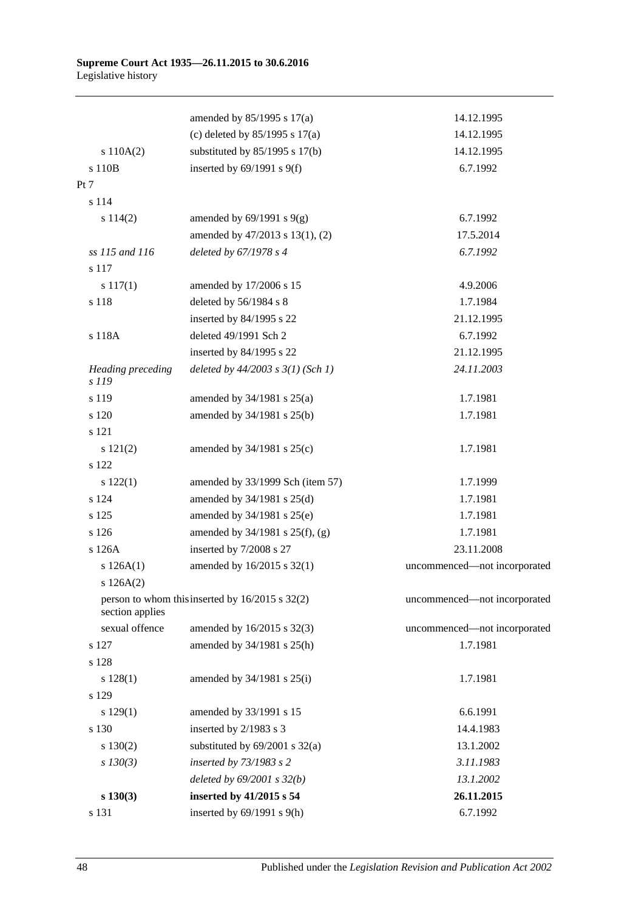#### **Supreme Court Act 1935—26.11.2015 to 30.6.2016** Legislative history

|                            | amended by $85/1995$ s $17(a)$                  | 14.12.1995                   |
|----------------------------|-------------------------------------------------|------------------------------|
|                            | (c) deleted by $85/1995$ s $17(a)$              | 14.12.1995                   |
| s $110A(2)$                | substituted by $85/1995$ s 17(b)                | 14.12.1995                   |
| s 110B                     | inserted by $69/1991$ s $9(f)$                  | 6.7.1992                     |
| Pt 7                       |                                                 |                              |
| s 114                      |                                                 |                              |
| s 114(2)                   | amended by $69/1991$ s $9(g)$                   | 6.7.1992                     |
|                            | amended by 47/2013 s 13(1), (2)                 | 17.5.2014                    |
| ss 115 and 116             | deleted by 67/1978 s 4                          | 6.7.1992                     |
| s 117                      |                                                 |                              |
| $s\ 117(1)$                | amended by 17/2006 s 15                         | 4.9.2006                     |
| s 118                      | deleted by 56/1984 s 8                          | 1.7.1984                     |
|                            | inserted by 84/1995 s 22                        | 21.12.1995                   |
| s 118A                     | deleted 49/1991 Sch 2                           | 6.7.1992                     |
|                            | inserted by 84/1995 s 22                        | 21.12.1995                   |
| Heading preceding<br>s 119 | deleted by $44/2003$ s $3(1)$ (Sch 1)           | 24.11.2003                   |
| s 119                      | amended by $34/1981$ s $25(a)$                  | 1.7.1981                     |
| s 120                      | amended by 34/1981 s 25(b)                      | 1.7.1981                     |
| s 121                      |                                                 |                              |
| s 121(2)                   | amended by $34/1981$ s $25(c)$                  | 1.7.1981                     |
| s 122                      |                                                 |                              |
| 122(1)                     | amended by 33/1999 Sch (item 57)                | 1.7.1999                     |
| s 124                      | amended by $34/1981$ s $25(d)$                  | 1.7.1981                     |
| s 125                      | amended by 34/1981 s 25(e)                      | 1.7.1981                     |
| s 126                      | amended by 34/1981 s 25(f), (g)                 | 1.7.1981                     |
| s 126A                     | inserted by 7/2008 s 27                         | 23.11.2008                   |
| s 126A(1)                  | amended by 16/2015 s 32(1)                      | uncommenced-not incorporated |
| s 126A(2)                  |                                                 |                              |
| section applies            | person to whom this inserted by 16/2015 s 32(2) | uncommenced-not incorporated |
| sexual offence             | amended by 16/2015 s 32(3)                      | uncommenced-not incorporated |
| s 127                      | amended by 34/1981 s 25(h)                      | 1.7.1981                     |
| s 128                      |                                                 |                              |
| s 128(1)                   | amended by $34/1981$ s $25(i)$                  | 1.7.1981                     |
| s 129                      |                                                 |                              |
| 129(1)                     | amended by 33/1991 s 15                         | 6.6.1991                     |
| s 130                      | inserted by 2/1983 s 3                          | 14.4.1983                    |
| $s\ 130(2)$                | substituted by $69/2001$ s $32(a)$              | 13.1.2002                    |
| $s$ 130(3)                 | inserted by 73/1983 s 2                         | 3.11.1983                    |
|                            | deleted by $69/2001$ s $32(b)$                  | 13.1.2002                    |
| $s\ 130(3)$                | inserted by 41/2015 s 54                        | 26.11.2015                   |
| s 131                      | inserted by $69/1991$ s $9(h)$                  | 6.7.1992                     |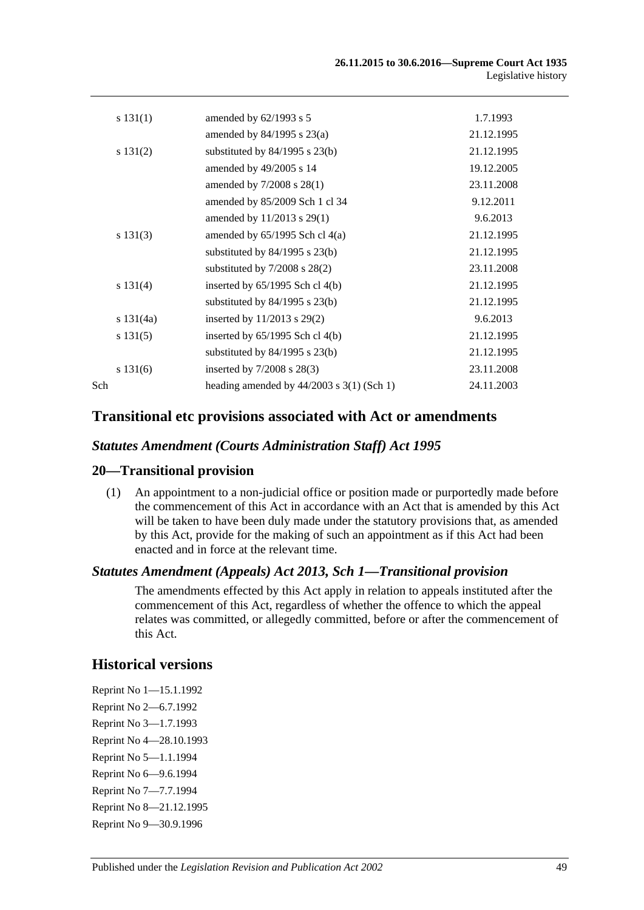|     | s 131(1)    | amended by $62/1993$ s 5                    | 1.7.1993   |
|-----|-------------|---------------------------------------------|------------|
|     |             | amended by $84/1995$ s $23(a)$              | 21.12.1995 |
|     | s 131(2)    | substituted by 84/1995 s 23(b)              | 21.12.1995 |
|     |             | amended by 49/2005 s 14                     | 19.12.2005 |
|     |             | amended by $7/2008$ s $28(1)$               | 23.11.2008 |
|     |             | amended by 85/2009 Sch 1 cl 34              | 9.12.2011  |
|     |             | amended by 11/2013 s 29(1)                  | 9.6.2013   |
|     | s 131(3)    | amended by $65/1995$ Sch cl $4(a)$          | 21.12.1995 |
|     |             | substituted by $84/1995$ s $23(b)$          | 21.12.1995 |
|     |             | substituted by $7/2008$ s $28(2)$           | 23.11.2008 |
|     | s 131(4)    | inserted by $65/1995$ Sch cl $4(b)$         | 21.12.1995 |
|     |             | substituted by $84/1995$ s $23(b)$          | 21.12.1995 |
|     | s $131(4a)$ | inserted by 11/2013 s 29(2)                 | 9.6.2013   |
|     | s 131(5)    | inserted by $65/1995$ Sch cl $4(b)$         | 21.12.1995 |
|     |             | substituted by $84/1995$ s $23(b)$          | 21.12.1995 |
|     | s 131(6)    | inserted by $7/2008$ s $28(3)$              | 23.11.2008 |
| Sch |             | heading amended by $44/2003$ s 3(1) (Sch 1) | 24.11.2003 |
|     |             |                                             |            |

### **Transitional etc provisions associated with Act or amendments**

### *Statutes Amendment (Courts Administration Staff) Act 1995*

### **20—Transitional provision**

(1) An appointment to a non-judicial office or position made or purportedly made before the commencement of this Act in accordance with an Act that is amended by this Act will be taken to have been duly made under the statutory provisions that, as amended by this Act, provide for the making of such an appointment as if this Act had been enacted and in force at the relevant time.

### *Statutes Amendment (Appeals) Act 2013, Sch 1—Transitional provision*

The amendments effected by this Act apply in relation to appeals instituted after the commencement of this Act, regardless of whether the offence to which the appeal relates was committed, or allegedly committed, before or after the commencement of this Act.

# **Historical versions**

Reprint No 1—15.1.1992 Reprint No 2—6.7.1992 Reprint No 3—1.7.1993 Reprint No 4—28.10.1993 Reprint No 5—1.1.1994 Reprint No 6—9.6.1994 Reprint No 7—7.7.1994 Reprint No 8—21.12.1995 Reprint No 9—30.9.1996